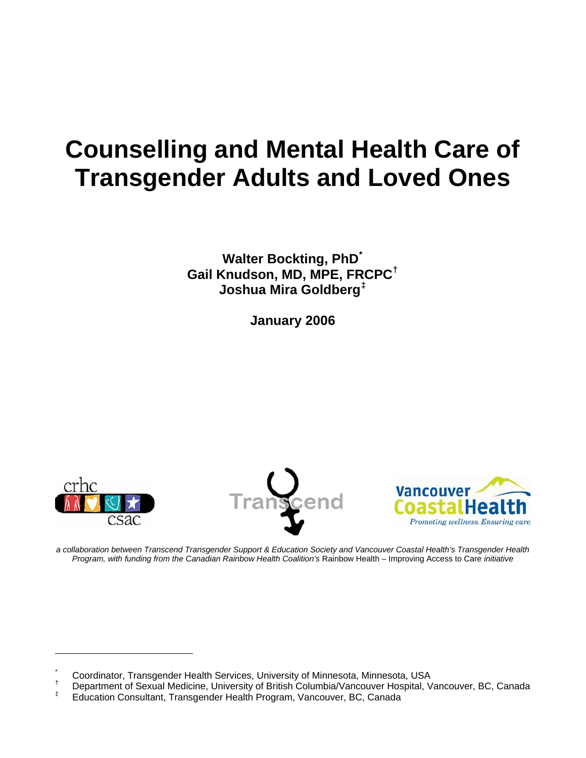# **Counselling and Mental Health Care of Transgender Adults and Loved Ones**

**Walter Bockting, PhD[\\*](#page-0-0) Gail Knudson, MD, MPE, FRCPC[†](#page-0-1) Joshua Mira Goldberg[‡](#page-0-2)**

**January 2006** 



 $\overline{a}$ 





*a collaboration between Transcend Transgender Support & Education Society and Vancouver Coastal Health's Transgender Health Program, with funding from the Canadian Rainbow Health Coalition's* Rainbow Health – Improving Access to Care *initiative*

<span id="page-0-0"></span><sup>\*</sup> Coordinator, Transgender Health Services, University of Minnesota, Minnesota, USA

<span id="page-0-2"></span><span id="page-0-1"></span><sup>†</sup> Department of Sexual Medicine, University of British Columbia/Vancouver Hospital, Vancouver, BC, Canada <br>‡ Education Consultant, Transgender Health Program, Vancouver, BC, Canada

Education Consultant, Transgender Health Program, Vancouver, BC, Canada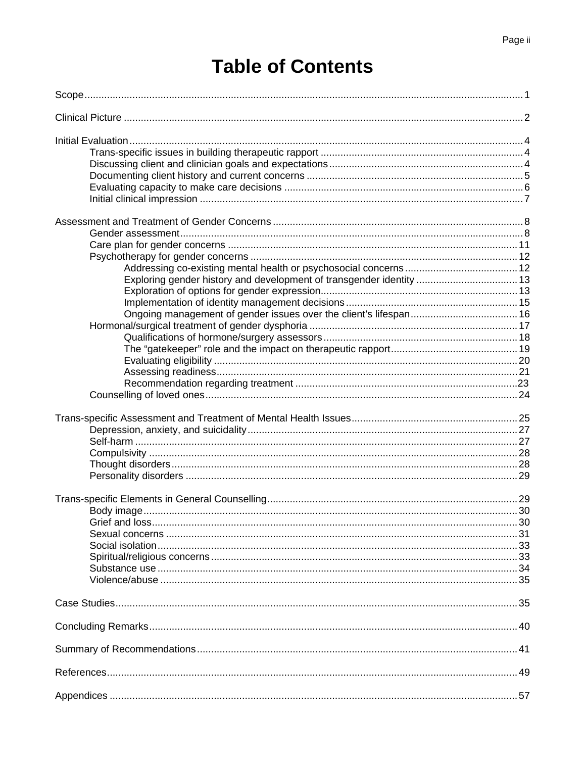# **Table of Contents**

| Exploring gender history and development of transgender identity  13 |  |
|----------------------------------------------------------------------|--|
|                                                                      |  |
|                                                                      |  |
|                                                                      |  |
|                                                                      |  |
|                                                                      |  |
|                                                                      |  |
|                                                                      |  |
|                                                                      |  |
|                                                                      |  |
|                                                                      |  |
|                                                                      |  |
|                                                                      |  |
|                                                                      |  |
|                                                                      |  |
|                                                                      |  |
|                                                                      |  |
|                                                                      |  |
|                                                                      |  |
|                                                                      |  |
|                                                                      |  |
|                                                                      |  |
|                                                                      |  |
|                                                                      |  |
|                                                                      |  |
|                                                                      |  |
|                                                                      |  |
|                                                                      |  |
|                                                                      |  |
|                                                                      |  |
|                                                                      |  |
|                                                                      |  |
|                                                                      |  |
|                                                                      |  |
|                                                                      |  |
|                                                                      |  |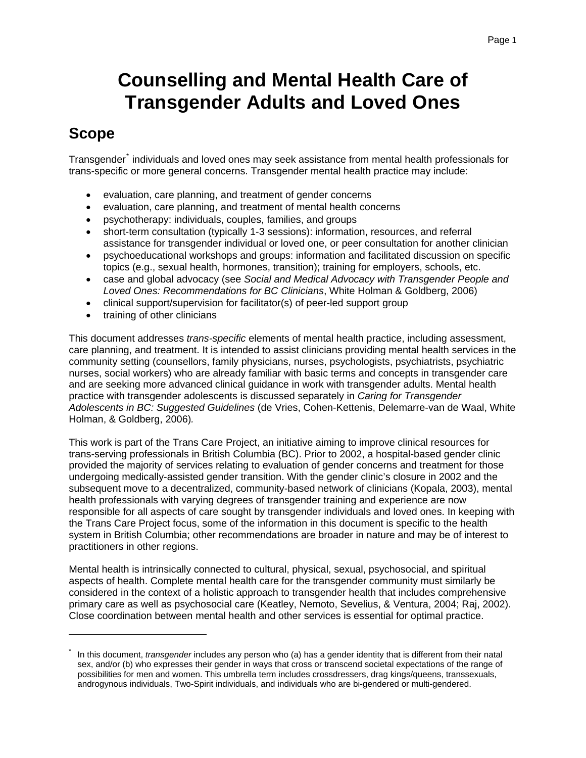# <span id="page-3-0"></span>**Counselling and Mental Health Care of Transgender Adults and Loved Ones**

### **Scope**

 $\overline{a}$ 

Transgender[\\*](#page-3-1) individuals and loved ones may seek assistance from mental health professionals for trans-specific or more general concerns. Transgender mental health practice may include:

- evaluation, care planning, and treatment of gender concerns
- evaluation, care planning, and treatment of mental health concerns
- psychotherapy: individuals, couples, families, and groups
- short-term consultation (typically 1-3 sessions): information, resources, and referral assistance for transgender individual or loved one, or peer consultation for another clinician
- psychoeducational workshops and groups: information and facilitated discussion on specific topics (e.g., sexual health, hormones, transition); training for employers, schools, etc.
- case and global advocacy (see *Social and Medical Advocacy with Transgender People and Loved Ones: Recommendations for BC Clinicians*, White Holman & Goldberg, 2006)
- clinical support/supervision for facilitator(s) of peer-led support group
- training of other clinicians

This document addresses *trans-specific* elements of mental health practice, including assessment, care planning, and treatment. It is intended to assist clinicians providing mental health services in the community setting (counsellors, family physicians, nurses, psychologists, psychiatrists, psychiatric nurses, social workers) who are already familiar with basic terms and concepts in transgender care and are seeking more advanced clinical guidance in work with transgender adults. Mental health practice with transgender adolescents is discussed separately in *Caring for Transgender Adolescents in BC: Suggested Guidelines* (de Vries, Cohen-Kettenis, Delemarre-van de Waal, White Holman, & Goldberg, 2006)*.*

This work is part of the Trans Care Project, an initiative aiming to improve clinical resources for trans-serving professionals in British Columbia (BC). Prior to 2002, a hospital-based gender clinic provided the majority of services relating to evaluation of gender concerns and treatment for those undergoing medically-assisted gender transition. With the gender clinic's closure in 2002 and the subsequent move to a decentralized, community-based network of clinicians (Kopala, 2003), mental health professionals with varying degrees of transgender training and experience are now responsible for all aspects of care sought by transgender individuals and loved ones. In keeping with the Trans Care Project focus, some of the information in this document is specific to the health system in British Columbia; other recommendations are broader in nature and may be of interest to practitioners in other regions.

Mental health is intrinsically connected to cultural, physical, sexual, psychosocial, and spiritual aspects of health. Complete mental health care for the transgender community must similarly be considered in the context of a holistic approach to transgender health that includes comprehensive primary care as well as psychosocial care (Keatley, Nemoto, Sevelius, & Ventura, 2004; Raj, 2002). Close coordination between mental health and other services is essential for optimal practice.

<span id="page-3-1"></span><sup>\*</sup> In this document, *transgender* includes any person who (a) has a gender identity that is different from their natal sex, and/or (b) who expresses their gender in ways that cross or transcend societal expectations of the range of possibilities for men and women. This umbrella term includes crossdressers, drag kings/queens, transsexuals, androgynous individuals, Two-Spirit individuals, and individuals who are bi-gendered or multi-gendered.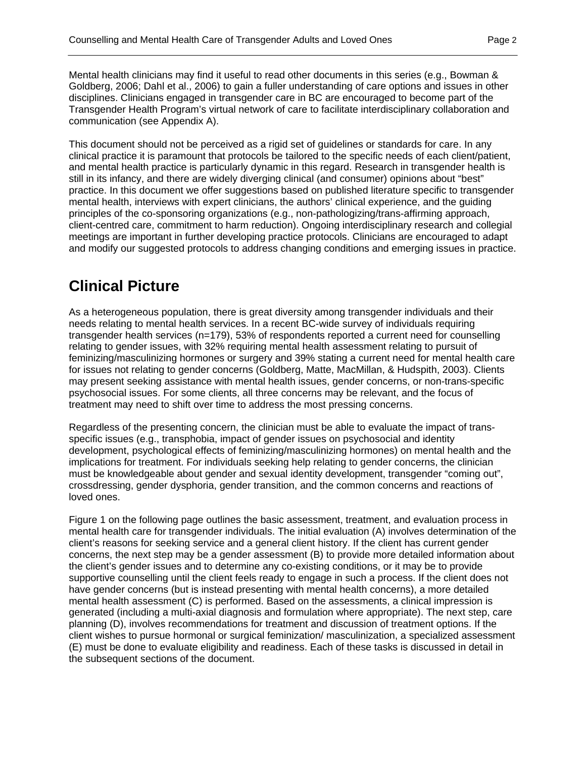<span id="page-4-0"></span>Mental health clinicians may find it useful to read other documents in this series (e.g., Bowman & Goldberg, 2006; Dahl et al., 2006) to gain a fuller understanding of care options and issues in other disciplines. Clinicians engaged in transgender care in BC are encouraged to become part of the Transgender Health Program's virtual network of care to facilitate interdisciplinary collaboration and communication (see Appendix A).

This document should not be perceived as a rigid set of guidelines or standards for care. In any clinical practice it is paramount that protocols be tailored to the specific needs of each client/patient, and mental health practice is particularly dynamic in this regard. Research in transgender health is still in its infancy, and there are widely diverging clinical (and consumer) opinions about "best" practice. In this document we offer suggestions based on published literature specific to transgender mental health, interviews with expert clinicians, the authors' clinical experience, and the guiding principles of the co-sponsoring organizations (e.g., non-pathologizing/trans-affirming approach, client-centred care, commitment to harm reduction). Ongoing interdisciplinary research and collegial meetings are important in further developing practice protocols. Clinicians are encouraged to adapt and modify our suggested protocols to address changing conditions and emerging issues in practice.

### **Clinical Picture**

As a heterogeneous population, there is great diversity among transgender individuals and their needs relating to mental health services. In a recent BC-wide survey of individuals requiring transgender health services (n=179), 53% of respondents reported a current need for counselling relating to gender issues, with 32% requiring mental health assessment relating to pursuit of feminizing/masculinizing hormones or surgery and 39% stating a current need for mental health care for issues not relating to gender concerns (Goldberg, Matte, MacMillan, & Hudspith, 2003). Clients may present seeking assistance with mental health issues, gender concerns, or non-trans-specific psychosocial issues. For some clients, all three concerns may be relevant, and the focus of treatment may need to shift over time to address the most pressing concerns.

Regardless of the presenting concern, the clinician must be able to evaluate the impact of transspecific issues (e.g., transphobia, impact of gender issues on psychosocial and identity development, psychological effects of feminizing/masculinizing hormones) on mental health and the implications for treatment. For individuals seeking help relating to gender concerns, the clinician must be knowledgeable about gender and sexual identity development, transgender "coming out", crossdressing, gender dysphoria, gender transition, and the common concerns and reactions of loved ones.

Figure 1 on the following page outlines the basic assessment, treatment, and evaluation process in mental health care for transgender individuals. The initial evaluation (A) involves determination of the client's reasons for seeking service and a general client history. If the client has current gender concerns, the next step may be a gender assessment (B) to provide more detailed information about the client's gender issues and to determine any co-existing conditions, or it may be to provide supportive counselling until the client feels ready to engage in such a process. If the client does not have gender concerns (but is instead presenting with mental health concerns), a more detailed mental health assessment (C) is performed. Based on the assessments, a clinical impression is generated (including a multi-axial diagnosis and formulation where appropriate). The next step, care planning (D), involves recommendations for treatment and discussion of treatment options. If the client wishes to pursue hormonal or surgical feminization/ masculinization, a specialized assessment (E) must be done to evaluate eligibility and readiness. Each of these tasks is discussed in detail in the subsequent sections of the document.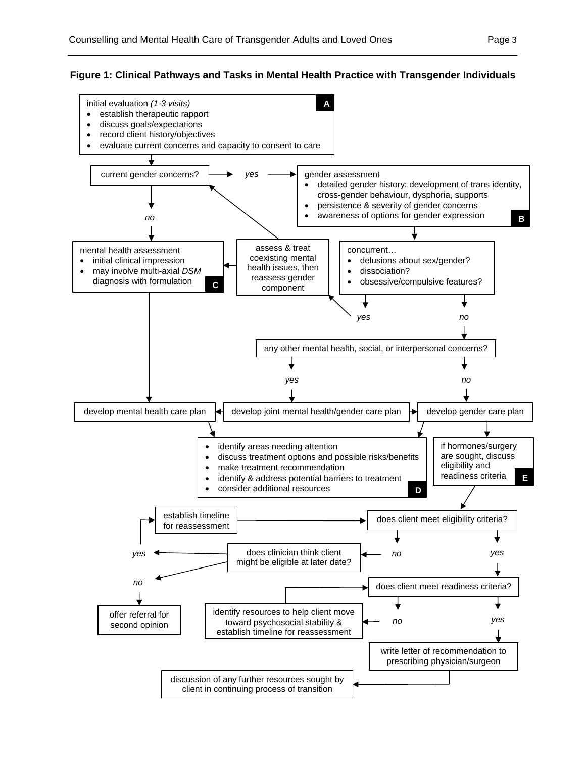

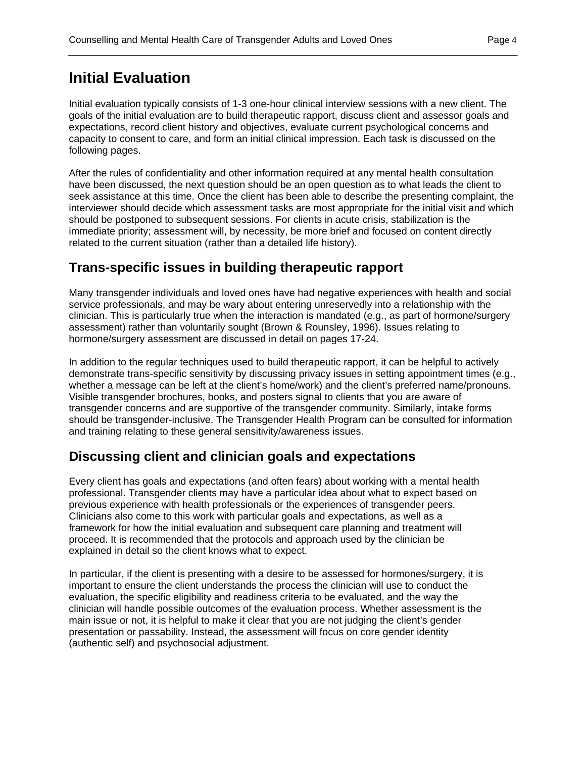## <span id="page-6-0"></span>**Initial Evaluation**

Initial evaluation typically consists of 1-3 one-hour clinical interview sessions with a new client. The goals of the initial evaluation are to build therapeutic rapport, discuss client and assessor goals and expectations, record client history and objectives, evaluate current psychological concerns and capacity to consent to care, and form an initial clinical impression. Each task is discussed on the following pages.

After the rules of confidentiality and other information required at any mental health consultation have been discussed, the next question should be an open question as to what leads the client to seek assistance at this time. Once the client has been able to describe the presenting complaint, the interviewer should decide which assessment tasks are most appropriate for the initial visit and which should be postponed to subsequent sessions. For clients in acute crisis, stabilization is the immediate priority; assessment will, by necessity, be more brief and focused on content directly related to the current situation (rather than a detailed life history).

### **Trans-specific issues in building therapeutic rapport**

Many transgender individuals and loved ones have had negative experiences with health and social service professionals, and may be wary about entering unreservedly into a relationship with the clinician. This is particularly true when the interaction is mandated (e.g., as part of hormone/surgery assessment) rather than voluntarily sought (Brown & Rounsley, 1996). Issues relating to hormone/surgery assessment are discussed in detail on pages 17-24.

In addition to the regular techniques used to build therapeutic rapport, it can be helpful to actively demonstrate trans-specific sensitivity by discussing privacy issues in setting appointment times (e.g., whether a message can be left at the client's home/work) and the client's preferred name/pronouns. Visible transgender brochures, books, and posters signal to clients that you are aware of transgender concerns and are supportive of the transgender community. Similarly, intake forms should be transgender-inclusive. The Transgender Health Program can be consulted for information and training relating to these general sensitivity/awareness issues.

### **Discussing client and clinician goals and expectations**

Every client has goals and expectations (and often fears) about working with a mental health professional. Transgender clients may have a particular idea about what to expect based on previous experience with health professionals or the experiences of transgender peers. Clinicians also come to this work with particular goals and expectations, as well as a framework for how the initial evaluation and subsequent care planning and treatment will proceed. It is recommended that the protocols and approach used by the clinician be explained in detail so the client knows what to expect.

In particular, if the client is presenting with a desire to be assessed for hormones/surgery, it is important to ensure the client understands the process the clinician will use to conduct the evaluation, the specific eligibility and readiness criteria to be evaluated, and the way the clinician will handle possible outcomes of the evaluation process. Whether assessment is the main issue or not, it is helpful to make it clear that you are not judging the client's gender presentation or passability. Instead, the assessment will focus on core gender identity (authentic self) and psychosocial adjustment.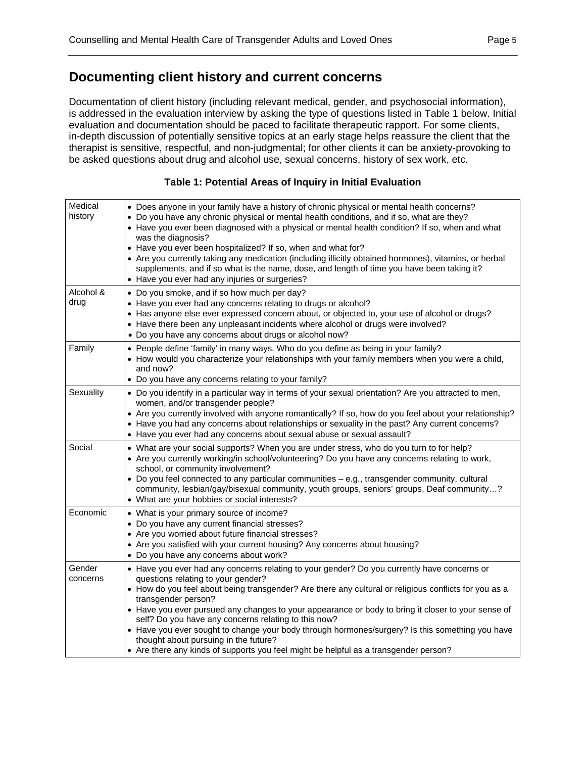### <span id="page-7-0"></span>**Documenting client history and current concerns**

Documentation of client history (including relevant medical, gender, and psychosocial information), is addressed in the evaluation interview by asking the type of questions listed in Table 1 below. Initial evaluation and documentation should be paced to facilitate therapeutic rapport. For some clients, in-depth discussion of potentially sensitive topics at an early stage helps reassure the client that the therapist is sensitive, respectful, and non-judgmental; for other clients it can be anxiety-provoking to be asked questions about drug and alcohol use, sexual concerns, history of sex work, etc.

#### Medical history • Does anyone in your family have a history of chronic physical or mental health concerns? • Do you have any chronic physical or mental health conditions, and if so, what are they? • Have you ever been diagnosed with a physical or mental health condition? If so, when and what was the diagnosis? • Have you ever been hospitalized? If so, when and what for? • Are you currently taking any medication (including illicitly obtained hormones), vitamins, or herbal supplements, and if so what is the name, dose, and length of time you have been taking it? • Have you ever had any injuries or surgeries? Alcohol & drug • Do you smoke, and if so how much per day? • Have you ever had any concerns relating to drugs or alcohol? • Has anyone else ever expressed concern about, or objected to, your use of alcohol or drugs? • Have there been any unpleasant incidents where alcohol or drugs were involved? • Do you have any concerns about drugs or alcohol now? Family • People define 'family' in many ways. Who do you define as being in your family? • How would you characterize your relationships with your family members when you were a child, and now? • Do you have any concerns relating to your family? Sexuality  $\bullet$  Do you identify in a particular way in terms of your sexual orientation? Are you attracted to men, women, and/or transgender people? • Are you currently involved with anyone romantically? If so, how do you feel about your relationship? • Have you had any concerns about relationships or sexuality in the past? Any current concerns? • Have you ever had any concerns about sexual abuse or sexual assault? Social • What are your social supports? When you are under stress, who do you turn to for help? • Are you currently working/in school/volunteering? Do you have any concerns relating to work, school, or community involvement? • Do you feel connected to any particular communities – e.g., transgender community, cultural community, lesbian/gay/bisexual community, youth groups, seniors' groups, Deaf community…? • What are your hobbies or social interests? Economic • What is your primary source of income? • Do you have any current financial stresses? • Are you worried about future financial stresses? • Are you satisfied with your current housing? Any concerns about housing? • Do you have any concerns about work? Gender concerns • Have you ever had any concerns relating to your gender? Do you currently have concerns or questions relating to your gender? • How do you feel about being transgender? Are there any cultural or religious conflicts for you as a transgender person? • Have you ever pursued any changes to your appearance or body to bring it closer to your sense of self? Do you have any concerns relating to this now? • Have you ever sought to change your body through hormones/surgery? Is this something you have thought about pursuing in the future? • Are there any kinds of supports you feel might be helpful as a transgender person?

#### **Table 1: Potential Areas of Inquiry in Initial Evaluation**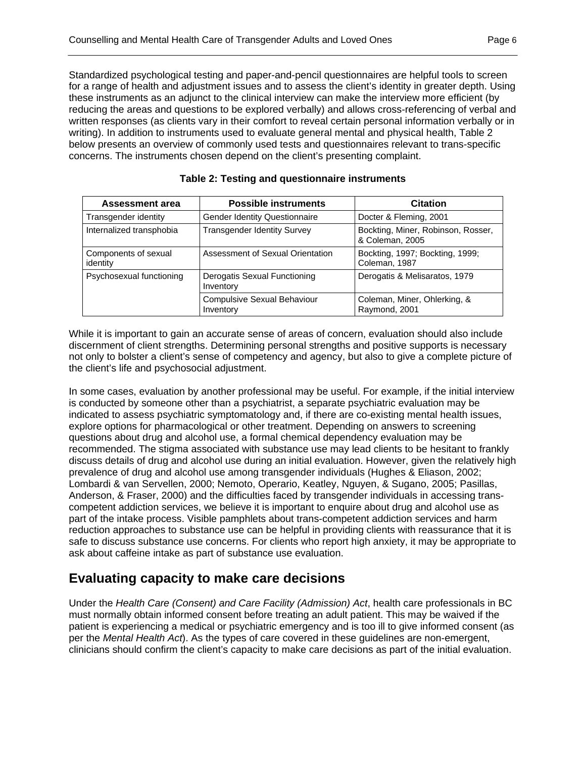<span id="page-8-0"></span>Standardized psychological testing and paper-and-pencil questionnaires are helpful tools to screen for a range of health and adjustment issues and to assess the client's identity in greater depth. Using these instruments as an adjunct to the clinical interview can make the interview more efficient (by reducing the areas and questions to be explored verbally) and allows cross-referencing of verbal and written responses (as clients vary in their comfort to reveal certain personal information verbally or in writing). In addition to instruments used to evaluate general mental and physical health, Table 2 below presents an overview of commonly used tests and questionnaires relevant to trans-specific concerns. The instruments chosen depend on the client's presenting complaint.

| Assessment area                  | <b>Possible instruments</b>               | <b>Citation</b>                                       |
|----------------------------------|-------------------------------------------|-------------------------------------------------------|
| Transgender identity             | <b>Gender Identity Questionnaire</b>      | Docter & Fleming, 2001                                |
| Internalized transphobia         | <b>Transgender Identity Survey</b>        | Bockting, Miner, Robinson, Rosser,<br>& Coleman, 2005 |
| Components of sexual<br>identity | Assessment of Sexual Orientation          | Bockting, 1997; Bockting, 1999;<br>Coleman, 1987      |
| Psychosexual functioning         | Derogatis Sexual Functioning<br>Inventory | Derogatis & Melisaratos, 1979                         |
|                                  | Compulsive Sexual Behaviour<br>Inventory  | Coleman, Miner, Ohlerking, &<br>Raymond, 2001         |

**Table 2: Testing and questionnaire instruments** 

While it is important to gain an accurate sense of areas of concern, evaluation should also include discernment of client strengths. Determining personal strengths and positive supports is necessary not only to bolster a client's sense of competency and agency, but also to give a complete picture of the client's life and psychosocial adjustment.

In some cases, evaluation by another professional may be useful. For example, if the initial interview is conducted by someone other than a psychiatrist, a separate psychiatric evaluation may be indicated to assess psychiatric symptomatology and, if there are co-existing mental health issues, explore options for pharmacological or other treatment. Depending on answers to screening questions about drug and alcohol use, a formal chemical dependency evaluation may be recommended. The stigma associated with substance use may lead clients to be hesitant to frankly discuss details of drug and alcohol use during an initial evaluation. However, given the relatively high prevalence of drug and alcohol use among transgender individuals (Hughes & Eliason, 2002; Lombardi & van Servellen, 2000; Nemoto, Operario, Keatley, Nguyen, & Sugano, 2005; Pasillas, Anderson, & Fraser, 2000) and the difficulties faced by transgender individuals in accessing transcompetent addiction services, we believe it is important to enquire about drug and alcohol use as part of the intake process. Visible pamphlets about trans-competent addiction services and harm reduction approaches to substance use can be helpful in providing clients with reassurance that it is safe to discuss substance use concerns. For clients who report high anxiety, it may be appropriate to ask about caffeine intake as part of substance use evaluation.

### **Evaluating capacity to make care decisions**

Under the *Health Care (Consent) and Care Facility (Admission) Act*, health care professionals in BC must normally obtain informed consent before treating an adult patient. This may be waived if the patient is experiencing a medical or psychiatric emergency and is too ill to give informed consent (as per the *Mental Health Act*). As the types of care covered in these guidelines are non-emergent, clinicians should confirm the client's capacity to make care decisions as part of the initial evaluation.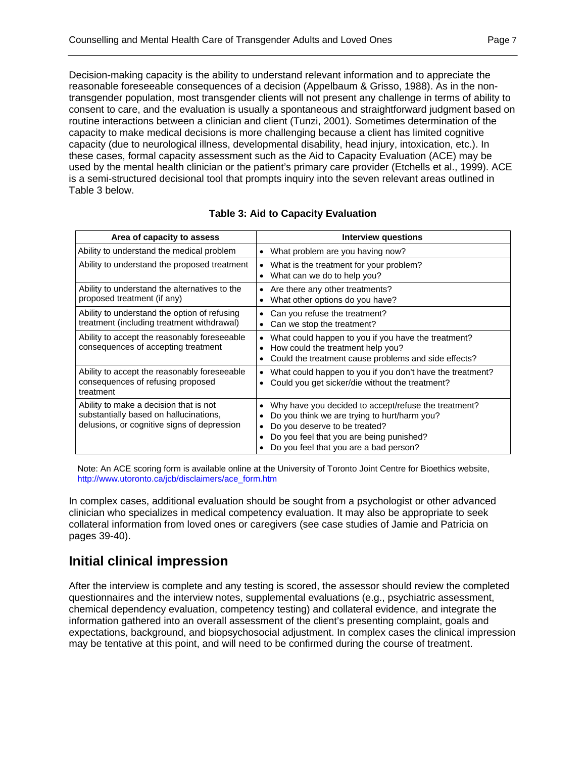<span id="page-9-0"></span>Decision-making capacity is the ability to understand relevant information and to appreciate the reasonable foreseeable consequences of a decision (Appelbaum & Grisso, 1988). As in the nontransgender population, most transgender clients will not present any challenge in terms of ability to consent to care, and the evaluation is usually a spontaneous and straightforward judgment based on routine interactions between a clinician and client (Tunzi, 2001). Sometimes determination of the capacity to make medical decisions is more challenging because a client has limited cognitive capacity (due to neurological illness, developmental disability, head injury, intoxication, etc.). In these cases, formal capacity assessment such as the Aid to Capacity Evaluation (ACE) may be used by the mental health clinician or the patient's primary care provider (Etchells et al., 1999). ACE is a semi-structured decisional tool that prompts inquiry into the seven relevant areas outlined in Table 3 below.

| Area of capacity to assess                                                                                                      | Interview questions                                                                                                                                                                                                         |
|---------------------------------------------------------------------------------------------------------------------------------|-----------------------------------------------------------------------------------------------------------------------------------------------------------------------------------------------------------------------------|
| Ability to understand the medical problem                                                                                       | What problem are you having now?                                                                                                                                                                                            |
| Ability to understand the proposed treatment                                                                                    | What is the treatment for your problem?<br>What can we do to help you?                                                                                                                                                      |
| Ability to understand the alternatives to the<br>proposed treatment (if any)                                                    | Are there any other treatments?<br>What other options do you have?                                                                                                                                                          |
| Ability to understand the option of refusing<br>treatment (including treatment withdrawal)                                      | Can you refuse the treatment?<br>Can we stop the treatment?                                                                                                                                                                 |
| Ability to accept the reasonably foreseeable<br>consequences of accepting treatment                                             | What could happen to you if you have the treatment?<br>How could the treatment help you?<br>Could the treatment cause problems and side effects?                                                                            |
| Ability to accept the reasonably foreseeable<br>consequences of refusing proposed<br>treatment                                  | What could happen to you if you don't have the treatment?<br>Could you get sicker/die without the treatment?                                                                                                                |
| Ability to make a decision that is not<br>substantially based on hallucinations,<br>delusions, or cognitive signs of depression | Why have you decided to accept/refuse the treatment?<br>Do you think we are trying to hurt/harm you?<br>Do you deserve to be treated?<br>Do you feel that you are being punished?<br>Do you feel that you are a bad person? |

#### **Table 3: Aid to Capacity Evaluation**

Note: An ACE scoring form is available online at the University of Toronto Joint Centre for Bioethics website, [http://www.utoronto.ca/jcb/disclaimers/ace\\_form.htm](http://www.utoronto.ca/jcb/disclaimers/ace_form.htm) 

In complex cases, additional evaluation should be sought from a psychologist or other advanced clinician who specializes in medical competency evaluation. It may also be appropriate to seek collateral information from loved ones or caregivers (see case studies of Jamie and Patricia on pages 39-40).

### **Initial clinical impression**

After the interview is complete and any testing is scored, the assessor should review the completed questionnaires and the interview notes, supplemental evaluations (e.g., psychiatric assessment, chemical dependency evaluation, competency testing) and collateral evidence, and integrate the information gathered into an overall assessment of the client's presenting complaint, goals and expectations, background, and biopsychosocial adjustment. In complex cases the clinical impression may be tentative at this point, and will need to be confirmed during the course of treatment.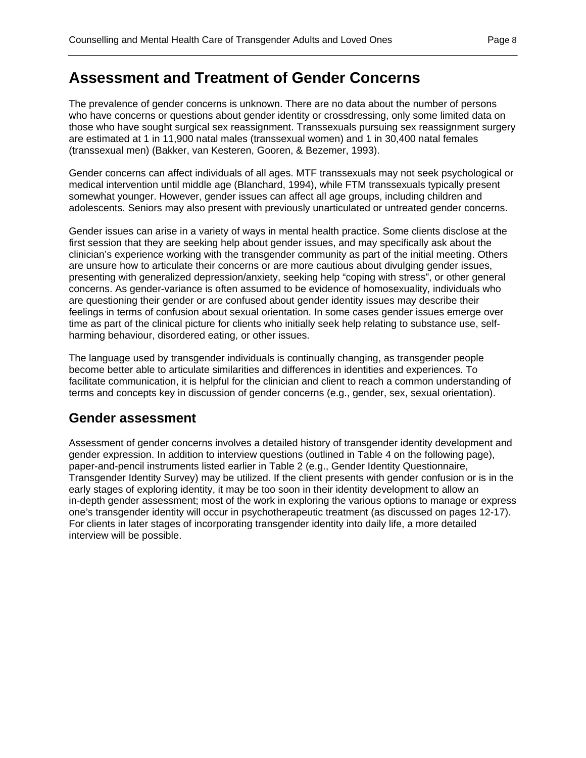### <span id="page-10-0"></span>**Assessment and Treatment of Gender Concerns**

The prevalence of gender concerns is unknown. There are no data about the number of persons who have concerns or questions about gender identity or crossdressing, only some limited data on those who have sought surgical sex reassignment. Transsexuals pursuing sex reassignment surgery are estimated at 1 in 11,900 natal males (transsexual women) and 1 in 30,400 natal females (transsexual men) (Bakker, van Kesteren, Gooren, & Bezemer, 1993).

Gender concerns can affect individuals of all ages. MTF transsexuals may not seek psychological or medical intervention until middle age (Blanchard, 1994), while FTM transsexuals typically present somewhat younger. However, gender issues can affect all age groups, including children and adolescents. Seniors may also present with previously unarticulated or untreated gender concerns.

Gender issues can arise in a variety of ways in mental health practice. Some clients disclose at the first session that they are seeking help about gender issues, and may specifically ask about the clinician's experience working with the transgender community as part of the initial meeting. Others are unsure how to articulate their concerns or are more cautious about divulging gender issues, presenting with generalized depression/anxiety, seeking help "coping with stress", or other general concerns. As gender-variance is often assumed to be evidence of homosexuality, individuals who are questioning their gender or are confused about gender identity issues may describe their feelings in terms of confusion about sexual orientation. In some cases gender issues emerge over time as part of the clinical picture for clients who initially seek help relating to substance use, selfharming behaviour, disordered eating, or other issues.

The language used by transgender individuals is continually changing, as transgender people become better able to articulate similarities and differences in identities and experiences. To facilitate communication, it is helpful for the clinician and client to reach a common understanding of terms and concepts key in discussion of gender concerns (e.g., gender, sex, sexual orientation).

### **Gender assessment**

Assessment of gender concerns involves a detailed history of transgender identity development and gender expression. In addition to interview questions (outlined in Table 4 on the following page), paper-and-pencil instruments listed earlier in Table 2 (e.g., Gender Identity Questionnaire, Transgender Identity Survey) may be utilized. If the client presents with gender confusion or is in the early stages of exploring identity, it may be too soon in their identity development to allow an in-depth gender assessment; most of the work in exploring the various options to manage or express one's transgender identity will occur in psychotherapeutic treatment (as discussed on pages 12-17). For clients in later stages of incorporating transgender identity into daily life, a more detailed interview will be possible.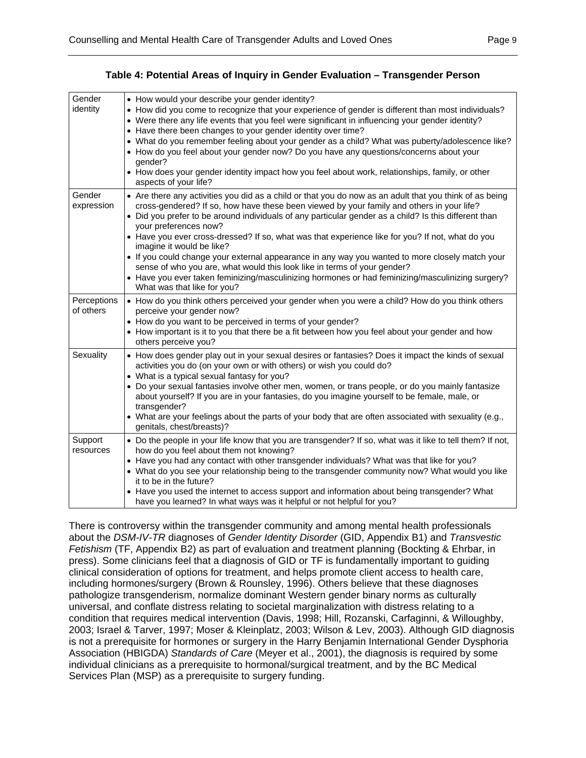| Gender<br>identity       | • How would your describe your gender identity?<br>• How did you come to recognize that your experience of gender is different than most individuals?<br>• Were there any life events that you feel were significant in influencing your gender identity?<br>• Have there been changes to your gender identity over time?<br>. What do you remember feeling about your gender as a child? What was puberty/adolescence like?<br>• How do you feel about your gender now? Do you have any questions/concerns about your<br>qender?<br>• How does your gender identity impact how you feel about work, relationships, family, or other<br>aspects of your life?                                                                                                                             |
|--------------------------|-------------------------------------------------------------------------------------------------------------------------------------------------------------------------------------------------------------------------------------------------------------------------------------------------------------------------------------------------------------------------------------------------------------------------------------------------------------------------------------------------------------------------------------------------------------------------------------------------------------------------------------------------------------------------------------------------------------------------------------------------------------------------------------------|
| Gender<br>expression     | • Are there any activities you did as a child or that you do now as an adult that you think of as being<br>cross-gendered? If so, how have these been viewed by your family and others in your life?<br>• Did you prefer to be around individuals of any particular gender as a child? Is this different than<br>your preferences now?<br>• Have you ever cross-dressed? If so, what was that experience like for you? If not, what do you<br>imagine it would be like?<br>• If you could change your external appearance in any way you wanted to more closely match your<br>sense of who you are, what would this look like in terms of your gender?<br>• Have you ever taken feminizing/masculinizing hormones or had feminizing/masculinizing surgery?<br>What was that like for you? |
| Perceptions<br>of others | • How do you think others perceived your gender when you were a child? How do you think others<br>perceive your gender now?<br>• How do you want to be perceived in terms of your gender?<br>• How important is it to you that there be a fit between how you feel about your gender and how<br>others perceive you?                                                                                                                                                                                                                                                                                                                                                                                                                                                                      |
| Sexuality                | • How does gender play out in your sexual desires or fantasies? Does it impact the kinds of sexual<br>activities you do (on your own or with others) or wish you could do?<br>• What is a typical sexual fantasy for you?<br>• Do your sexual fantasies involve other men, women, or trans people, or do you mainly fantasize<br>about yourself? If you are in your fantasies, do you imagine yourself to be female, male, or<br>transgender?<br>. What are your feelings about the parts of your body that are often associated with sexuality (e.g.,<br>genitals, chest/breasts)?                                                                                                                                                                                                       |
| Support<br>resources     | . Do the people in your life know that you are transgender? If so, what was it like to tell them? If not,<br>how do you feel about them not knowing?<br>• Have you had any contact with other transgender individuals? What was that like for you?<br>• What do you see your relationship being to the transgender community now? What would you like<br>it to be in the future?<br>• Have you used the internet to access support and information about being transgender? What<br>have you learned? In what ways was it helpful or not helpful for you?                                                                                                                                                                                                                                 |

|  |  |  | Table 4: Potential Areas of Inquiry in Gender Evaluation - Transgender Person |  |
|--|--|--|-------------------------------------------------------------------------------|--|
|  |  |  |                                                                               |  |

There is controversy within the transgender community and among mental health professionals about the *DSM-IV-TR* diagnoses of *Gender Identity Disorder* (GID, Appendix B1) and *Transvestic Fetishism* (TF, Appendix B2) as part of evaluation and treatment planning (Bockting & Ehrbar, in press). Some clinicians feel that a diagnosis of GID or TF is fundamentally important to guiding clinical consideration of options for treatment, and helps promote client access to health care, including hormones/surgery (Brown & Rounsley, 1996). Others believe that these diagnoses pathologize transgenderism, normalize dominant Western gender binary norms as culturally universal, and conflate distress relating to societal marginalization with distress relating to a condition that requires medical intervention (Davis, 1998; Hill, Rozanski, Carfaginni, & Willoughby, 2003; Israel & Tarver, 1997; Moser & Kleinplatz, 2003; Wilson & Lev, 2003). Although GID diagnosis is not a prerequisite for hormones or surgery in the Harry Benjamin International Gender Dysphoria Association (HBIGDA) *Standards of Care* (Meyer et al., 2001), the diagnosis is required by some individual clinicians as a prerequisite to hormonal/surgical treatment, and by the BC Medical Services Plan (MSP) as a prerequisite to surgery funding.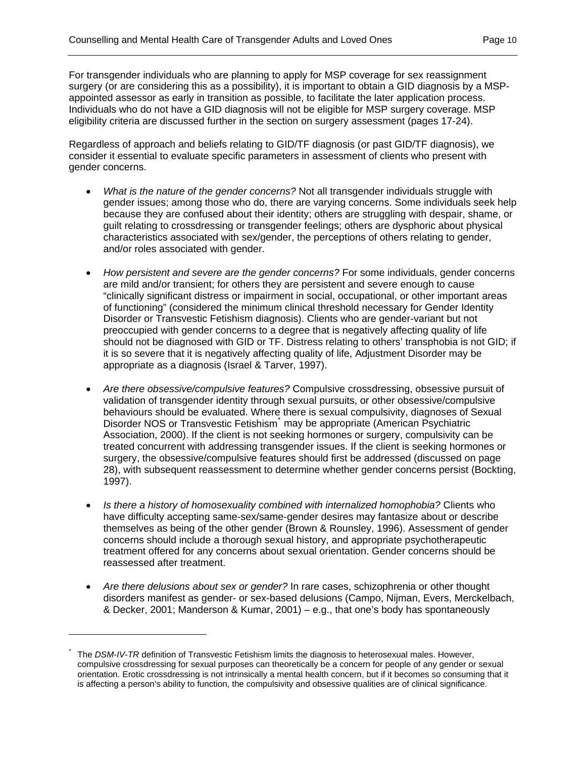For transgender individuals who are planning to apply for MSP coverage for sex reassignment surgery (or are considering this as a possibility), it is important to obtain a GID diagnosis by a MSPappointed assessor as early in transition as possible, to facilitate the later application process. Individuals who do not have a GID diagnosis will not be eligible for MSP surgery coverage. MSP eligibility criteria are discussed further in the section on surgery assessment (pages 17-24).

Regardless of approach and beliefs relating to GID/TF diagnosis (or past GID/TF diagnosis), we consider it essential to evaluate specific parameters in assessment of clients who present with gender concerns.

- *What is the nature of the gender concerns?* Not all transgender individuals struggle with gender issues; among those who do, there are varying concerns. Some individuals seek help because they are confused about their identity; others are struggling with despair, shame, or guilt relating to crossdressing or transgender feelings; others are dysphoric about physical characteristics associated with sex/gender, the perceptions of others relating to gender, and/or roles associated with gender.
- *How persistent and severe are the gender concerns?* For some individuals, gender concerns are mild and/or transient; for others they are persistent and severe enough to cause "clinically significant distress or impairment in social, occupational, or other important areas of functioning" (considered the minimum clinical threshold necessary for Gender Identity Disorder or Transvestic Fetishism diagnosis). Clients who are gender-variant but not preoccupied with gender concerns to a degree that is negatively affecting quality of life should not be diagnosed with GID or TF. Distress relating to others' transphobia is not GID; if it is so severe that it is negatively affecting quality of life, Adjustment Disorder may be appropriate as a diagnosis (Israel & Tarver, 1997).
- *Are there obsessive/compulsive features?* Compulsive crossdressing, obsessive pursuit of validation of transgender identity through sexual pursuits, or other obsessive/compulsive behaviours should be evaluated. Where there is sexual compulsivity, diagnoses of Sexual Disorder NOS or Transvestic Fetishism<sup>[\\*](#page-12-0)</sup> may be appropriate (American Psychiatric Association, 2000). If the client is not seeking hormones or surgery, compulsivity can be treated concurrent with addressing transgender issues. If the client is seeking hormones or surgery, the obsessive/compulsive features should first be addressed (discussed on page 28), with subsequent reassessment to determine whether gender concerns persist (Bockting, 1997).
- *Is there a history of homosexuality combined with internalized homophobia?* Clients who have difficulty accepting same-sex/same-gender desires may fantasize about or describe themselves as being of the other gender (Brown & Rounsley, 1996). Assessment of gender concerns should include a thorough sexual history, and appropriate psychotherapeutic treatment offered for any concerns about sexual orientation. Gender concerns should be reassessed after treatment.
- *Are there delusions about sex or gender?* In rare cases, schizophrenia or other thought disorders manifest as gender- or sex-based delusions (Campo, Nijman, Evers, Merckelbach, & Decker, 2001; Manderson & Kumar, 2001) – e.g., that one's body has spontaneously

 $\overline{a}$ 

<span id="page-12-0"></span><sup>\*</sup> The *DSM-IV-TR* definition of Transvestic Fetishism limits the diagnosis to heterosexual males. However, compulsive crossdressing for sexual purposes can theoretically be a concern for people of any gender or sexual orientation. Erotic crossdressing is not intrinsically a mental health concern, but if it becomes so consuming that it is affecting a person's ability to function, the compulsivity and obsessive qualities are of clinical significance.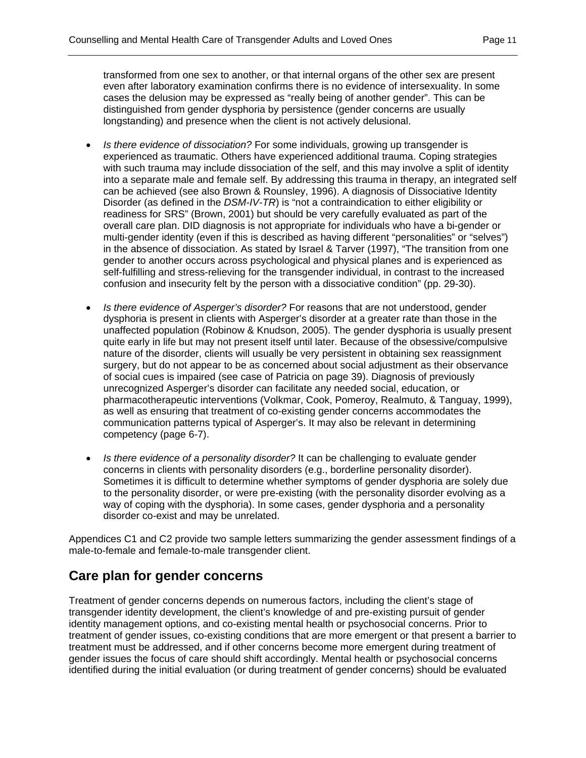<span id="page-13-0"></span>transformed from one sex to another, or that internal organs of the other sex are present even after laboratory examination confirms there is no evidence of intersexuality. In some cases the delusion may be expressed as "really being of another gender". This can be distinguished from gender dysphoria by persistence (gender concerns are usually longstanding) and presence when the client is not actively delusional.

- *Is there evidence of dissociation?* For some individuals, growing up transgender is experienced as traumatic. Others have experienced additional trauma. Coping strategies with such trauma may include dissociation of the self, and this may involve a split of identity into a separate male and female self. By addressing this trauma in therapy, an integrated self can be achieved (see also Brown & Rounsley, 1996). A diagnosis of Dissociative Identity Disorder (as defined in the *DSM-IV-TR*) is "not a contraindication to either eligibility or readiness for SRS" (Brown, 2001) but should be very carefully evaluated as part of the overall care plan. DID diagnosis is not appropriate for individuals who have a bi-gender or multi-gender identity (even if this is described as having different "personalities" or "selves") in the absence of dissociation. As stated by Israel & Tarver (1997), "The transition from one gender to another occurs across psychological and physical planes and is experienced as self-fulfilling and stress-relieving for the transgender individual, in contrast to the increased confusion and insecurity felt by the person with a dissociative condition" (pp. 29-30).
- *Is there evidence of Asperger's disorder?* For reasons that are not understood, gender dysphoria is present in clients with Asperger's disorder at a greater rate than those in the unaffected population (Robinow & Knudson, 2005). The gender dysphoria is usually present quite early in life but may not present itself until later. Because of the obsessive/compulsive nature of the disorder, clients will usually be very persistent in obtaining sex reassignment surgery, but do not appear to be as concerned about social adjustment as their observance of social cues is impaired (see case of Patricia on page 39). Diagnosis of previously unrecognized Asperger's disorder can facilitate any needed social, education, or pharmacotherapeutic interventions (Volkmar, Cook, Pomeroy, Realmuto, & Tanguay, 1999), as well as ensuring that treatment of co-existing gender concerns accommodates the communication patterns typical of Asperger's. It may also be relevant in determining competency (page 6-7).
- *Is there evidence of a personality disorder?* It can be challenging to evaluate gender concerns in clients with personality disorders (e.g., borderline personality disorder). Sometimes it is difficult to determine whether symptoms of gender dysphoria are solely due to the personality disorder, or were pre-existing (with the personality disorder evolving as a way of coping with the dysphoria). In some cases, gender dysphoria and a personality disorder co-exist and may be unrelated.

Appendices C1 and C2 provide two sample letters summarizing the gender assessment findings of a male-to-female and female-to-male transgender client.

### **Care plan for gender concerns**

Treatment of gender concerns depends on numerous factors, including the client's stage of transgender identity development, the client's knowledge of and pre-existing pursuit of gender identity management options, and co-existing mental health or psychosocial concerns. Prior to treatment of gender issues, co-existing conditions that are more emergent or that present a barrier to treatment must be addressed, and if other concerns become more emergent during treatment of gender issues the focus of care should shift accordingly. Mental health or psychosocial concerns identified during the initial evaluation (or during treatment of gender concerns) should be evaluated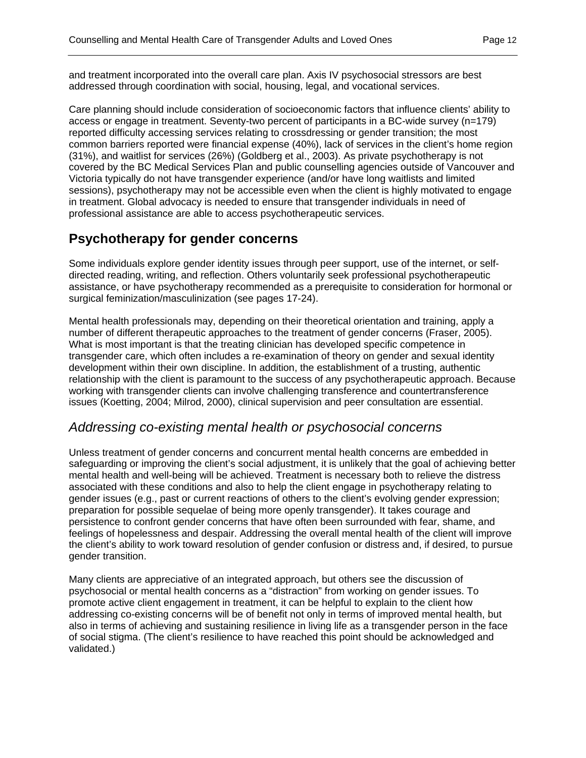<span id="page-14-0"></span>and treatment incorporated into the overall care plan. Axis IV psychosocial stressors are best addressed through coordination with social, housing, legal, and vocational services.

Care planning should include consideration of socioeconomic factors that influence clients' ability to access or engage in treatment. Seventy-two percent of participants in a BC-wide survey (n=179) reported difficulty accessing services relating to crossdressing or gender transition; the most common barriers reported were financial expense (40%), lack of services in the client's home region (31%), and waitlist for services (26%) (Goldberg et al., 2003). As private psychotherapy is not covered by the BC Medical Services Plan and public counselling agencies outside of Vancouver and Victoria typically do not have transgender experience (and/or have long waitlists and limited sessions), psychotherapy may not be accessible even when the client is highly motivated to engage in treatment. Global advocacy is needed to ensure that transgender individuals in need of professional assistance are able to access psychotherapeutic services.

### **Psychotherapy for gender concerns**

Some individuals explore gender identity issues through peer support, use of the internet, or selfdirected reading, writing, and reflection. Others voluntarily seek professional psychotherapeutic assistance, or have psychotherapy recommended as a prerequisite to consideration for hormonal or surgical feminization/masculinization (see pages 17-24).

Mental health professionals may, depending on their theoretical orientation and training, apply a number of different therapeutic approaches to the treatment of gender concerns (Fraser, 2005). What is most important is that the treating clinician has developed specific competence in transgender care, which often includes a re-examination of theory on gender and sexual identity development within their own discipline. In addition, the establishment of a trusting, authentic relationship with the client is paramount to the success of any psychotherapeutic approach. Because working with transgender clients can involve challenging transference and countertransference issues (Koetting, 2004; Milrod, 2000), clinical supervision and peer consultation are essential.

### *Addressing co-existing mental health or psychosocial concerns*

Unless treatment of gender concerns and concurrent mental health concerns are embedded in safeguarding or improving the client's social adjustment, it is unlikely that the goal of achieving better mental health and well-being will be achieved. Treatment is necessary both to relieve the distress associated with these conditions and also to help the client engage in psychotherapy relating to gender issues (e.g., past or current reactions of others to the client's evolving gender expression; preparation for possible sequelae of being more openly transgender). It takes courage and persistence to confront gender concerns that have often been surrounded with fear, shame, and feelings of hopelessness and despair. Addressing the overall mental health of the client will improve the client's ability to work toward resolution of gender confusion or distress and, if desired, to pursue gender transition.

Many clients are appreciative of an integrated approach, but others see the discussion of psychosocial or mental health concerns as a "distraction" from working on gender issues. To promote active client engagement in treatment, it can be helpful to explain to the client how addressing co-existing concerns will be of benefit not only in terms of improved mental health, but also in terms of achieving and sustaining resilience in living life as a transgender person in the face of social stigma. (The client's resilience to have reached this point should be acknowledged and validated.)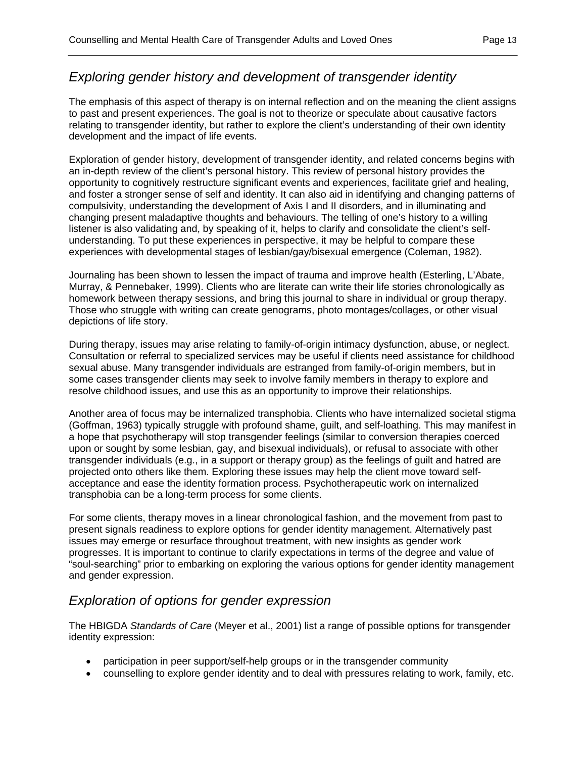### <span id="page-15-0"></span>*Exploring gender history and development of transgender identity*

The emphasis of this aspect of therapy is on internal reflection and on the meaning the client assigns to past and present experiences. The goal is not to theorize or speculate about causative factors relating to transgender identity, but rather to explore the client's understanding of their own identity development and the impact of life events.

Exploration of gender history, development of transgender identity, and related concerns begins with an in-depth review of the client's personal history. This review of personal history provides the opportunity to cognitively restructure significant events and experiences, facilitate grief and healing, and foster a stronger sense of self and identity. It can also aid in identifying and changing patterns of compulsivity, understanding the development of Axis I and II disorders, and in illuminating and changing present maladaptive thoughts and behaviours. The telling of one's history to a willing listener is also validating and, by speaking of it, helps to clarify and consolidate the client's selfunderstanding. To put these experiences in perspective, it may be helpful to compare these experiences with developmental stages of lesbian/gay/bisexual emergence (Coleman, 1982).

Journaling has been shown to lessen the impact of trauma and improve health (Esterling, L'Abate, Murray, & Pennebaker, 1999). Clients who are literate can write their life stories chronologically as homework between therapy sessions, and bring this journal to share in individual or group therapy. Those who struggle with writing can create genograms, photo montages/collages, or other visual depictions of life story.

During therapy, issues may arise relating to family-of-origin intimacy dysfunction, abuse, or neglect. Consultation or referral to specialized services may be useful if clients need assistance for childhood sexual abuse. Many transgender individuals are estranged from family-of-origin members, but in some cases transgender clients may seek to involve family members in therapy to explore and resolve childhood issues, and use this as an opportunity to improve their relationships.

Another area of focus may be internalized transphobia. Clients who have internalized societal stigma (Goffman, 1963) typically struggle with profound shame, guilt, and self-loathing. This may manifest in a hope that psychotherapy will stop transgender feelings (similar to conversion therapies coerced upon or sought by some lesbian, gay, and bisexual individuals), or refusal to associate with other transgender individuals (e.g., in a support or therapy group) as the feelings of guilt and hatred are projected onto others like them. Exploring these issues may help the client move toward selfacceptance and ease the identity formation process. Psychotherapeutic work on internalized transphobia can be a long-term process for some clients.

For some clients, therapy moves in a linear chronological fashion, and the movement from past to present signals readiness to explore options for gender identity management. Alternatively past issues may emerge or resurface throughout treatment, with new insights as gender work progresses. It is important to continue to clarify expectations in terms of the degree and value of "soul-searching" prior to embarking on exploring the various options for gender identity management and gender expression.

### *Exploration of options for gender expression*

The HBIGDA *Standards of Care* (Meyer et al., 2001) list a range of possible options for transgender identity expression:

- participation in peer support/self-help groups or in the transgender community
- counselling to explore gender identity and to deal with pressures relating to work, family, etc.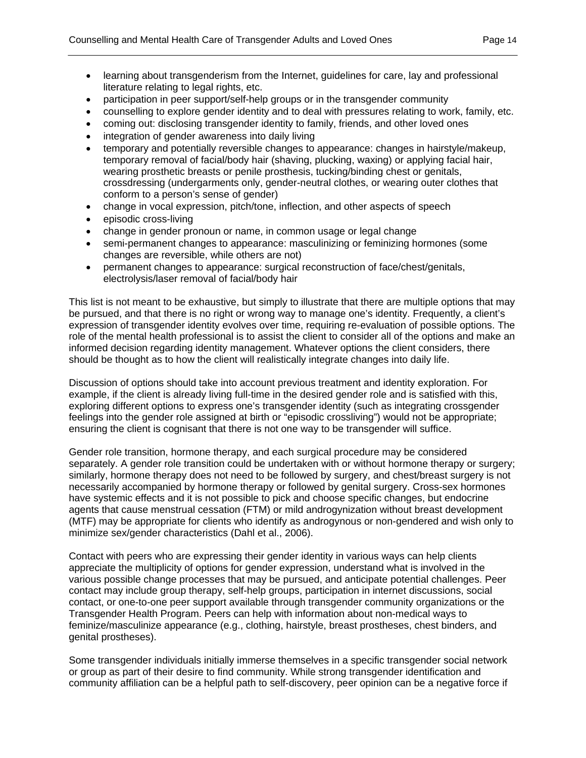- learning about transgenderism from the Internet, guidelines for care, lay and professional literature relating to legal rights, etc.
- participation in peer support/self-help groups or in the transgender community
- counselling to explore gender identity and to deal with pressures relating to work, family, etc.
- coming out: disclosing transgender identity to family, friends, and other loved ones
- integration of gender awareness into daily living
- temporary and potentially reversible changes to appearance: changes in hairstyle/makeup, temporary removal of facial/body hair (shaving, plucking, waxing) or applying facial hair, wearing prosthetic breasts or penile prosthesis, tucking/binding chest or genitals, crossdressing (undergarments only, gender-neutral clothes, or wearing outer clothes that conform to a person's sense of gender)
- change in vocal expression, pitch/tone, inflection, and other aspects of speech
- episodic cross-living
- change in gender pronoun or name, in common usage or legal change
- semi-permanent changes to appearance: masculinizing or feminizing hormones (some changes are reversible, while others are not)
- permanent changes to appearance: surgical reconstruction of face/chest/genitals, electrolysis/laser removal of facial/body hair

This list is not meant to be exhaustive, but simply to illustrate that there are multiple options that may be pursued, and that there is no right or wrong way to manage one's identity. Frequently, a client's expression of transgender identity evolves over time, requiring re-evaluation of possible options. The role of the mental health professional is to assist the client to consider all of the options and make an informed decision regarding identity management. Whatever options the client considers, there should be thought as to how the client will realistically integrate changes into daily life.

Discussion of options should take into account previous treatment and identity exploration. For example, if the client is already living full-time in the desired gender role and is satisfied with this, exploring different options to express one's transgender identity (such as integrating crossgender feelings into the gender role assigned at birth or "episodic crossliving") would not be appropriate; ensuring the client is cognisant that there is not one way to be transgender will suffice.

Gender role transition, hormone therapy, and each surgical procedure may be considered separately. A gender role transition could be undertaken with or without hormone therapy or surgery; similarly, hormone therapy does not need to be followed by surgery, and chest/breast surgery is not necessarily accompanied by hormone therapy or followed by genital surgery. Cross-sex hormones have systemic effects and it is not possible to pick and choose specific changes, but endocrine agents that cause menstrual cessation (FTM) or mild androgynization without breast development (MTF) may be appropriate for clients who identify as androgynous or non-gendered and wish only to minimize sex/gender characteristics (Dahl et al., 2006).

Contact with peers who are expressing their gender identity in various ways can help clients appreciate the multiplicity of options for gender expression, understand what is involved in the various possible change processes that may be pursued, and anticipate potential challenges. Peer contact may include group therapy, self-help groups, participation in internet discussions, social contact, or one-to-one peer support available through transgender community organizations or the Transgender Health Program. Peers can help with information about non-medical ways to feminize/masculinize appearance (e.g., clothing, hairstyle, breast prostheses, chest binders, and genital prostheses).

Some transgender individuals initially immerse themselves in a specific transgender social network or group as part of their desire to find community. While strong transgender identification and community affiliation can be a helpful path to self-discovery, peer opinion can be a negative force if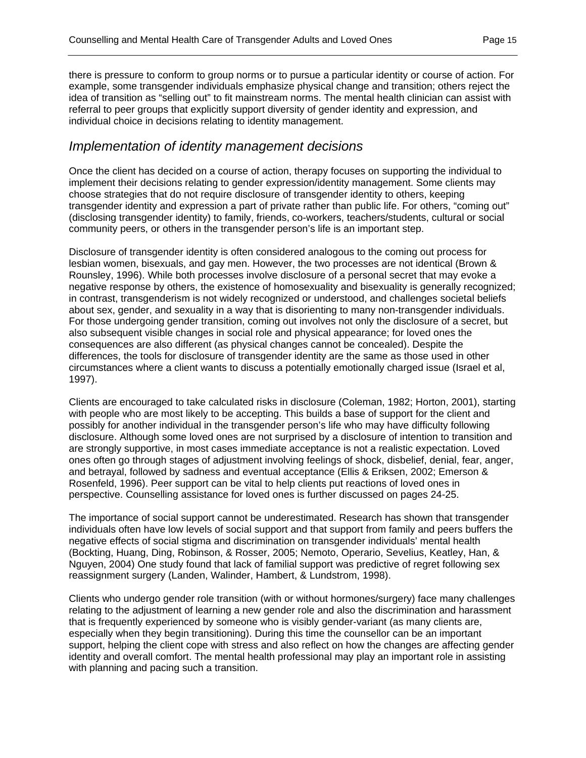<span id="page-17-0"></span>there is pressure to conform to group norms or to pursue a particular identity or course of action. For example, some transgender individuals emphasize physical change and transition; others reject the idea of transition as "selling out" to fit mainstream norms. The mental health clinician can assist with referral to peer groups that explicitly support diversity of gender identity and expression, and individual choice in decisions relating to identity management.

#### *Implementation of identity management decisions*

Once the client has decided on a course of action, therapy focuses on supporting the individual to implement their decisions relating to gender expression/identity management. Some clients may choose strategies that do not require disclosure of transgender identity to others, keeping transgender identity and expression a part of private rather than public life. For others, "coming out" (disclosing transgender identity) to family, friends, co-workers, teachers/students, cultural or social community peers, or others in the transgender person's life is an important step.

Disclosure of transgender identity is often considered analogous to the coming out process for lesbian women, bisexuals, and gay men. However, the two processes are not identical (Brown & Rounsley, 1996). While both processes involve disclosure of a personal secret that may evoke a negative response by others, the existence of homosexuality and bisexuality is generally recognized; in contrast, transgenderism is not widely recognized or understood, and challenges societal beliefs about sex, gender, and sexuality in a way that is disorienting to many non-transgender individuals. For those undergoing gender transition, coming out involves not only the disclosure of a secret, but also subsequent visible changes in social role and physical appearance; for loved ones the consequences are also different (as physical changes cannot be concealed). Despite the differences, the tools for disclosure of transgender identity are the same as those used in other circumstances where a client wants to discuss a potentially emotionally charged issue (Israel et al, 1997).

Clients are encouraged to take calculated risks in disclosure (Coleman, 1982; Horton, 2001), starting with people who are most likely to be accepting. This builds a base of support for the client and possibly for another individual in the transgender person's life who may have difficulty following disclosure. Although some loved ones are not surprised by a disclosure of intention to transition and are strongly supportive, in most cases immediate acceptance is not a realistic expectation. Loved ones often go through stages of adjustment involving feelings of shock, disbelief, denial, fear, anger, and betrayal, followed by sadness and eventual acceptance (Ellis & Eriksen, 2002; Emerson & Rosenfeld, 1996). Peer support can be vital to help clients put reactions of loved ones in perspective. Counselling assistance for loved ones is further discussed on pages 24-25.

The importance of social support cannot be underestimated. Research has shown that transgender individuals often have low levels of social support and that support from family and peers buffers the negative effects of social stigma and discrimination on transgender individuals' mental health (Bockting, Huang, Ding, Robinson, & Rosser, 2005; Nemoto, Operario, Sevelius, Keatley, Han, & Nguyen, 2004) One study found that lack of familial support was predictive of regret following sex reassignment surgery (Landen, Walinder, Hambert, & Lundstrom, 1998).

Clients who undergo gender role transition (with or without hormones/surgery) face many challenges relating to the adjustment of learning a new gender role and also the discrimination and harassment that is frequently experienced by someone who is visibly gender-variant (as many clients are, especially when they begin transitioning). During this time the counsellor can be an important support, helping the client cope with stress and also reflect on how the changes are affecting gender identity and overall comfort. The mental health professional may play an important role in assisting with planning and pacing such a transition.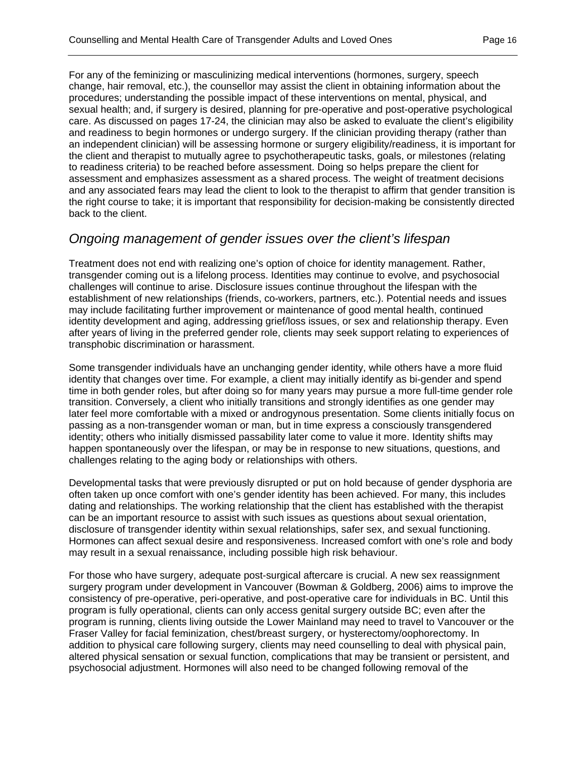<span id="page-18-0"></span>For any of the feminizing or masculinizing medical interventions (hormones, surgery, speech change, hair removal, etc.), the counsellor may assist the client in obtaining information about the procedures; understanding the possible impact of these interventions on mental, physical, and sexual health; and, if surgery is desired, planning for pre-operative and post-operative psychological care. As discussed on pages 17-24, the clinician may also be asked to evaluate the client's eligibility and readiness to begin hormones or undergo surgery. If the clinician providing therapy (rather than an independent clinician) will be assessing hormone or surgery eligibility/readiness, it is important for the client and therapist to mutually agree to psychotherapeutic tasks, goals, or milestones (relating to readiness criteria) to be reached before assessment. Doing so helps prepare the client for assessment and emphasizes assessment as a shared process. The weight of treatment decisions and any associated fears may lead the client to look to the therapist to affirm that gender transition is the right course to take; it is important that responsibility for decision-making be consistently directed back to the client.

#### *Ongoing management of gender issues over the client's lifespan*

Treatment does not end with realizing one's option of choice for identity management. Rather, transgender coming out is a lifelong process. Identities may continue to evolve, and psychosocial challenges will continue to arise. Disclosure issues continue throughout the lifespan with the establishment of new relationships (friends, co-workers, partners, etc.). Potential needs and issues may include facilitating further improvement or maintenance of good mental health, continued identity development and aging, addressing grief/loss issues, or sex and relationship therapy. Even after years of living in the preferred gender role, clients may seek support relating to experiences of transphobic discrimination or harassment.

Some transgender individuals have an unchanging gender identity, while others have a more fluid identity that changes over time. For example, a client may initially identify as bi-gender and spend time in both gender roles, but after doing so for many years may pursue a more full-time gender role transition. Conversely, a client who initially transitions and strongly identifies as one gender may later feel more comfortable with a mixed or androgynous presentation. Some clients initially focus on passing as a non-transgender woman or man, but in time express a consciously transgendered identity; others who initially dismissed passability later come to value it more. Identity shifts may happen spontaneously over the lifespan, or may be in response to new situations, questions, and challenges relating to the aging body or relationships with others.

Developmental tasks that were previously disrupted or put on hold because of gender dysphoria are often taken up once comfort with one's gender identity has been achieved. For many, this includes dating and relationships. The working relationship that the client has established with the therapist can be an important resource to assist with such issues as questions about sexual orientation, disclosure of transgender identity within sexual relationships, safer sex, and sexual functioning. Hormones can affect sexual desire and responsiveness. Increased comfort with one's role and body may result in a sexual renaissance, including possible high risk behaviour.

For those who have surgery, adequate post-surgical aftercare is crucial. A new sex reassignment surgery program under development in Vancouver (Bowman & Goldberg, 2006) aims to improve the consistency of pre-operative, peri-operative, and post-operative care for individuals in BC. Until this program is fully operational, clients can only access genital surgery outside BC; even after the program is running, clients living outside the Lower Mainland may need to travel to Vancouver or the Fraser Valley for facial feminization, chest/breast surgery, or hysterectomy/oophorectomy. In addition to physical care following surgery, clients may need counselling to deal with physical pain, altered physical sensation or sexual function, complications that may be transient or persistent, and psychosocial adjustment. Hormones will also need to be changed following removal of the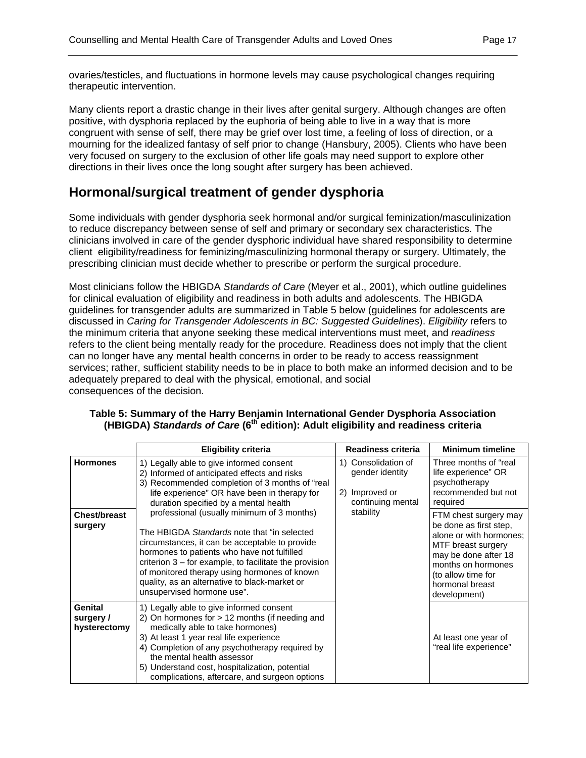<span id="page-19-0"></span>ovaries/testicles, and fluctuations in hormone levels may cause psychological changes requiring therapeutic intervention.

Many clients report a drastic change in their lives after genital surgery. Although changes are often positive, with dysphoria replaced by the euphoria of being able to live in a way that is more congruent with sense of self, there may be grief over lost time, a feeling of loss of direction, or a mourning for the idealized fantasy of self prior to change (Hansbury, 2005). Clients who have been very focused on surgery to the exclusion of other life goals may need support to explore other directions in their lives once the long sought after surgery has been achieved.

### **Hormonal/surgical treatment of gender dysphoria**

Some individuals with gender dysphoria seek hormonal and/or surgical feminization/masculinization to reduce discrepancy between sense of self and primary or secondary sex characteristics. The clinicians involved in care of the gender dysphoric individual have shared responsibility to determine client eligibility/readiness for feminizing/masculinizing hormonal therapy or surgery. Ultimately, the prescribing clinician must decide whether to prescribe or perform the surgical procedure.

Most clinicians follow the HBIGDA *Standards of Care* (Meyer et al., 2001), which outline guidelines for clinical evaluation of eligibility and readiness in both adults and adolescents. The HBIGDA guidelines for transgender adults are summarized in Table 5 below (guidelines for adolescents are discussed in *Caring for Transgender Adolescents in BC: Suggested Guidelines*). *Eligibility* refers to the minimum criteria that anyone seeking these medical interventions must meet, and *readiness* refers to the client being mentally ready for the procedure. Readiness does not imply that the client can no longer have any mental health concerns in order to be ready to access reassignment services; rather, sufficient stability needs to be in place to both make an informed decision and to be adequately prepared to deal with the physical, emotional, and social consequences of the decision.

| Table 5: Summary of the Harry Benjamin International Gender Dysphoria Association              |
|------------------------------------------------------------------------------------------------|
| (HBIGDA) Standards of Care (6 <sup>th</sup> edition): Adult eligibility and readiness criteria |
|                                                                                                |

|                                             | <b>Eligibility criteria</b>                                                                                                                                                                                                                                                                                                                                                           | <b>Readiness criteria</b>                                                     | <b>Minimum timeline</b>                                                                                                                                                                                 |
|---------------------------------------------|---------------------------------------------------------------------------------------------------------------------------------------------------------------------------------------------------------------------------------------------------------------------------------------------------------------------------------------------------------------------------------------|-------------------------------------------------------------------------------|---------------------------------------------------------------------------------------------------------------------------------------------------------------------------------------------------------|
| <b>Hormones</b>                             | 1) Legally able to give informed consent<br>2) Informed of anticipated effects and risks<br>3) Recommended completion of 3 months of "real<br>life experience" OR have been in therapy for<br>duration specified by a mental health                                                                                                                                                   | 1) Consolidation of<br>gender identity<br>2) Improved or<br>continuing mental | Three months of "real<br>life experience" OR<br>psychotherapy<br>recommended but not<br>required                                                                                                        |
| <b>Chest/breast</b><br>surgery              | professional (usually minimum of 3 months)<br>The HBIGDA Standards note that "in selected<br>circumstances, it can be acceptable to provide<br>hormones to patients who have not fulfilled<br>criterion $3$ – for example, to facilitate the provision<br>of monitored therapy using hormones of known<br>quality, as an alternative to black-market or<br>unsupervised hormone use". | stability                                                                     | FTM chest surgery may<br>be done as first step,<br>alone or with hormones;<br>MTF breast surgery<br>may be done after 18<br>months on hormones<br>(to allow time for<br>hormonal breast<br>development) |
| <b>Genital</b><br>surgery /<br>hysterectomy | 1) Legally able to give informed consent<br>2) On hormones for > 12 months (if needing and<br>medically able to take hormones)<br>3) At least 1 year real life experience<br>4) Completion of any psychotherapy required by<br>the mental health assessor<br>5) Understand cost, hospitalization, potential<br>complications, aftercare, and surgeon options                          |                                                                               | At least one year of<br>"real life experience"                                                                                                                                                          |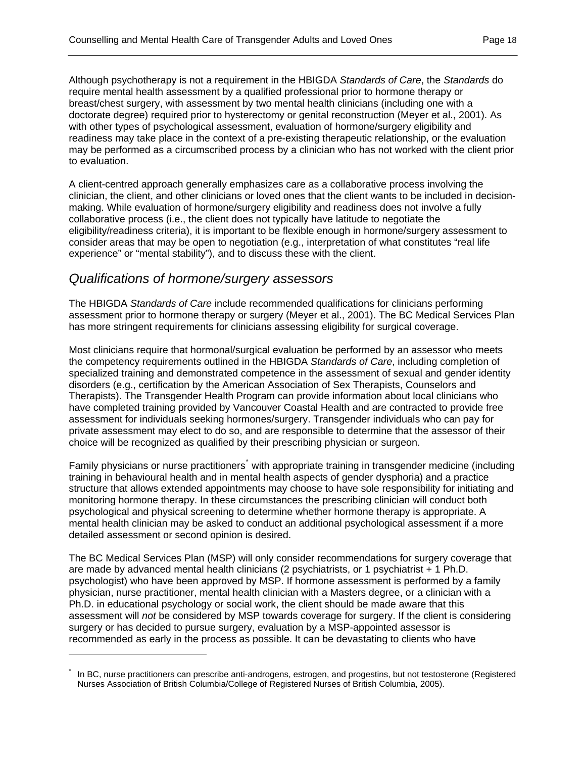<span id="page-20-0"></span>Although psychotherapy is not a requirement in the HBIGDA *Standards of Care*, the *Standards* do require mental health assessment by a qualified professional prior to hormone therapy or breast/chest surgery, with assessment by two mental health clinicians (including one with a doctorate degree) required prior to hysterectomy or genital reconstruction (Meyer et al., 2001). As with other types of psychological assessment, evaluation of hormone/surgery eligibility and readiness may take place in the context of a pre-existing therapeutic relationship, or the evaluation may be performed as a circumscribed process by a clinician who has not worked with the client prior to evaluation.

A client-centred approach generally emphasizes care as a collaborative process involving the clinician, the client, and other clinicians or loved ones that the client wants to be included in decisionmaking. While evaluation of hormone/surgery eligibility and readiness does not involve a fully collaborative process (i.e., the client does not typically have latitude to negotiate the eligibility/readiness criteria), it is important to be flexible enough in hormone/surgery assessment to consider areas that may be open to negotiation (e.g., interpretation of what constitutes "real life experience" or "mental stability"), and to discuss these with the client.

### *Qualifications of hormone/surgery assessors*

 $\overline{a}$ 

The HBIGDA *Standards of Care* include recommended qualifications for clinicians performing assessment prior to hormone therapy or surgery (Meyer et al., 2001). The BC Medical Services Plan has more stringent requirements for clinicians assessing eligibility for surgical coverage.

Most clinicians require that hormonal/surgical evaluation be performed by an assessor who meets the competency requirements outlined in the HBIGDA *Standards of Care*, including completion of specialized training and demonstrated competence in the assessment of sexual and gender identity disorders (e.g., certification by the American Association of Sex Therapists, Counselors and Therapists). The Transgender Health Program can provide information about local clinicians who have completed training provided by Vancouver Coastal Health and are contracted to provide free assessment for individuals seeking hormones/surgery. Transgender individuals who can pay for private assessment may elect to do so, and are responsible to determine that the assessor of their choice will be recognized as qualified by their prescribing physician or surgeon.

Family physicians or nurse practitioners<sup>[\\*](#page-20-1)</sup> with appropriate training in transgender medicine (including training in behavioural health and in mental health aspects of gender dysphoria) and a practice structure that allows extended appointments may choose to have sole responsibility for initiating and monitoring hormone therapy. In these circumstances the prescribing clinician will conduct both psychological and physical screening to determine whether hormone therapy is appropriate. A mental health clinician may be asked to conduct an additional psychological assessment if a more detailed assessment or second opinion is desired.

The BC Medical Services Plan (MSP) will only consider recommendations for surgery coverage that are made by advanced mental health clinicians (2 psychiatrists, or 1 psychiatrist + 1 Ph.D. psychologist) who have been approved by MSP. If hormone assessment is performed by a family physician, nurse practitioner, mental health clinician with a Masters degree, or a clinician with a Ph.D. in educational psychology or social work, the client should be made aware that this assessment will *not* be considered by MSP towards coverage for surgery. If the client is considering surgery or has decided to pursue surgery, evaluation by a MSP-appointed assessor is recommended as early in the process as possible. It can be devastating to clients who have

<span id="page-20-1"></span><sup>\*</sup> In BC, nurse practitioners can prescribe anti-androgens, estrogen, and progestins, but not testosterone (Registered Nurses Association of British Columbia/College of Registered Nurses of British Columbia, 2005).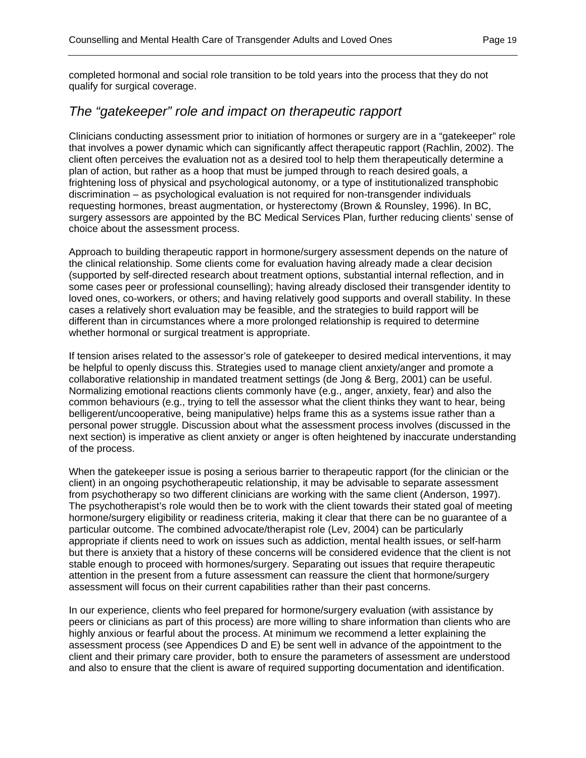<span id="page-21-0"></span>completed hormonal and social role transition to be told years into the process that they do not qualify for surgical coverage.

### *The "gatekeeper" role and impact on therapeutic rapport*

Clinicians conducting assessment prior to initiation of hormones or surgery are in a "gatekeeper" role that involves a power dynamic which can significantly affect therapeutic rapport (Rachlin, 2002). The client often perceives the evaluation not as a desired tool to help them therapeutically determine a plan of action, but rather as a hoop that must be jumped through to reach desired goals, a frightening loss of physical and psychological autonomy, or a type of institutionalized transphobic discrimination – as psychological evaluation is not required for non-transgender individuals requesting hormones, breast augmentation, or hysterectomy (Brown & Rounsley, 1996). In BC, surgery assessors are appointed by the BC Medical Services Plan, further reducing clients' sense of choice about the assessment process.

Approach to building therapeutic rapport in hormone/surgery assessment depends on the nature of the clinical relationship. Some clients come for evaluation having already made a clear decision (supported by self-directed research about treatment options, substantial internal reflection, and in some cases peer or professional counselling); having already disclosed their transgender identity to loved ones, co-workers, or others; and having relatively good supports and overall stability. In these cases a relatively short evaluation may be feasible, and the strategies to build rapport will be different than in circumstances where a more prolonged relationship is required to determine whether hormonal or surgical treatment is appropriate.

If tension arises related to the assessor's role of gatekeeper to desired medical interventions, it may be helpful to openly discuss this. Strategies used to manage client anxiety/anger and promote a collaborative relationship in mandated treatment settings (de Jong & Berg, 2001) can be useful. Normalizing emotional reactions clients commonly have (e.g., anger, anxiety, fear) and also the common behaviours (e.g., trying to tell the assessor what the client thinks they want to hear, being belligerent/uncooperative, being manipulative) helps frame this as a systems issue rather than a personal power struggle. Discussion about what the assessment process involves (discussed in the next section) is imperative as client anxiety or anger is often heightened by inaccurate understanding of the process.

When the gatekeeper issue is posing a serious barrier to therapeutic rapport (for the clinician or the client) in an ongoing psychotherapeutic relationship, it may be advisable to separate assessment from psychotherapy so two different clinicians are working with the same client (Anderson, 1997). The psychotherapist's role would then be to work with the client towards their stated goal of meeting hormone/surgery eligibility or readiness criteria, making it clear that there can be no guarantee of a particular outcome. The combined advocate/therapist role (Lev, 2004) can be particularly appropriate if clients need to work on issues such as addiction, mental health issues, or self-harm but there is anxiety that a history of these concerns will be considered evidence that the client is not stable enough to proceed with hormones/surgery. Separating out issues that require therapeutic attention in the present from a future assessment can reassure the client that hormone/surgery assessment will focus on their current capabilities rather than their past concerns.

In our experience, clients who feel prepared for hormone/surgery evaluation (with assistance by peers or clinicians as part of this process) are more willing to share information than clients who are highly anxious or fearful about the process. At minimum we recommend a letter explaining the assessment process (see Appendices D and E) be sent well in advance of the appointment to the client and their primary care provider, both to ensure the parameters of assessment are understood and also to ensure that the client is aware of required supporting documentation and identification.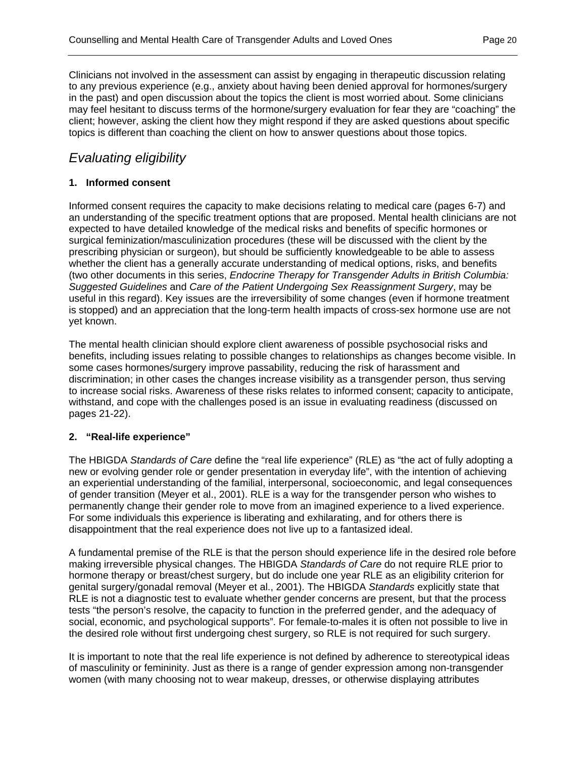<span id="page-22-0"></span>Clinicians not involved in the assessment can assist by engaging in therapeutic discussion relating to any previous experience (e.g., anxiety about having been denied approval for hormones/surgery in the past) and open discussion about the topics the client is most worried about. Some clinicians may feel hesitant to discuss terms of the hormone/surgery evaluation for fear they are "coaching" the client; however, asking the client how they might respond if they are asked questions about specific topics is different than coaching the client on how to answer questions about those topics.

### *Evaluating eligibility*

#### **1. Informed consent**

Informed consent requires the capacity to make decisions relating to medical care (pages 6-7) and an understanding of the specific treatment options that are proposed. Mental health clinicians are not expected to have detailed knowledge of the medical risks and benefits of specific hormones or surgical feminization/masculinization procedures (these will be discussed with the client by the prescribing physician or surgeon), but should be sufficiently knowledgeable to be able to assess whether the client has a generally accurate understanding of medical options, risks, and benefits (two other documents in this series, *Endocrine Therapy for Transgender Adults in British Columbia: Suggested Guidelines* and *Care of the Patient Undergoing Sex Reassignment Surgery*, may be useful in this regard). Key issues are the irreversibility of some changes (even if hormone treatment is stopped) and an appreciation that the long-term health impacts of cross-sex hormone use are not yet known.

The mental health clinician should explore client awareness of possible psychosocial risks and benefits, including issues relating to possible changes to relationships as changes become visible. In some cases hormones/surgery improve passability, reducing the risk of harassment and discrimination; in other cases the changes increase visibility as a transgender person, thus serving to increase social risks. Awareness of these risks relates to informed consent; capacity to anticipate, withstand, and cope with the challenges posed is an issue in evaluating readiness (discussed on pages 21-22).

#### **2. "Real-life experience"**

The HBIGDA *Standards of Care* define the "real life experience" (RLE) as "the act of fully adopting a new or evolving gender role or gender presentation in everyday life", with the intention of achieving an experiential understanding of the familial, interpersonal, socioeconomic, and legal consequences of gender transition (Meyer et al., 2001). RLE is a way for the transgender person who wishes to permanently change their gender role to move from an imagined experience to a lived experience. For some individuals this experience is liberating and exhilarating, and for others there is disappointment that the real experience does not live up to a fantasized ideal.

A fundamental premise of the RLE is that the person should experience life in the desired role before making irreversible physical changes. The HBIGDA *Standards of Care* do not require RLE prior to hormone therapy or breast/chest surgery, but do include one year RLE as an eligibility criterion for genital surgery/gonadal removal (Meyer et al., 2001). The HBIGDA *Standards* explicitly state that RLE is not a diagnostic test to evaluate whether gender concerns are present, but that the process tests "the person's resolve, the capacity to function in the preferred gender, and the adequacy of social, economic, and psychological supports". For female-to-males it is often not possible to live in the desired role without first undergoing chest surgery, so RLE is not required for such surgery.

It is important to note that the real life experience is not defined by adherence to stereotypical ideas of masculinity or femininity. Just as there is a range of gender expression among non-transgender women (with many choosing not to wear makeup, dresses, or otherwise displaying attributes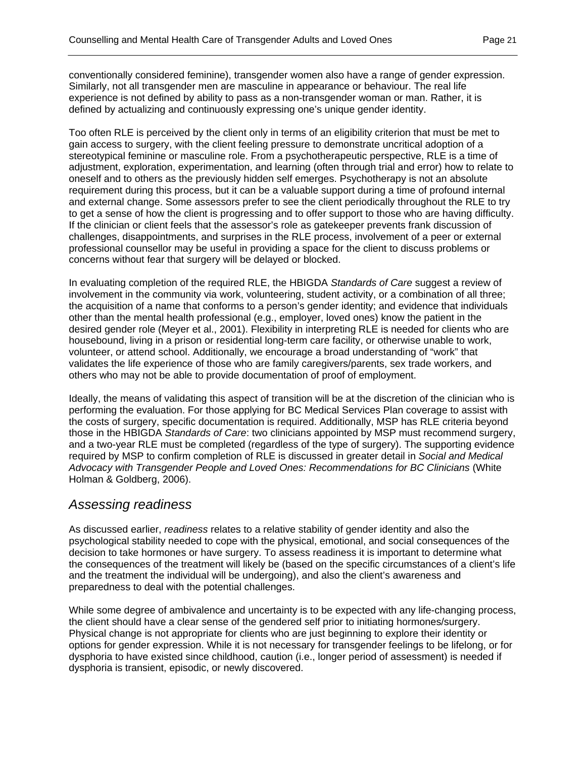<span id="page-23-0"></span>conventionally considered feminine), transgender women also have a range of gender expression. Similarly, not all transgender men are masculine in appearance or behaviour. The real life experience is not defined by ability to pass as a non-transgender woman or man. Rather, it is defined by actualizing and continuously expressing one's unique gender identity.

Too often RLE is perceived by the client only in terms of an eligibility criterion that must be met to gain access to surgery, with the client feeling pressure to demonstrate uncritical adoption of a stereotypical feminine or masculine role. From a psychotherapeutic perspective, RLE is a time of adjustment, exploration, experimentation, and learning (often through trial and error) how to relate to oneself and to others as the previously hidden self emerges. Psychotherapy is not an absolute requirement during this process, but it can be a valuable support during a time of profound internal and external change. Some assessors prefer to see the client periodically throughout the RLE to try to get a sense of how the client is progressing and to offer support to those who are having difficulty. If the clinician or client feels that the assessor's role as gatekeeper prevents frank discussion of challenges, disappointments, and surprises in the RLE process, involvement of a peer or external professional counsellor may be useful in providing a space for the client to discuss problems or concerns without fear that surgery will be delayed or blocked.

In evaluating completion of the required RLE, the HBIGDA *Standards of Care* suggest a review of involvement in the community via work, volunteering, student activity, or a combination of all three; the acquisition of a name that conforms to a person's gender identity; and evidence that individuals other than the mental health professional (e.g., employer, loved ones) know the patient in the desired gender role (Meyer et al., 2001). Flexibility in interpreting RLE is needed for clients who are housebound, living in a prison or residential long-term care facility, or otherwise unable to work, volunteer, or attend school. Additionally, we encourage a broad understanding of "work" that validates the life experience of those who are family caregivers/parents, sex trade workers, and others who may not be able to provide documentation of proof of employment.

Ideally, the means of validating this aspect of transition will be at the discretion of the clinician who is performing the evaluation. For those applying for BC Medical Services Plan coverage to assist with the costs of surgery, specific documentation is required. Additionally, MSP has RLE criteria beyond those in the HBIGDA *Standards of Care*: two clinicians appointed by MSP must recommend surgery, and a two-year RLE must be completed (regardless of the type of surgery). The supporting evidence required by MSP to confirm completion of RLE is discussed in greater detail in *Social and Medical Advocacy with Transgender People and Loved Ones: Recommendations for BC Clinicians* (White Holman & Goldberg, 2006).

#### *Assessing readiness*

As discussed earlier, *readiness* relates to a relative stability of gender identity and also the psychological stability needed to cope with the physical, emotional, and social consequences of the decision to take hormones or have surgery. To assess readiness it is important to determine what the consequences of the treatment will likely be (based on the specific circumstances of a client's life and the treatment the individual will be undergoing), and also the client's awareness and preparedness to deal with the potential challenges.

While some degree of ambivalence and uncertainty is to be expected with any life-changing process, the client should have a clear sense of the gendered self prior to initiating hormones/surgery. Physical change is not appropriate for clients who are just beginning to explore their identity or options for gender expression. While it is not necessary for transgender feelings to be lifelong, or for dysphoria to have existed since childhood, caution (i.e., longer period of assessment) is needed if dysphoria is transient, episodic, or newly discovered.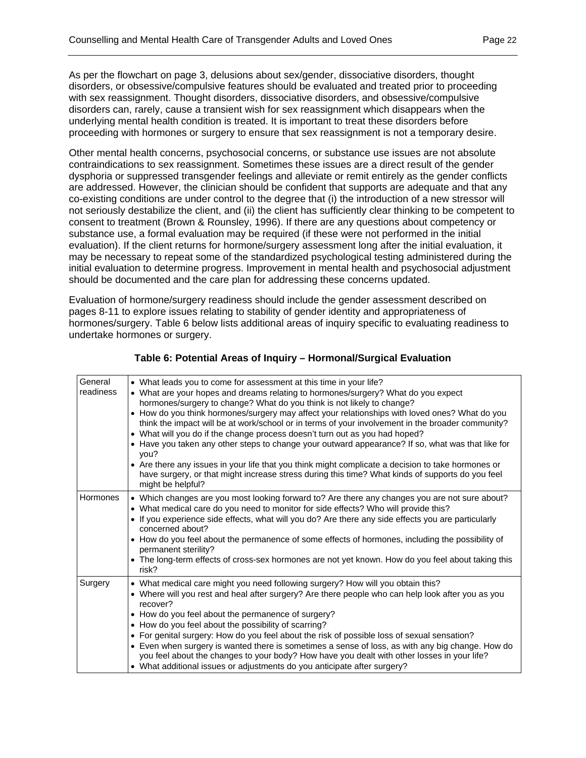As per the flowchart on page 3, delusions about sex/gender, dissociative disorders, thought disorders, or obsessive/compulsive features should be evaluated and treated prior to proceeding with sex reassignment. Thought disorders, dissociative disorders, and obsessive/compulsive disorders can, rarely, cause a transient wish for sex reassignment which disappears when the underlying mental health condition is treated. It is important to treat these disorders before proceeding with hormones or surgery to ensure that sex reassignment is not a temporary desire.

Other mental health concerns, psychosocial concerns, or substance use issues are not absolute contraindications to sex reassignment. Sometimes these issues are a direct result of the gender dysphoria or suppressed transgender feelings and alleviate or remit entirely as the gender conflicts are addressed. However, the clinician should be confident that supports are adequate and that any co-existing conditions are under control to the degree that (i) the introduction of a new stressor will not seriously destabilize the client, and (ii) the client has sufficiently clear thinking to be competent to consent to treatment (Brown & Rounsley, 1996). If there are any questions about competency or substance use, a formal evaluation may be required (if these were not performed in the initial evaluation). If the client returns for hormone/surgery assessment long after the initial evaluation, it may be necessary to repeat some of the standardized psychological testing administered during the initial evaluation to determine progress. Improvement in mental health and psychosocial adjustment should be documented and the care plan for addressing these concerns updated.

Evaluation of hormone/surgery readiness should include the gender assessment described on pages 8-11 to explore issues relating to stability of gender identity and appropriateness of hormones/surgery. Table 6 below lists additional areas of inquiry specific to evaluating readiness to undertake hormones or surgery.

| General<br>readiness | • What leads you to come for assessment at this time in your life?<br>• What are your hopes and dreams relating to hormones/surgery? What do you expect<br>hormones/surgery to change? What do you think is not likely to change?<br>• How do you think hormones/surgery may affect your relationships with loved ones? What do you<br>think the impact will be at work/school or in terms of your involvement in the broader community?<br>• What will you do if the change process doesn't turn out as you had hoped?<br>• Have you taken any other steps to change your outward appearance? If so, what was that like for<br>you?<br>• Are there any issues in your life that you think might complicate a decision to take hormones or<br>have surgery, or that might increase stress during this time? What kinds of supports do you feel<br>might be helpful? |
|----------------------|---------------------------------------------------------------------------------------------------------------------------------------------------------------------------------------------------------------------------------------------------------------------------------------------------------------------------------------------------------------------------------------------------------------------------------------------------------------------------------------------------------------------------------------------------------------------------------------------------------------------------------------------------------------------------------------------------------------------------------------------------------------------------------------------------------------------------------------------------------------------|
| <b>Hormones</b>      | • Which changes are you most looking forward to? Are there any changes you are not sure about?<br>• What medical care do you need to monitor for side effects? Who will provide this?<br>• If you experience side effects, what will you do? Are there any side effects you are particularly<br>concerned about?<br>How do you feel about the permanence of some effects of hormones, including the possibility of<br>$\bullet$<br>permanent sterility?<br>• The long-term effects of cross-sex hormones are not yet known. How do you feel about taking this<br>risk?                                                                                                                                                                                                                                                                                              |
| Surgery              | • What medical care might you need following surgery? How will you obtain this?<br>• Where will you rest and heal after surgery? Are there people who can help look after you as you<br>recover?<br>• How do you feel about the permanence of surgery?<br>• How do you feel about the possibility of scarring?<br>• For genital surgery: How do you feel about the risk of possible loss of sexual sensation?<br>• Even when surgery is wanted there is sometimes a sense of loss, as with any big change. How do<br>you feel about the changes to your body? How have you dealt with other losses in your life?<br>• What additional issues or adjustments do you anticipate after surgery?                                                                                                                                                                        |

#### **Table 6: Potential Areas of Inquiry – Hormonal/Surgical Evaluation**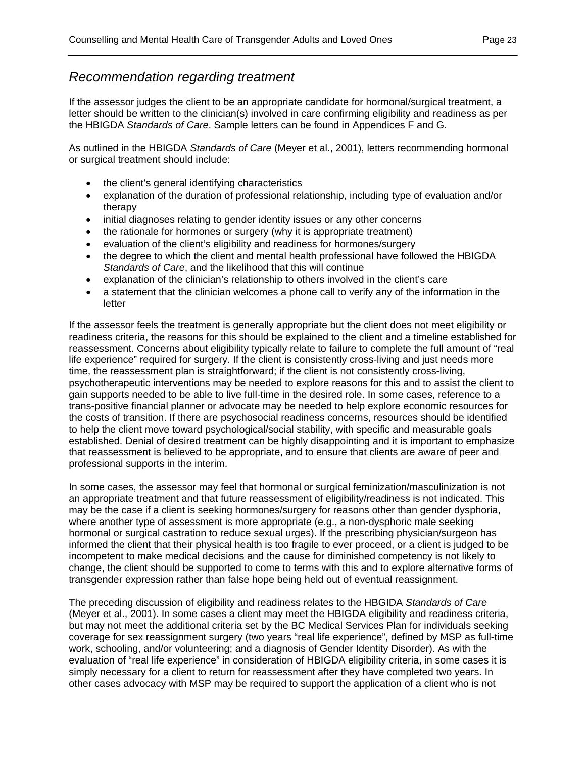### <span id="page-25-0"></span>*Recommendation regarding treatment*

If the assessor judges the client to be an appropriate candidate for hormonal/surgical treatment, a letter should be written to the clinician(s) involved in care confirming eligibility and readiness as per the HBIGDA *Standards of Care*. Sample letters can be found in Appendices F and G.

As outlined in the HBIGDA *Standards of Care* (Meyer et al., 2001), letters recommending hormonal or surgical treatment should include:

- the client's general identifying characteristics
- explanation of the duration of professional relationship, including type of evaluation and/or therapy
- initial diagnoses relating to gender identity issues or any other concerns
- the rationale for hormones or surgery (why it is appropriate treatment)
- evaluation of the client's eligibility and readiness for hormones/surgery
- the degree to which the client and mental health professional have followed the HBIGDA *Standards of Care*, and the likelihood that this will continue
- explanation of the clinician's relationship to others involved in the client's care
- a statement that the clinician welcomes a phone call to verify any of the information in the letter

If the assessor feels the treatment is generally appropriate but the client does not meet eligibility or readiness criteria, the reasons for this should be explained to the client and a timeline established for reassessment. Concerns about eligibility typically relate to failure to complete the full amount of "real life experience" required for surgery. If the client is consistently cross-living and just needs more time, the reassessment plan is straightforward; if the client is not consistently cross-living, psychotherapeutic interventions may be needed to explore reasons for this and to assist the client to gain supports needed to be able to live full-time in the desired role. In some cases, reference to a trans-positive financial planner or advocate may be needed to help explore economic resources for the costs of transition. If there are psychosocial readiness concerns, resources should be identified to help the client move toward psychological/social stability, with specific and measurable goals established. Denial of desired treatment can be highly disappointing and it is important to emphasize that reassessment is believed to be appropriate, and to ensure that clients are aware of peer and professional supports in the interim.

In some cases, the assessor may feel that hormonal or surgical feminization/masculinization is not an appropriate treatment and that future reassessment of eligibility/readiness is not indicated. This may be the case if a client is seeking hormones/surgery for reasons other than gender dysphoria, where another type of assessment is more appropriate (e.g., a non-dysphoric male seeking hormonal or surgical castration to reduce sexual urges). If the prescribing physician/surgeon has informed the client that their physical health is too fragile to ever proceed, or a client is judged to be incompetent to make medical decisions and the cause for diminished competency is not likely to change, the client should be supported to come to terms with this and to explore alternative forms of transgender expression rather than false hope being held out of eventual reassignment.

The preceding discussion of eligibility and readiness relates to the HBGIDA *Standards of Care*  (Meyer et al., 2001). In some cases a client may meet the HBIGDA eligibility and readiness criteria, but may not meet the additional criteria set by the BC Medical Services Plan for individuals seeking coverage for sex reassignment surgery (two years "real life experience", defined by MSP as full-time work, schooling, and/or volunteering; and a diagnosis of Gender Identity Disorder). As with the evaluation of "real life experience" in consideration of HBIGDA eligibility criteria, in some cases it is simply necessary for a client to return for reassessment after they have completed two years. In other cases advocacy with MSP may be required to support the application of a client who is not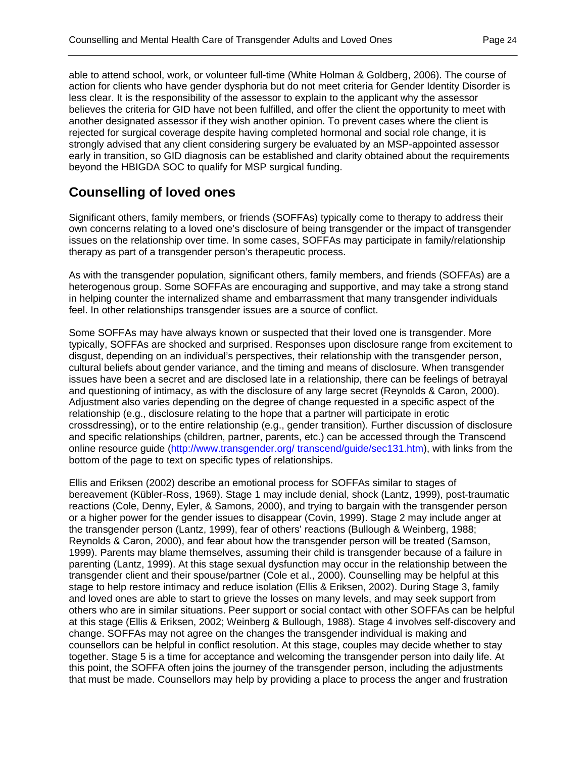<span id="page-26-0"></span>able to attend school, work, or volunteer full-time (White Holman & Goldberg, 2006). The course of action for clients who have gender dysphoria but do not meet criteria for Gender Identity Disorder is less clear. It is the responsibility of the assessor to explain to the applicant why the assessor believes the criteria for GID have not been fulfilled, and offer the client the opportunity to meet with another designated assessor if they wish another opinion. To prevent cases where the client is rejected for surgical coverage despite having completed hormonal and social role change, it is strongly advised that any client considering surgery be evaluated by an MSP-appointed assessor early in transition, so GID diagnosis can be established and clarity obtained about the requirements beyond the HBIGDA SOC to qualify for MSP surgical funding.

### **Counselling of loved ones**

Significant others, family members, or friends (SOFFAs) typically come to therapy to address their own concerns relating to a loved one's disclosure of being transgender or the impact of transgender issues on the relationship over time. In some cases, SOFFAs may participate in family/relationship therapy as part of a transgender person's therapeutic process.

As with the transgender population, significant others, family members, and friends (SOFFAs) are a heterogenous group. Some SOFFAs are encouraging and supportive, and may take a strong stand in helping counter the internalized shame and embarrassment that many transgender individuals feel. In other relationships transgender issues are a source of conflict.

Some SOFFAs may have always known or suspected that their loved one is transgender. More typically, SOFFAs are shocked and surprised. Responses upon disclosure range from excitement to disgust, depending on an individual's perspectives, their relationship with the transgender person, cultural beliefs about gender variance, and the timing and means of disclosure. When transgender issues have been a secret and are disclosed late in a relationship, there can be feelings of betrayal and questioning of intimacy, as with the disclosure of any large secret (Reynolds & Caron, 2000). Adjustment also varies depending on the degree of change requested in a specific aspect of the relationship (e.g., disclosure relating to the hope that a partner will participate in erotic crossdressing), or to the entire relationship (e.g., gender transition). Further discussion of disclosure and specific relationships (children, partner, parents, etc.) can be accessed through the Transcend online resource guide ([http://www.transgender.org/ transcend/guide/sec131.htm\)](http://www.transgender.org/%20transcend/guide/sec131.htm), with links from the bottom of the page to text on specific types of relationships.

Ellis and Eriksen (2002) describe an emotional process for SOFFAs similar to stages of bereavement (Kübler-Ross, 1969). Stage 1 may include denial, shock (Lantz, 1999), post-traumatic reactions (Cole, Denny, Eyler, & Samons, 2000), and trying to bargain with the transgender person or a higher power for the gender issues to disappear (Covin, 1999). Stage 2 may include anger at the transgender person (Lantz, 1999), fear of others' reactions (Bullough & Weinberg, 1988; Reynolds & Caron, 2000), and fear about how the transgender person will be treated (Samson, 1999). Parents may blame themselves, assuming their child is transgender because of a failure in parenting (Lantz, 1999). At this stage sexual dysfunction may occur in the relationship between the transgender client and their spouse/partner (Cole et al., 2000). Counselling may be helpful at this stage to help restore intimacy and reduce isolation (Ellis & Eriksen, 2002). During Stage 3, family and loved ones are able to start to grieve the losses on many levels, and may seek support from others who are in similar situations. Peer support or social contact with other SOFFAs can be helpful at this stage (Ellis & Eriksen, 2002; Weinberg & Bullough, 1988). Stage 4 involves self-discovery and change. SOFFAs may not agree on the changes the transgender individual is making and counsellors can be helpful in conflict resolution. At this stage, couples may decide whether to stay together. Stage 5 is a time for acceptance and welcoming the transgender person into daily life. At this point, the SOFFA often joins the journey of the transgender person, including the adjustments that must be made. Counsellors may help by providing a place to process the anger and frustration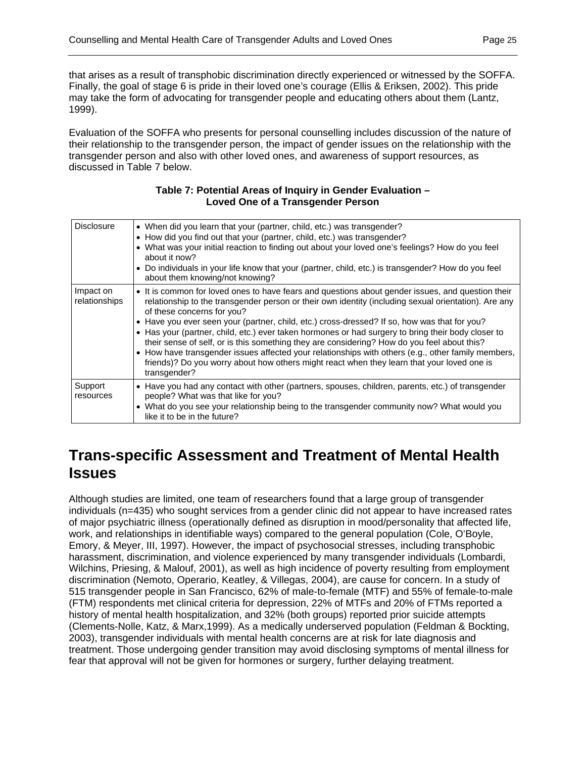<span id="page-27-0"></span>that arises as a result of transphobic discrimination directly experienced or witnessed by the SOFFA. Finally, the goal of stage 6 is pride in their loved one's courage (Ellis & Eriksen, 2002). This pride may take the form of advocating for transgender people and educating others about them (Lantz, 1999).

Evaluation of the SOFFA who presents for personal counselling includes discussion of the nature of their relationship to the transgender person, the impact of gender issues on the relationship with the transgender person and also with other loved ones, and awareness of support resources, as discussed in Table 7 below.

| <b>Disclosure</b>          | • When did you learn that your (partner, child, etc.) was transgender?<br>• How did you find out that your (partner, child, etc.) was transgender?<br>• What was your initial reaction to finding out about your loved one's feelings? How do you feel<br>about it now?<br>• Do individuals in your life know that your (partner, child, etc.) is transgender? How do you feel<br>about them knowing/not knowing?                                                                                                                                                                                                                                                                                                                                                |
|----------------------------|------------------------------------------------------------------------------------------------------------------------------------------------------------------------------------------------------------------------------------------------------------------------------------------------------------------------------------------------------------------------------------------------------------------------------------------------------------------------------------------------------------------------------------------------------------------------------------------------------------------------------------------------------------------------------------------------------------------------------------------------------------------|
| Impact on<br>relationships | • It is common for loved ones to have fears and questions about gender issues, and question their<br>relationship to the transgender person or their own identity (including sexual orientation). Are any<br>of these concerns for you?<br>• Have you ever seen your (partner, child, etc.) cross-dressed? If so, how was that for you?<br>• Has your (partner, child, etc.) ever taken hormones or had surgery to bring their body closer to<br>their sense of self, or is this something they are considering? How do you feel about this?<br>• How have transgender issues affected your relationships with others (e.g., other family members,<br>friends)? Do you worry about how others might react when they learn that your loved one is<br>transgender? |
| Support<br>resources       | • Have you had any contact with other (partners, spouses, children, parents, etc.) of transgender<br>people? What was that like for you?<br>• What do you see your relationship being to the transgender community now? What would you<br>like it to be in the future?                                                                                                                                                                                                                                                                                                                                                                                                                                                                                           |

#### **Table 7: Potential Areas of Inquiry in Gender Evaluation – Loved One of a Transgender Person**

### **Trans-specific Assessment and Treatment of Mental Health Issues**

Although studies are limited, one team of researchers found that a large group of transgender individuals (n=435) who sought services from a gender clinic did not appear to have increased rates of major psychiatric illness (operationally defined as disruption in mood/personality that affected life, work, and relationships in identifiable ways) compared to the general population (Cole, O'Boyle, Emory, & Meyer, III, 1997). However, the impact of psychosocial stresses, including transphobic harassment, discrimination, and violence experienced by many transgender individuals (Lombardi, Wilchins, Priesing, & Malouf, 2001), as well as high incidence of poverty resulting from employment discrimination (Nemoto, Operario, Keatley, & Villegas, 2004), are cause for concern. In a study of 515 transgender people in San Francisco, 62% of male-to-female (MTF) and 55% of female-to-male (FTM) respondents met clinical criteria for depression, 22% of MTFs and 20% of FTMs reported a history of mental health hospitalization, and 32% (both groups) reported prior suicide attempts (Clements-Nolle, Katz, & Marx,1999). As a medically underserved population (Feldman & Bockting, 2003), transgender individuals with mental health concerns are at risk for late diagnosis and treatment. Those undergoing gender transition may avoid disclosing symptoms of mental illness for fear that approval will not be given for hormones or surgery, further delaying treatment.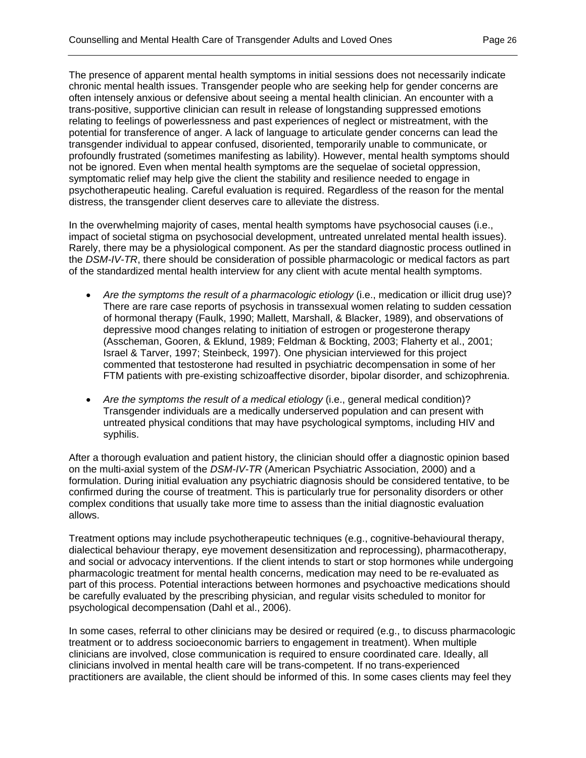The presence of apparent mental health symptoms in initial sessions does not necessarily indicate chronic mental health issues. Transgender people who are seeking help for gender concerns are often intensely anxious or defensive about seeing a mental health clinician. An encounter with a trans-positive, supportive clinician can result in release of longstanding suppressed emotions relating to feelings of powerlessness and past experiences of neglect or mistreatment, with the potential for transference of anger. A lack of language to articulate gender concerns can lead the transgender individual to appear confused, disoriented, temporarily unable to communicate, or profoundly frustrated (sometimes manifesting as lability). However, mental health symptoms should not be ignored. Even when mental health symptoms are the sequelae of societal oppression, symptomatic relief may help give the client the stability and resilience needed to engage in psychotherapeutic healing. Careful evaluation is required. Regardless of the reason for the mental distress, the transgender client deserves care to alleviate the distress.

In the overwhelming majority of cases, mental health symptoms have psychosocial causes (i.e., impact of societal stigma on psychosocial development, untreated unrelated mental health issues). Rarely, there may be a physiological component. As per the standard diagnostic process outlined in the *DSM-IV-TR*, there should be consideration of possible pharmacologic or medical factors as part of the standardized mental health interview for any client with acute mental health symptoms.

- *Are the symptoms the result of a pharmacologic etiology* (i.e., medication or illicit drug use)? There are rare case reports of psychosis in transsexual women relating to sudden cessation of hormonal therapy (Faulk, 1990; Mallett, Marshall, & Blacker, 1989), and observations of depressive mood changes relating to initiation of estrogen or progesterone therapy (Asscheman, Gooren, & Eklund, 1989; Feldman & Bockting, 2003; Flaherty et al., 2001; Israel & Tarver, 1997; Steinbeck, 1997). One physician interviewed for this project commented that testosterone had resulted in psychiatric decompensation in some of her FTM patients with pre-existing schizoaffective disorder, bipolar disorder, and schizophrenia.
- *Are the symptoms the result of a medical etiology* (i.e., general medical condition)? Transgender individuals are a medically underserved population and can present with untreated physical conditions that may have psychological symptoms, including HIV and syphilis.

After a thorough evaluation and patient history, the clinician should offer a diagnostic opinion based on the multi-axial system of the *DSM-IV-TR* (American Psychiatric Association, 2000) and a formulation. During initial evaluation any psychiatric diagnosis should be considered tentative, to be confirmed during the course of treatment. This is particularly true for personality disorders or other complex conditions that usually take more time to assess than the initial diagnostic evaluation allows.

Treatment options may include psychotherapeutic techniques (e.g., cognitive-behavioural therapy, dialectical behaviour therapy, eye movement desensitization and reprocessing), pharmacotherapy, and social or advocacy interventions. If the client intends to start or stop hormones while undergoing pharmacologic treatment for mental health concerns, medication may need to be re-evaluated as part of this process. Potential interactions between hormones and psychoactive medications should be carefully evaluated by the prescribing physician, and regular visits scheduled to monitor for psychological decompensation (Dahl et al., 2006).

In some cases, referral to other clinicians may be desired or required (e.g., to discuss pharmacologic treatment or to address socioeconomic barriers to engagement in treatment). When multiple clinicians are involved, close communication is required to ensure coordinated care. Ideally, all clinicians involved in mental health care will be trans-competent. If no trans-experienced practitioners are available, the client should be informed of this. In some cases clients may feel they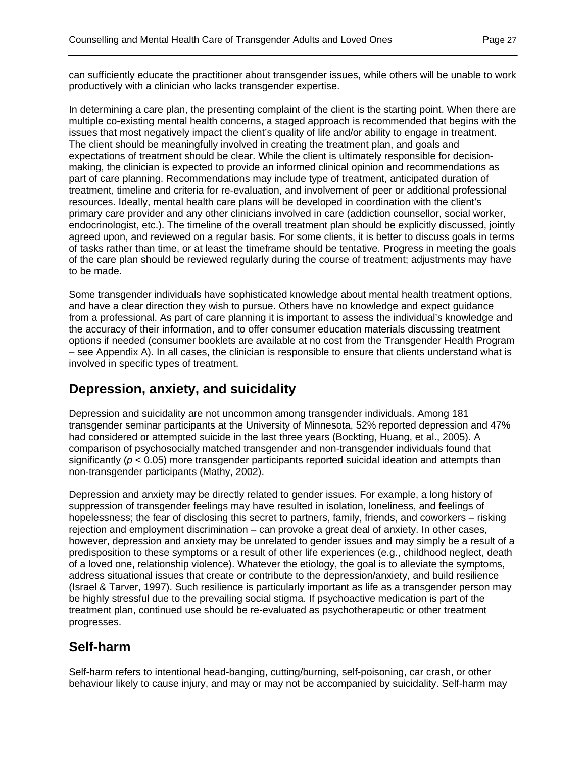<span id="page-29-0"></span>can sufficiently educate the practitioner about transgender issues, while others will be unable to work productively with a clinician who lacks transgender expertise.

In determining a care plan, the presenting complaint of the client is the starting point. When there are multiple co-existing mental health concerns, a staged approach is recommended that begins with the issues that most negatively impact the client's quality of life and/or ability to engage in treatment. The client should be meaningfully involved in creating the treatment plan, and goals and expectations of treatment should be clear. While the client is ultimately responsible for decisionmaking, the clinician is expected to provide an informed clinical opinion and recommendations as part of care planning. Recommendations may include type of treatment, anticipated duration of treatment, timeline and criteria for re-evaluation, and involvement of peer or additional professional resources. Ideally, mental health care plans will be developed in coordination with the client's primary care provider and any other clinicians involved in care (addiction counsellor, social worker, endocrinologist, etc.). The timeline of the overall treatment plan should be explicitly discussed, jointly agreed upon, and reviewed on a regular basis. For some clients, it is better to discuss goals in terms of tasks rather than time, or at least the timeframe should be tentative. Progress in meeting the goals of the care plan should be reviewed regularly during the course of treatment; adjustments may have to be made.

Some transgender individuals have sophisticated knowledge about mental health treatment options, and have a clear direction they wish to pursue. Others have no knowledge and expect guidance from a professional. As part of care planning it is important to assess the individual's knowledge and the accuracy of their information, and to offer consumer education materials discussing treatment options if needed (consumer booklets are available at no cost from the Transgender Health Program – see Appendix A). In all cases, the clinician is responsible to ensure that clients understand what is involved in specific types of treatment.

### **Depression, anxiety, and suicidality**

Depression and suicidality are not uncommon among transgender individuals. Among 181 transgender seminar participants at the University of Minnesota, 52% reported depression and 47% had considered or attempted suicide in the last three years (Bockting, Huang, et al., 2005). A comparison of psychosocially matched transgender and non-transgender individuals found that significantly ( $p < 0.05$ ) more transgender participants reported suicidal ideation and attempts than non-transgender participants (Mathy, 2002).

Depression and anxiety may be directly related to gender issues. For example, a long history of suppression of transgender feelings may have resulted in isolation, loneliness, and feelings of hopelessness; the fear of disclosing this secret to partners, family, friends, and coworkers – risking rejection and employment discrimination – can provoke a great deal of anxiety. In other cases, however, depression and anxiety may be unrelated to gender issues and may simply be a result of a predisposition to these symptoms or a result of other life experiences (e.g., childhood neglect, death of a loved one, relationship violence). Whatever the etiology, the goal is to alleviate the symptoms, address situational issues that create or contribute to the depression/anxiety, and build resilience (Israel & Tarver, 1997). Such resilience is particularly important as life as a transgender person may be highly stressful due to the prevailing social stigma. If psychoactive medication is part of the treatment plan, continued use should be re-evaluated as psychotherapeutic or other treatment progresses.

### **Self-harm**

Self-harm refers to intentional head-banging, cutting/burning, self-poisoning, car crash, or other behaviour likely to cause injury, and may or may not be accompanied by suicidality. Self-harm may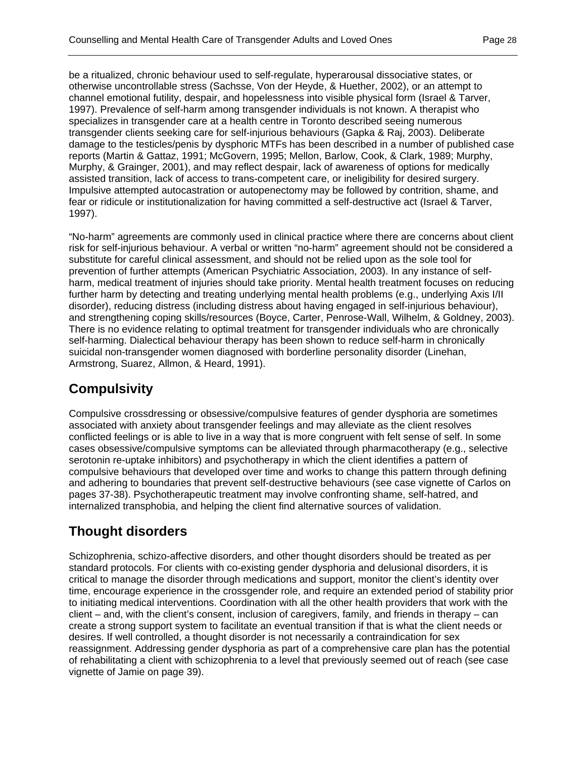<span id="page-30-0"></span>be a ritualized, chronic behaviour used to self-regulate, hyperarousal dissociative states, or otherwise uncontrollable stress (Sachsse, Von der Heyde, & Huether, 2002), or an attempt to channel emotional futility, despair, and hopelessness into visible physical form (Israel & Tarver, 1997). Prevalence of self-harm among transgender individuals is not known. A therapist who specializes in transgender care at a health centre in Toronto described seeing numerous transgender clients seeking care for self-injurious behaviours (Gapka & Raj, 2003). Deliberate damage to the testicles/penis by dysphoric MTFs has been described in a number of published case reports (Martin & Gattaz, 1991; McGovern, 1995; Mellon, Barlow, Cook, & Clark, 1989; Murphy, Murphy, & Grainger, 2001), and may reflect despair, lack of awareness of options for medically assisted transition, lack of access to trans-competent care, or ineligibility for desired surgery. Impulsive attempted autocastration or autopenectomy may be followed by contrition, shame, and fear or ridicule or institutionalization for having committed a self-destructive act (Israel & Tarver, 1997).

"No-harm" agreements are commonly used in clinical practice where there are concerns about client risk for self-injurious behaviour. A verbal or written "no-harm" agreement should not be considered a substitute for careful clinical assessment, and should not be relied upon as the sole tool for prevention of further attempts (American Psychiatric Association, 2003). In any instance of selfharm, medical treatment of injuries should take priority. Mental health treatment focuses on reducing further harm by detecting and treating underlying mental health problems (e.g., underlying Axis I/II disorder), reducing distress (including distress about having engaged in self-injurious behaviour), and strengthening coping skills/resources (Boyce, Carter, Penrose-Wall, Wilhelm, & Goldney, 2003). There is no evidence relating to optimal treatment for transgender individuals who are chronically self-harming. Dialectical behaviour therapy has been shown to reduce self-harm in chronically suicidal non-transgender women diagnosed with borderline personality disorder (Linehan, Armstrong, Suarez, Allmon, & Heard, 1991).

### **Compulsivity**

Compulsive crossdressing or obsessive/compulsive features of gender dysphoria are sometimes associated with anxiety about transgender feelings and may alleviate as the client resolves conflicted feelings or is able to live in a way that is more congruent with felt sense of self. In some cases obsessive/compulsive symptoms can be alleviated through pharmacotherapy (e.g., selective serotonin re-uptake inhibitors) and psychotherapy in which the client identifies a pattern of compulsive behaviours that developed over time and works to change this pattern through defining and adhering to boundaries that prevent self-destructive behaviours (see case vignette of Carlos on pages 37-38). Psychotherapeutic treatment may involve confronting shame, self-hatred, and internalized transphobia, and helping the client find alternative sources of validation.

### **Thought disorders**

Schizophrenia, schizo-affective disorders, and other thought disorders should be treated as per standard protocols. For clients with co-existing gender dysphoria and delusional disorders, it is critical to manage the disorder through medications and support, monitor the client's identity over time, encourage experience in the crossgender role, and require an extended period of stability prior to initiating medical interventions. Coordination with all the other health providers that work with the client – and, with the client's consent, inclusion of caregivers, family, and friends in therapy – can create a strong support system to facilitate an eventual transition if that is what the client needs or desires. If well controlled, a thought disorder is not necessarily a contraindication for sex reassignment. Addressing gender dysphoria as part of a comprehensive care plan has the potential of rehabilitating a client with schizophrenia to a level that previously seemed out of reach (see case vignette of Jamie on page 39).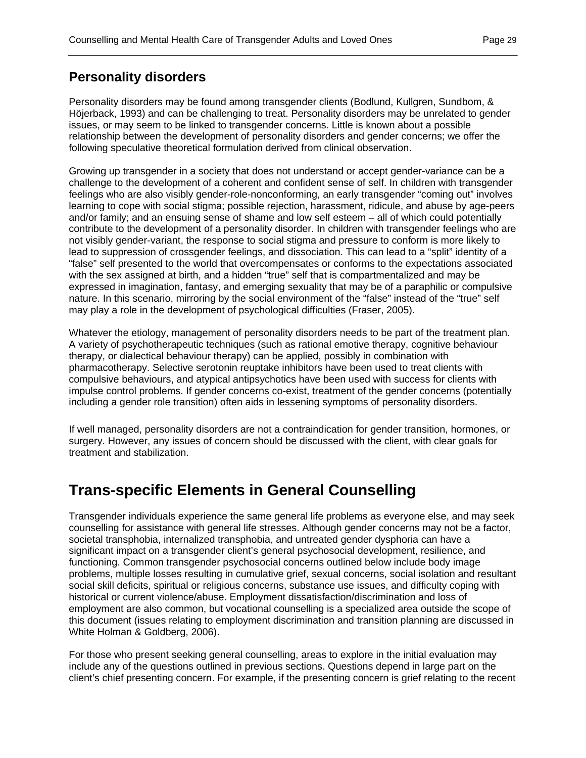### <span id="page-31-0"></span>**Personality disorders**

Personality disorders may be found among transgender clients (Bodlund, Kullgren, Sundbom, & Höjerback, 1993) and can be challenging to treat. Personality disorders may be unrelated to gender issues, or may seem to be linked to transgender concerns. Little is known about a possible relationship between the development of personality disorders and gender concerns; we offer the following speculative theoretical formulation derived from clinical observation.

Growing up transgender in a society that does not understand or accept gender-variance can be a challenge to the development of a coherent and confident sense of self. In children with transgender feelings who are also visibly gender-role-nonconforming, an early transgender "coming out" involves learning to cope with social stigma; possible rejection, harassment, ridicule, and abuse by age-peers and/or family; and an ensuing sense of shame and low self esteem – all of which could potentially contribute to the development of a personality disorder. In children with transgender feelings who are not visibly gender-variant, the response to social stigma and pressure to conform is more likely to lead to suppression of crossgender feelings, and dissociation. This can lead to a "split" identity of a "false" self presented to the world that overcompensates or conforms to the expectations associated with the sex assigned at birth, and a hidden "true" self that is compartmentalized and may be expressed in imagination, fantasy, and emerging sexuality that may be of a paraphilic or compulsive nature. In this scenario, mirroring by the social environment of the "false" instead of the "true" self may play a role in the development of psychological difficulties (Fraser, 2005).

Whatever the etiology, management of personality disorders needs to be part of the treatment plan. A variety of psychotherapeutic techniques (such as rational emotive therapy, cognitive behaviour therapy, or dialectical behaviour therapy) can be applied, possibly in combination with pharmacotherapy. Selective serotonin reuptake inhibitors have been used to treat clients with compulsive behaviours, and atypical antipsychotics have been used with success for clients with impulse control problems. If gender concerns co-exist, treatment of the gender concerns (potentially including a gender role transition) often aids in lessening symptoms of personality disorders.

If well managed, personality disorders are not a contraindication for gender transition, hormones, or surgery. However, any issues of concern should be discussed with the client, with clear goals for treatment and stabilization.

### **Trans-specific Elements in General Counselling**

Transgender individuals experience the same general life problems as everyone else, and may seek counselling for assistance with general life stresses. Although gender concerns may not be a factor, societal transphobia, internalized transphobia, and untreated gender dysphoria can have a significant impact on a transgender client's general psychosocial development, resilience, and functioning. Common transgender psychosocial concerns outlined below include body image problems, multiple losses resulting in cumulative grief, sexual concerns, social isolation and resultant social skill deficits, spiritual or religious concerns, substance use issues, and difficulty coping with historical or current violence/abuse. Employment dissatisfaction/discrimination and loss of employment are also common, but vocational counselling is a specialized area outside the scope of this document (issues relating to employment discrimination and transition planning are discussed in White Holman & Goldberg, 2006).

For those who present seeking general counselling, areas to explore in the initial evaluation may include any of the questions outlined in previous sections. Questions depend in large part on the client's chief presenting concern. For example, if the presenting concern is grief relating to the recent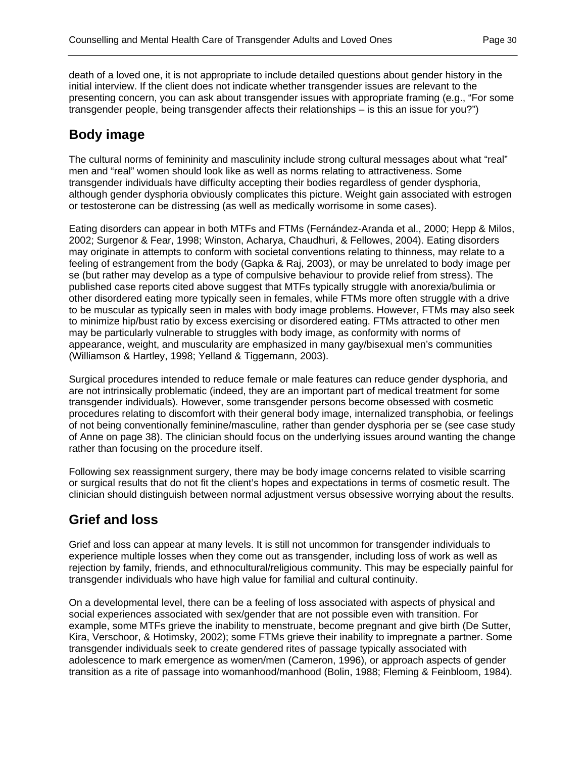<span id="page-32-0"></span>death of a loved one, it is not appropriate to include detailed questions about gender history in the initial interview. If the client does not indicate whether transgender issues are relevant to the presenting concern, you can ask about transgender issues with appropriate framing (e.g., "For some transgender people, being transgender affects their relationships – is this an issue for you?")

### **Body image**

The cultural norms of femininity and masculinity include strong cultural messages about what "real" men and "real" women should look like as well as norms relating to attractiveness. Some transgender individuals have difficulty accepting their bodies regardless of gender dysphoria, although gender dysphoria obviously complicates this picture. Weight gain associated with estrogen or testosterone can be distressing (as well as medically worrisome in some cases).

Eating disorders can appear in both MTFs and FTMs (Fernández-Aranda et al., 2000; Hepp & Milos, 2002; Surgenor & Fear, 1998; Winston, Acharya, Chaudhuri, & Fellowes, 2004). Eating disorders may originate in attempts to conform with societal conventions relating to thinness, may relate to a feeling of estrangement from the body (Gapka & Raj, 2003), or may be unrelated to body image per se (but rather may develop as a type of compulsive behaviour to provide relief from stress). The published case reports cited above suggest that MTFs typically struggle with anorexia/bulimia or other disordered eating more typically seen in females, while FTMs more often struggle with a drive to be muscular as typically seen in males with body image problems. However, FTMs may also seek to minimize hip/bust ratio by excess exercising or disordered eating. FTMs attracted to other men may be particularly vulnerable to struggles with body image, as conformity with norms of appearance, weight, and muscularity are emphasized in many gay/bisexual men's communities (Williamson & Hartley, 1998; Yelland & Tiggemann, 2003).

Surgical procedures intended to reduce female or male features can reduce gender dysphoria, and are not intrinsically problematic (indeed, they are an important part of medical treatment for some transgender individuals). However, some transgender persons become obsessed with cosmetic procedures relating to discomfort with their general body image, internalized transphobia, or feelings of not being conventionally feminine/masculine, rather than gender dysphoria per se (see case study of Anne on page 38). The clinician should focus on the underlying issues around wanting the change rather than focusing on the procedure itself.

Following sex reassignment surgery, there may be body image concerns related to visible scarring or surgical results that do not fit the client's hopes and expectations in terms of cosmetic result. The clinician should distinguish between normal adjustment versus obsessive worrying about the results.

### **Grief and loss**

Grief and loss can appear at many levels. It is still not uncommon for transgender individuals to experience multiple losses when they come out as transgender, including loss of work as well as rejection by family, friends, and ethnocultural/religious community. This may be especially painful for transgender individuals who have high value for familial and cultural continuity.

On a developmental level, there can be a feeling of loss associated with aspects of physical and social experiences associated with sex/gender that are not possible even with transition. For example, some MTFs grieve the inability to menstruate, become pregnant and give birth (De Sutter, Kira, Verschoor, & Hotimsky, 2002); some FTMs grieve their inability to impregnate a partner. Some transgender individuals seek to create gendered rites of passage typically associated with adolescence to mark emergence as women/men (Cameron, 1996), or approach aspects of gender transition as a rite of passage into womanhood/manhood (Bolin, 1988; Fleming & Feinbloom, 1984).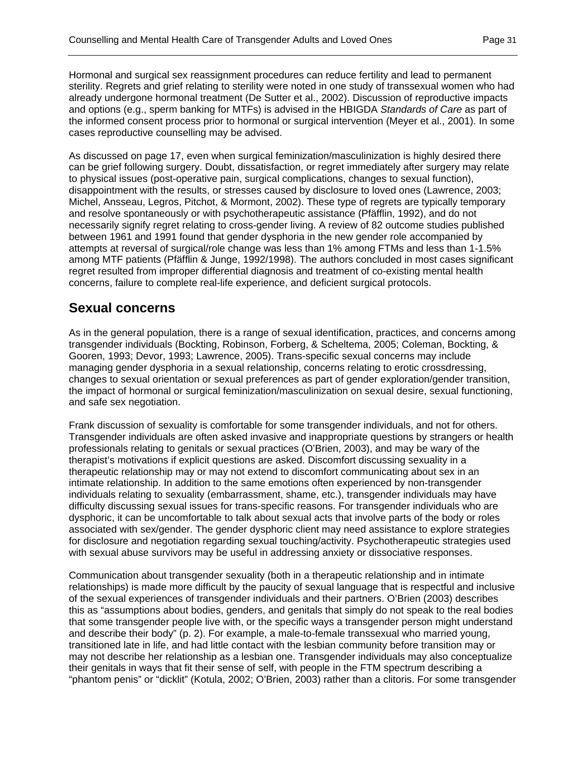<span id="page-33-0"></span>Hormonal and surgical sex reassignment procedures can reduce fertility and lead to permanent sterility. Regrets and grief relating to sterility were noted in one study of transsexual women who had already undergone hormonal treatment (De Sutter et al., 2002). Discussion of reproductive impacts and options (e.g., sperm banking for MTFs) is advised in the HBIGDA *Standards of Care* as part of the informed consent process prior to hormonal or surgical intervention (Meyer et al., 2001). In some cases reproductive counselling may be advised.

As discussed on page 17, even when surgical feminization/masculinization is highly desired there can be grief following surgery. Doubt, dissatisfaction, or regret immediately after surgery may relate to physical issues (post-operative pain, surgical complications, changes to sexual function), disappointment with the results, or stresses caused by disclosure to loved ones (Lawrence, 2003; Michel, Ansseau, Legros, Pitchot, & Mormont, 2002). These type of regrets are typically temporary and resolve spontaneously or with psychotherapeutic assistance (Pfäfflin, 1992), and do not necessarily signify regret relating to cross-gender living. A review of 82 outcome studies published between 1961 and 1991 found that gender dysphoria in the new gender role accompanied by attempts at reversal of surgical/role change was less than 1% among FTMs and less than 1-1.5% among MTF patients (Pfäfflin & Junge, 1992/1998). The authors concluded in most cases significant regret resulted from improper differential diagnosis and treatment of co-existing mental health concerns, failure to complete real-life experience, and deficient surgical protocols.

### **Sexual concerns**

As in the general population, there is a range of sexual identification, practices, and concerns among transgender individuals (Bockting, Robinson, Forberg, & Scheltema, 2005; Coleman, Bockting, & Gooren, 1993; Devor, 1993; Lawrence, 2005). Trans-specific sexual concerns may include managing gender dysphoria in a sexual relationship, concerns relating to erotic crossdressing, changes to sexual orientation or sexual preferences as part of gender exploration/gender transition, the impact of hormonal or surgical feminization/masculinization on sexual desire, sexual functioning, and safe sex negotiation.

Frank discussion of sexuality is comfortable for some transgender individuals, and not for others. Transgender individuals are often asked invasive and inappropriate questions by strangers or health professionals relating to genitals or sexual practices (O'Brien, 2003), and may be wary of the therapist's motivations if explicit questions are asked. Discomfort discussing sexuality in a therapeutic relationship may or may not extend to discomfort communicating about sex in an intimate relationship. In addition to the same emotions often experienced by non-transgender individuals relating to sexuality (embarrassment, shame, etc.), transgender individuals may have difficulty discussing sexual issues for trans-specific reasons. For transgender individuals who are dysphoric, it can be uncomfortable to talk about sexual acts that involve parts of the body or roles associated with sex/gender. The gender dysphoric client may need assistance to explore strategies for disclosure and negotiation regarding sexual touching/activity. Psychotherapeutic strategies used with sexual abuse survivors may be useful in addressing anxiety or dissociative responses.

Communication about transgender sexuality (both in a therapeutic relationship and in intimate relationships) is made more difficult by the paucity of sexual language that is respectful and inclusive of the sexual experiences of transgender individuals and their partners. O'Brien (2003) describes this as "assumptions about bodies, genders, and genitals that simply do not speak to the real bodies that some transgender people live with, or the specific ways a transgender person might understand and describe their body" (p. 2). For example, a male-to-female transsexual who married young, transitioned late in life, and had little contact with the lesbian community before transition may or may not describe her relationship as a lesbian one. Transgender individuals may also conceptualize their genitals in ways that fit their sense of self, with people in the FTM spectrum describing a "phantom penis" or "dicklit" (Kotula, 2002; O'Brien, 2003) rather than a clitoris. For some transgender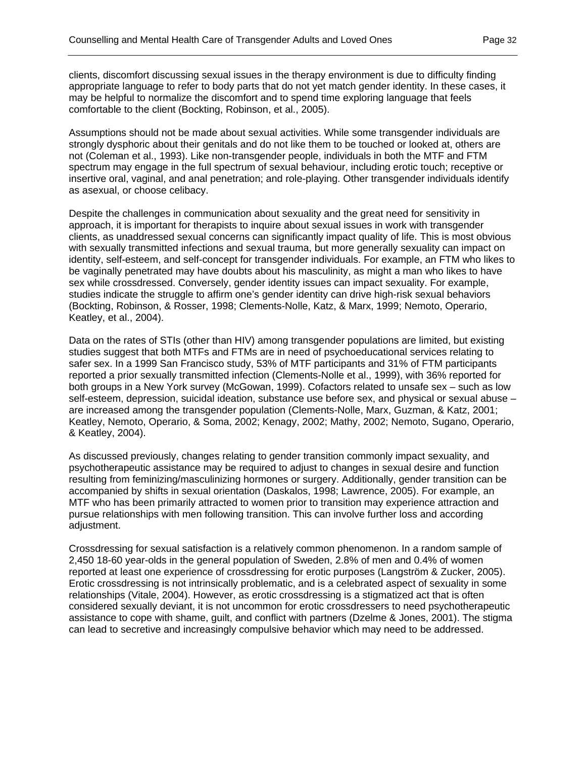clients, discomfort discussing sexual issues in the therapy environment is due to difficulty finding

appropriate language to refer to body parts that do not yet match gender identity. In these cases, it may be helpful to normalize the discomfort and to spend time exploring language that feels comfortable to the client (Bockting, Robinson, et al., 2005).

Assumptions should not be made about sexual activities. While some transgender individuals are strongly dysphoric about their genitals and do not like them to be touched or looked at, others are not (Coleman et al., 1993). Like non-transgender people, individuals in both the MTF and FTM spectrum may engage in the full spectrum of sexual behaviour, including erotic touch; receptive or insertive oral, vaginal, and anal penetration; and role-playing. Other transgender individuals identify as asexual, or choose celibacy.

Despite the challenges in communication about sexuality and the great need for sensitivity in approach, it is important for therapists to inquire about sexual issues in work with transgender clients, as unaddressed sexual concerns can significantly impact quality of life. This is most obvious with sexually transmitted infections and sexual trauma, but more generally sexuality can impact on identity, self-esteem, and self-concept for transgender individuals. For example, an FTM who likes to be vaginally penetrated may have doubts about his masculinity, as might a man who likes to have sex while crossdressed. Conversely, gender identity issues can impact sexuality. For example, studies indicate the struggle to affirm one's gender identity can drive high-risk sexual behaviors (Bockting, Robinson, & Rosser, 1998; Clements-Nolle, Katz, & Marx, 1999; Nemoto, Operario, Keatley, et al., 2004).

Data on the rates of STIs (other than HIV) among transgender populations are limited, but existing studies suggest that both MTFs and FTMs are in need of psychoeducational services relating to safer sex. In a 1999 San Francisco study, 53% of MTF participants and 31% of FTM participants reported a prior sexually transmitted infection (Clements-Nolle et al., 1999), with 36% reported for both groups in a New York survey (McGowan, 1999). Cofactors related to unsafe sex – such as low self-esteem, depression, suicidal ideation, substance use before sex, and physical or sexual abuse – are increased among the transgender population (Clements-Nolle, Marx, Guzman, & Katz, 2001; Keatley, Nemoto, Operario, & Soma, 2002; Kenagy, 2002; Mathy, 2002; Nemoto, Sugano, Operario, & Keatley, 2004).

As discussed previously, changes relating to gender transition commonly impact sexuality, and psychotherapeutic assistance may be required to adjust to changes in sexual desire and function resulting from feminizing/masculinizing hormones or surgery. Additionally, gender transition can be accompanied by shifts in sexual orientation (Daskalos, 1998; Lawrence, 2005). For example, an MTF who has been primarily attracted to women prior to transition may experience attraction and pursue relationships with men following transition. This can involve further loss and according adjustment.

Crossdressing for sexual satisfaction is a relatively common phenomenon. In a random sample of 2,450 18-60 year-olds in the general population of Sweden, 2.8% of men and 0.4% of women reported at least one experience of crossdressing for erotic purposes (Langström & Zucker, 2005). Erotic crossdressing is not intrinsically problematic, and is a celebrated aspect of sexuality in some relationships (Vitale, 2004). However, as erotic crossdressing is a stigmatized act that is often considered sexually deviant, it is not uncommon for erotic crossdressers to need psychotherapeutic assistance to cope with shame, guilt, and conflict with partners (Dzelme & Jones, 2001). The stigma can lead to secretive and increasingly compulsive behavior which may need to be addressed.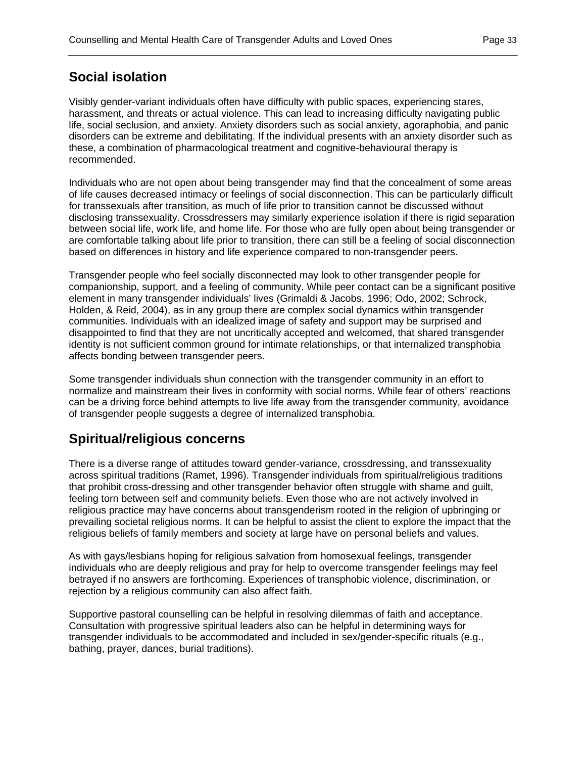### <span id="page-35-0"></span>**Social isolation**

Visibly gender-variant individuals often have difficulty with public spaces, experiencing stares, harassment, and threats or actual violence. This can lead to increasing difficulty navigating public life, social seclusion, and anxiety. Anxiety disorders such as social anxiety, agoraphobia, and panic disorders can be extreme and debilitating. If the individual presents with an anxiety disorder such as these, a combination of pharmacological treatment and cognitive-behavioural therapy is recommended.

Individuals who are not open about being transgender may find that the concealment of some areas of life causes decreased intimacy or feelings of social disconnection. This can be particularly difficult for transsexuals after transition, as much of life prior to transition cannot be discussed without disclosing transsexuality. Crossdressers may similarly experience isolation if there is rigid separation between social life, work life, and home life. For those who are fully open about being transgender or are comfortable talking about life prior to transition, there can still be a feeling of social disconnection based on differences in history and life experience compared to non-transgender peers.

Transgender people who feel socially disconnected may look to other transgender people for companionship, support, and a feeling of community. While peer contact can be a significant positive element in many transgender individuals' lives (Grimaldi & Jacobs, 1996; Odo, 2002; Schrock, Holden, & Reid, 2004), as in any group there are complex social dynamics within transgender communities. Individuals with an idealized image of safety and support may be surprised and disappointed to find that they are not uncritically accepted and welcomed, that shared transgender identity is not sufficient common ground for intimate relationships, or that internalized transphobia affects bonding between transgender peers.

Some transgender individuals shun connection with the transgender community in an effort to normalize and mainstream their lives in conformity with social norms. While fear of others' reactions can be a driving force behind attempts to live life away from the transgender community, avoidance of transgender people suggests a degree of internalized transphobia.

### **Spiritual/religious concerns**

There is a diverse range of attitudes toward gender-variance, crossdressing, and transsexuality across spiritual traditions (Ramet, 1996). Transgender individuals from spiritual/religious traditions that prohibit cross-dressing and other transgender behavior often struggle with shame and guilt, feeling torn between self and community beliefs. Even those who are not actively involved in religious practice may have concerns about transgenderism rooted in the religion of upbringing or prevailing societal religious norms. It can be helpful to assist the client to explore the impact that the religious beliefs of family members and society at large have on personal beliefs and values.

As with gays/lesbians hoping for religious salvation from homosexual feelings, transgender individuals who are deeply religious and pray for help to overcome transgender feelings may feel betrayed if no answers are forthcoming. Experiences of transphobic violence, discrimination, or rejection by a religious community can also affect faith.

Supportive pastoral counselling can be helpful in resolving dilemmas of faith and acceptance. Consultation with progressive spiritual leaders also can be helpful in determining ways for transgender individuals to be accommodated and included in sex/gender-specific rituals (e.g., bathing, prayer, dances, burial traditions).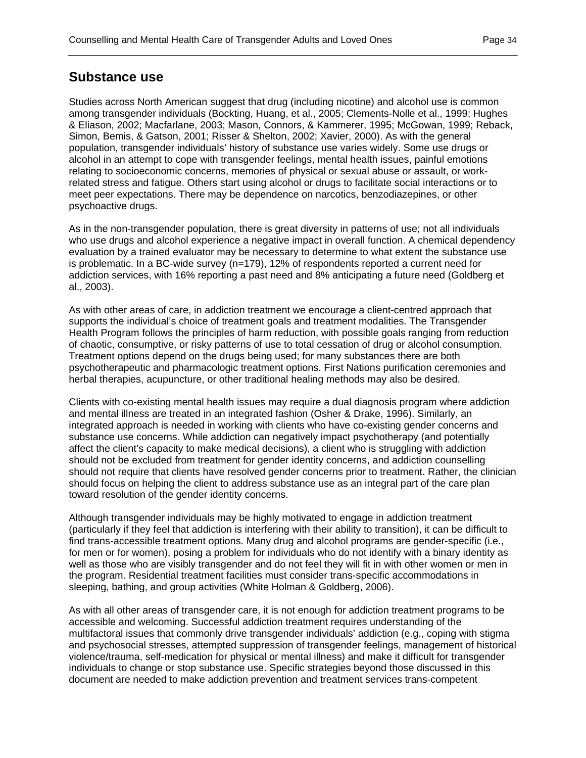#### <span id="page-36-0"></span>**Substance use**

Studies across North American suggest that drug (including nicotine) and alcohol use is common among transgender individuals (Bockting, Huang, et al., 2005; Clements-Nolle et al., 1999; Hughes & Eliason, 2002; Macfarlane, 2003; Mason, Connors, & Kammerer, 1995; McGowan, 1999; Reback, Simon, Bemis, & Gatson, 2001; Risser & Shelton, 2002; Xavier, 2000). As with the general population, transgender individuals' history of substance use varies widely. Some use drugs or alcohol in an attempt to cope with transgender feelings, mental health issues, painful emotions relating to socioeconomic concerns, memories of physical or sexual abuse or assault, or workrelated stress and fatigue. Others start using alcohol or drugs to facilitate social interactions or to meet peer expectations. There may be dependence on narcotics, benzodiazepines, or other psychoactive drugs.

As in the non-transgender population, there is great diversity in patterns of use; not all individuals who use drugs and alcohol experience a negative impact in overall function. A chemical dependency evaluation by a trained evaluator may be necessary to determine to what extent the substance use is problematic. In a BC-wide survey (n=179), 12% of respondents reported a current need for addiction services, with 16% reporting a past need and 8% anticipating a future need (Goldberg et al., 2003).

As with other areas of care, in addiction treatment we encourage a client-centred approach that supports the individual's choice of treatment goals and treatment modalities. The Transgender Health Program follows the principles of harm reduction, with possible goals ranging from reduction of chaotic, consumptive, or risky patterns of use to total cessation of drug or alcohol consumption. Treatment options depend on the drugs being used; for many substances there are both psychotherapeutic and pharmacologic treatment options. First Nations purification ceremonies and herbal therapies, acupuncture, or other traditional healing methods may also be desired.

Clients with co-existing mental health issues may require a dual diagnosis program where addiction and mental illness are treated in an integrated fashion (Osher & Drake, 1996). Similarly, an integrated approach is needed in working with clients who have co-existing gender concerns and substance use concerns. While addiction can negatively impact psychotherapy (and potentially affect the client's capacity to make medical decisions), a client who is struggling with addiction should not be excluded from treatment for gender identity concerns, and addiction counselling should not require that clients have resolved gender concerns prior to treatment. Rather, the clinician should focus on helping the client to address substance use as an integral part of the care plan toward resolution of the gender identity concerns.

Although transgender individuals may be highly motivated to engage in addiction treatment (particularly if they feel that addiction is interfering with their ability to transition), it can be difficult to find trans-accessible treatment options. Many drug and alcohol programs are gender-specific (i.e., for men or for women), posing a problem for individuals who do not identify with a binary identity as well as those who are visibly transgender and do not feel they will fit in with other women or men in the program. Residential treatment facilities must consider trans-specific accommodations in sleeping, bathing, and group activities (White Holman & Goldberg, 2006).

As with all other areas of transgender care, it is not enough for addiction treatment programs to be accessible and welcoming. Successful addiction treatment requires understanding of the multifactoral issues that commonly drive transgender individuals' addiction (e.g., coping with stigma and psychosocial stresses, attempted suppression of transgender feelings, management of historical violence/trauma, self-medication for physical or mental illness) and make it difficult for transgender individuals to change or stop substance use. Specific strategies beyond those discussed in this document are needed to make addiction prevention and treatment services trans-competent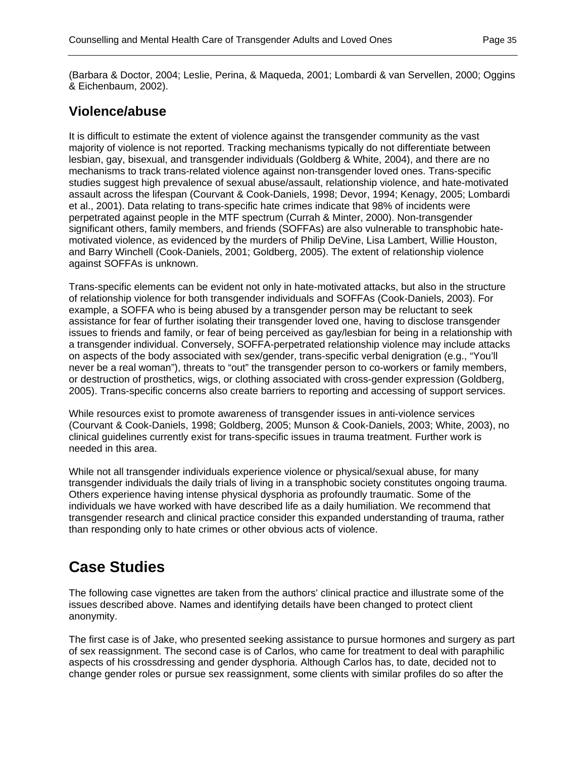<span id="page-37-0"></span>(Barbara & Doctor, 2004; Leslie, Perina, & Maqueda, 2001; Lombardi & van Servellen, 2000; Oggins & Eichenbaum, 2002).

### **Violence/abuse**

It is difficult to estimate the extent of violence against the transgender community as the vast majority of violence is not reported. Tracking mechanisms typically do not differentiate between lesbian, gay, bisexual, and transgender individuals (Goldberg & White, 2004), and there are no mechanisms to track trans-related violence against non-transgender loved ones. Trans-specific studies suggest high prevalence of sexual abuse/assault, relationship violence, and hate-motivated assault across the lifespan (Courvant & Cook-Daniels, 1998; Devor, 1994; Kenagy, 2005; Lombardi et al., 2001). Data relating to trans-specific hate crimes indicate that 98% of incidents were perpetrated against people in the MTF spectrum (Currah & Minter, 2000). Non-transgender significant others, family members, and friends (SOFFAs) are also vulnerable to transphobic hatemotivated violence, as evidenced by the murders of Philip DeVine, Lisa Lambert, Willie Houston, and Barry Winchell (Cook-Daniels, 2001; Goldberg, 2005). The extent of relationship violence against SOFFAs is unknown.

Trans-specific elements can be evident not only in hate-motivated attacks, but also in the structure of relationship violence for both transgender individuals and SOFFAs (Cook-Daniels, 2003). For example, a SOFFA who is being abused by a transgender person may be reluctant to seek assistance for fear of further isolating their transgender loved one, having to disclose transgender issues to friends and family, or fear of being perceived as gay/lesbian for being in a relationship with a transgender individual. Conversely, SOFFA-perpetrated relationship violence may include attacks on aspects of the body associated with sex/gender, trans-specific verbal denigration (e.g., "You'll never be a real woman"), threats to "out" the transgender person to co-workers or family members, or destruction of prosthetics, wigs, or clothing associated with cross-gender expression (Goldberg, 2005). Trans-specific concerns also create barriers to reporting and accessing of support services.

While resources exist to promote awareness of transgender issues in anti-violence services (Courvant & Cook-Daniels, 1998; Goldberg, 2005; Munson & Cook-Daniels, 2003; White, 2003), no clinical guidelines currently exist for trans-specific issues in trauma treatment. Further work is needed in this area.

While not all transgender individuals experience violence or physical/sexual abuse, for many transgender individuals the daily trials of living in a transphobic society constitutes ongoing trauma. Others experience having intense physical dysphoria as profoundly traumatic. Some of the individuals we have worked with have described life as a daily humiliation. We recommend that transgender research and clinical practice consider this expanded understanding of trauma, rather than responding only to hate crimes or other obvious acts of violence.

### **Case Studies**

The following case vignettes are taken from the authors' clinical practice and illustrate some of the issues described above. Names and identifying details have been changed to protect client anonymity.

The first case is of Jake, who presented seeking assistance to pursue hormones and surgery as part of sex reassignment. The second case is of Carlos, who came for treatment to deal with paraphilic aspects of his crossdressing and gender dysphoria. Although Carlos has, to date, decided not to change gender roles or pursue sex reassignment, some clients with similar profiles do so after the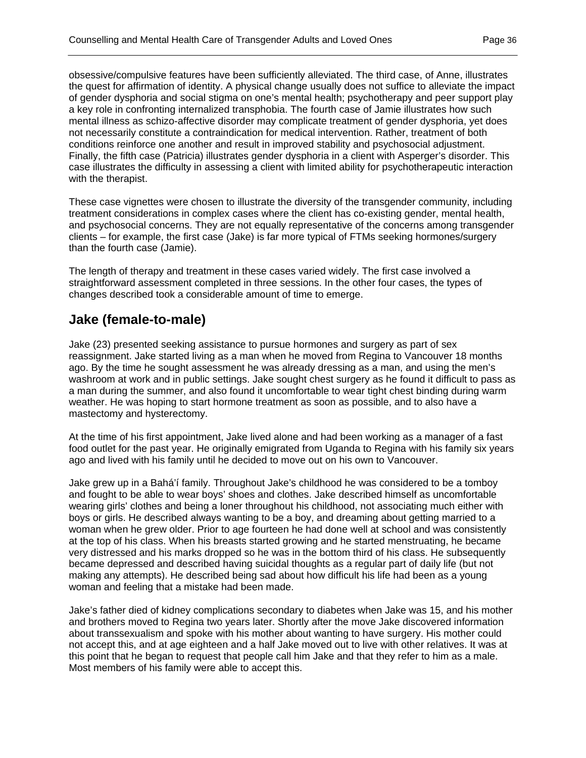obsessive/compulsive features have been sufficiently alleviated. The third case, of Anne, illustrates the quest for affirmation of identity. A physical change usually does not suffice to alleviate the impact of gender dysphoria and social stigma on one's mental health; psychotherapy and peer support play a key role in confronting internalized transphobia. The fourth case of Jamie illustrates how such mental illness as schizo-affective disorder may complicate treatment of gender dysphoria, yet does not necessarily constitute a contraindication for medical intervention. Rather, treatment of both conditions reinforce one another and result in improved stability and psychosocial adjustment. Finally, the fifth case (Patricia) illustrates gender dysphoria in a client with Asperger's disorder. This case illustrates the difficulty in assessing a client with limited ability for psychotherapeutic interaction with the therapist.

These case vignettes were chosen to illustrate the diversity of the transgender community, including treatment considerations in complex cases where the client has co-existing gender, mental health, and psychosocial concerns. They are not equally representative of the concerns among transgender clients – for example, the first case (Jake) is far more typical of FTMs seeking hormones/surgery than the fourth case (Jamie).

The length of therapy and treatment in these cases varied widely. The first case involved a straightforward assessment completed in three sessions. In the other four cases, the types of changes described took a considerable amount of time to emerge.

### **Jake (female-to-male)**

Jake (23) presented seeking assistance to pursue hormones and surgery as part of sex reassignment. Jake started living as a man when he moved from Regina to Vancouver 18 months ago. By the time he sought assessment he was already dressing as a man, and using the men's washroom at work and in public settings. Jake sought chest surgery as he found it difficult to pass as a man during the summer, and also found it uncomfortable to wear tight chest binding during warm weather. He was hoping to start hormone treatment as soon as possible, and to also have a mastectomy and hysterectomy.

At the time of his first appointment, Jake lived alone and had been working as a manager of a fast food outlet for the past year. He originally emigrated from Uganda to Regina with his family six years ago and lived with his family until he decided to move out on his own to Vancouver.

Jake grew up in a Bahá'í family. Throughout Jake's childhood he was considered to be a tomboy and fought to be able to wear boys' shoes and clothes. Jake described himself as uncomfortable wearing girls' clothes and being a loner throughout his childhood, not associating much either with boys or girls. He described always wanting to be a boy, and dreaming about getting married to a woman when he grew older. Prior to age fourteen he had done well at school and was consistently at the top of his class. When his breasts started growing and he started menstruating, he became very distressed and his marks dropped so he was in the bottom third of his class. He subsequently became depressed and described having suicidal thoughts as a regular part of daily life (but not making any attempts). He described being sad about how difficult his life had been as a young woman and feeling that a mistake had been made.

Jake's father died of kidney complications secondary to diabetes when Jake was 15, and his mother and brothers moved to Regina two years later. Shortly after the move Jake discovered information about transsexualism and spoke with his mother about wanting to have surgery. His mother could not accept this, and at age eighteen and a half Jake moved out to live with other relatives. It was at this point that he began to request that people call him Jake and that they refer to him as a male. Most members of his family were able to accept this.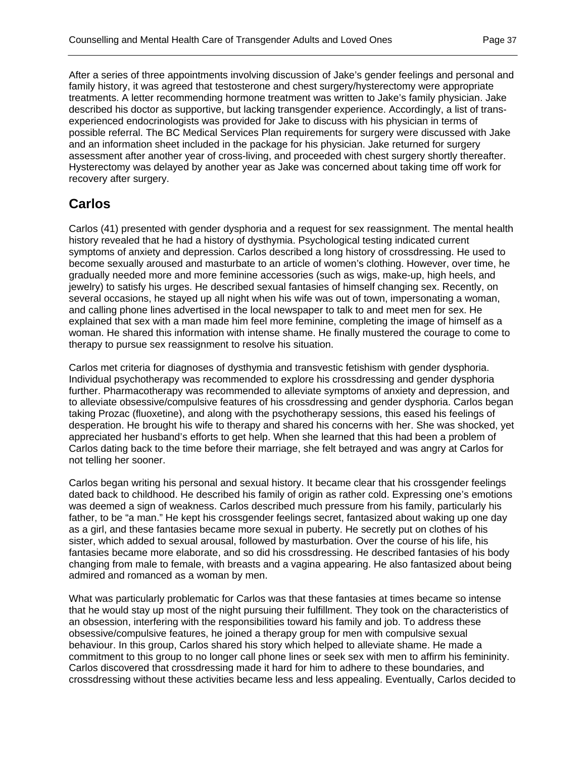After a series of three appointments involving discussion of Jake's gender feelings and personal and family history, it was agreed that testosterone and chest surgery/hysterectomy were appropriate treatments. A letter recommending hormone treatment was written to Jake's family physician. Jake described his doctor as supportive, but lacking transgender experience. Accordingly, a list of transexperienced endocrinologists was provided for Jake to discuss with his physician in terms of possible referral. The BC Medical Services Plan requirements for surgery were discussed with Jake and an information sheet included in the package for his physician. Jake returned for surgery assessment after another year of cross-living, and proceeded with chest surgery shortly thereafter. Hysterectomy was delayed by another year as Jake was concerned about taking time off work for recovery after surgery.

### **Carlos**

Carlos (41) presented with gender dysphoria and a request for sex reassignment. The mental health history revealed that he had a history of dysthymia. Psychological testing indicated current symptoms of anxiety and depression. Carlos described a long history of crossdressing. He used to become sexually aroused and masturbate to an article of women's clothing. However, over time, he gradually needed more and more feminine accessories (such as wigs, make-up, high heels, and jewelry) to satisfy his urges. He described sexual fantasies of himself changing sex. Recently, on several occasions, he stayed up all night when his wife was out of town, impersonating a woman, and calling phone lines advertised in the local newspaper to talk to and meet men for sex. He explained that sex with a man made him feel more feminine, completing the image of himself as a woman. He shared this information with intense shame. He finally mustered the courage to come to therapy to pursue sex reassignment to resolve his situation.

Carlos met criteria for diagnoses of dysthymia and transvestic fetishism with gender dysphoria. Individual psychotherapy was recommended to explore his crossdressing and gender dysphoria further. Pharmacotherapy was recommended to alleviate symptoms of anxiety and depression, and to alleviate obsessive/compulsive features of his crossdressing and gender dysphoria. Carlos began taking Prozac (fluoxetine), and along with the psychotherapy sessions, this eased his feelings of desperation. He brought his wife to therapy and shared his concerns with her. She was shocked, yet appreciated her husband's efforts to get help. When she learned that this had been a problem of Carlos dating back to the time before their marriage, she felt betrayed and was angry at Carlos for not telling her sooner.

Carlos began writing his personal and sexual history. It became clear that his crossgender feelings dated back to childhood. He described his family of origin as rather cold. Expressing one's emotions was deemed a sign of weakness. Carlos described much pressure from his family, particularly his father, to be "a man." He kept his crossgender feelings secret, fantasized about waking up one day as a girl, and these fantasies became more sexual in puberty. He secretly put on clothes of his sister, which added to sexual arousal, followed by masturbation. Over the course of his life, his fantasies became more elaborate, and so did his crossdressing. He described fantasies of his body changing from male to female, with breasts and a vagina appearing. He also fantasized about being admired and romanced as a woman by men.

What was particularly problematic for Carlos was that these fantasies at times became so intense that he would stay up most of the night pursuing their fulfillment. They took on the characteristics of an obsession, interfering with the responsibilities toward his family and job. To address these obsessive/compulsive features, he joined a therapy group for men with compulsive sexual behaviour. In this group, Carlos shared his story which helped to alleviate shame. He made a commitment to this group to no longer call phone lines or seek sex with men to affirm his femininity. Carlos discovered that crossdressing made it hard for him to adhere to these boundaries, and crossdressing without these activities became less and less appealing. Eventually, Carlos decided to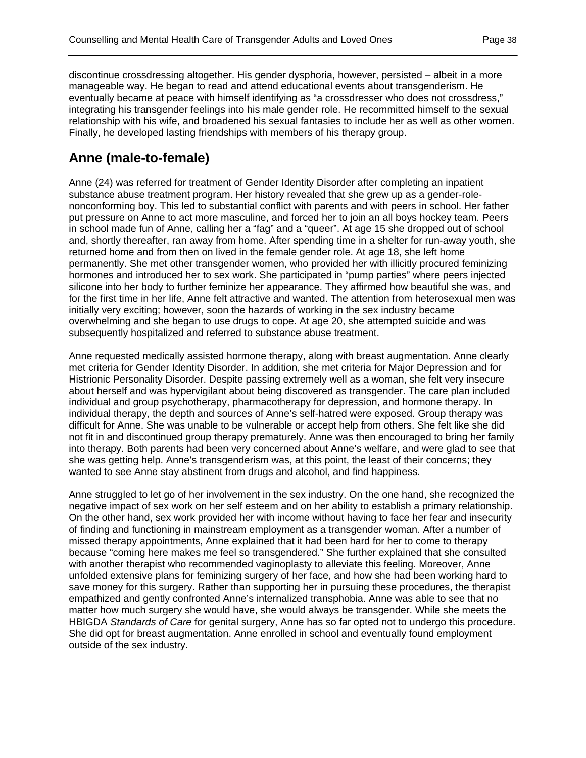discontinue crossdressing altogether. His gender dysphoria, however, persisted – albeit in a more manageable way. He began to read and attend educational events about transgenderism. He eventually became at peace with himself identifying as "a crossdresser who does not crossdress," integrating his transgender feelings into his male gender role. He recommitted himself to the sexual relationship with his wife, and broadened his sexual fantasies to include her as well as other women. Finally, he developed lasting friendships with members of his therapy group.

### **Anne (male-to-female)**

Anne (24) was referred for treatment of Gender Identity Disorder after completing an inpatient substance abuse treatment program. Her history revealed that she grew up as a gender-rolenonconforming boy. This led to substantial conflict with parents and with peers in school. Her father put pressure on Anne to act more masculine, and forced her to join an all boys hockey team. Peers in school made fun of Anne, calling her a "fag" and a "queer". At age 15 she dropped out of school and, shortly thereafter, ran away from home. After spending time in a shelter for run-away youth, she returned home and from then on lived in the female gender role. At age 18, she left home permanently. She met other transgender women, who provided her with illicitly procured feminizing hormones and introduced her to sex work. She participated in "pump parties" where peers injected silicone into her body to further feminize her appearance. They affirmed how beautiful she was, and for the first time in her life, Anne felt attractive and wanted. The attention from heterosexual men was initially very exciting; however, soon the hazards of working in the sex industry became overwhelming and she began to use drugs to cope. At age 20, she attempted suicide and was subsequently hospitalized and referred to substance abuse treatment.

Anne requested medically assisted hormone therapy, along with breast augmentation. Anne clearly met criteria for Gender Identity Disorder. In addition, she met criteria for Major Depression and for Histrionic Personality Disorder. Despite passing extremely well as a woman, she felt very insecure about herself and was hypervigilant about being discovered as transgender. The care plan included individual and group psychotherapy, pharmacotherapy for depression, and hormone therapy. In individual therapy, the depth and sources of Anne's self-hatred were exposed. Group therapy was difficult for Anne. She was unable to be vulnerable or accept help from others. She felt like she did not fit in and discontinued group therapy prematurely. Anne was then encouraged to bring her family into therapy. Both parents had been very concerned about Anne's welfare, and were glad to see that she was getting help. Anne's transgenderism was, at this point, the least of their concerns; they wanted to see Anne stay abstinent from drugs and alcohol, and find happiness.

Anne struggled to let go of her involvement in the sex industry. On the one hand, she recognized the negative impact of sex work on her self esteem and on her ability to establish a primary relationship. On the other hand, sex work provided her with income without having to face her fear and insecurity of finding and functioning in mainstream employment as a transgender woman. After a number of missed therapy appointments, Anne explained that it had been hard for her to come to therapy because "coming here makes me feel so transgendered." She further explained that she consulted with another therapist who recommended vaginoplasty to alleviate this feeling. Moreover, Anne unfolded extensive plans for feminizing surgery of her face, and how she had been working hard to save money for this surgery. Rather than supporting her in pursuing these procedures, the therapist empathized and gently confronted Anne's internalized transphobia. Anne was able to see that no matter how much surgery she would have, she would always be transgender. While she meets the HBIGDA *Standards of Care* for genital surgery, Anne has so far opted not to undergo this procedure. She did opt for breast augmentation. Anne enrolled in school and eventually found employment outside of the sex industry.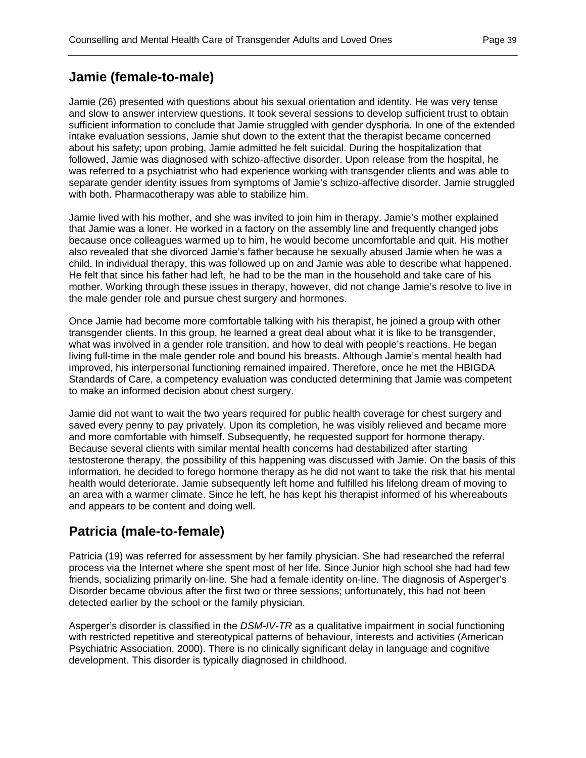### **Jamie (female-to-male)**

Jamie (26) presented with questions about his sexual orientation and identity. He was very tense and slow to answer interview questions. It took several sessions to develop sufficient trust to obtain sufficient information to conclude that Jamie struggled with gender dysphoria. In one of the extended intake evaluation sessions, Jamie shut down to the extent that the therapist became concerned about his safety; upon probing, Jamie admitted he felt suicidal. During the hospitalization that followed, Jamie was diagnosed with schizo-affective disorder. Upon release from the hospital, he was referred to a psychiatrist who had experience working with transgender clients and was able to separate gender identity issues from symptoms of Jamie's schizo-affective disorder. Jamie struggled with both. Pharmacotherapy was able to stabilize him.

Jamie lived with his mother, and she was invited to join him in therapy. Jamie's mother explained that Jamie was a loner. He worked in a factory on the assembly line and frequently changed jobs because once colleagues warmed up to him, he would become uncomfortable and quit. His mother also revealed that she divorced Jamie's father because he sexually abused Jamie when he was a child. In individual therapy, this was followed up on and Jamie was able to describe what happened. He felt that since his father had left, he had to be the man in the household and take care of his mother. Working through these issues in therapy, however, did not change Jamie's resolve to live in the male gender role and pursue chest surgery and hormones.

Once Jamie had become more comfortable talking with his therapist, he joined a group with other transgender clients. In this group, he learned a great deal about what it is like to be transgender, what was involved in a gender role transition, and how to deal with people's reactions. He began living full-time in the male gender role and bound his breasts. Although Jamie's mental health had improved, his interpersonal functioning remained impaired. Therefore, once he met the HBIGDA Standards of Care, a competency evaluation was conducted determining that Jamie was competent to make an informed decision about chest surgery.

Jamie did not want to wait the two years required for public health coverage for chest surgery and saved every penny to pay privately. Upon its completion, he was visibly relieved and became more and more comfortable with himself. Subsequently, he requested support for hormone therapy. Because several clients with similar mental health concerns had destabilized after starting testosterone therapy, the possibility of this happening was discussed with Jamie. On the basis of this information, he decided to forego hormone therapy as he did not want to take the risk that his mental health would deteriorate. Jamie subsequently left home and fulfilled his lifelong dream of moving to an area with a warmer climate. Since he left, he has kept his therapist informed of his whereabouts and appears to be content and doing well.

### **Patricia (male-to-female)**

Patricia (19) was referred for assessment by her family physician. She had researched the referral process via the Internet where she spent most of her life. Since Junior high school she had had few friends, socializing primarily on-line. She had a female identity on-line. The diagnosis of Asperger's Disorder became obvious after the first two or three sessions; unfortunately, this had not been detected earlier by the school or the family physician.

Asperger's disorder is classified in the *DSM-IV-TR* as a qualitative impairment in social functioning with restricted repetitive and stereotypical patterns of behaviour, interests and activities (American Psychiatric Association, 2000). There is no clinically significant delay in language and cognitive development. This disorder is typically diagnosed in childhood.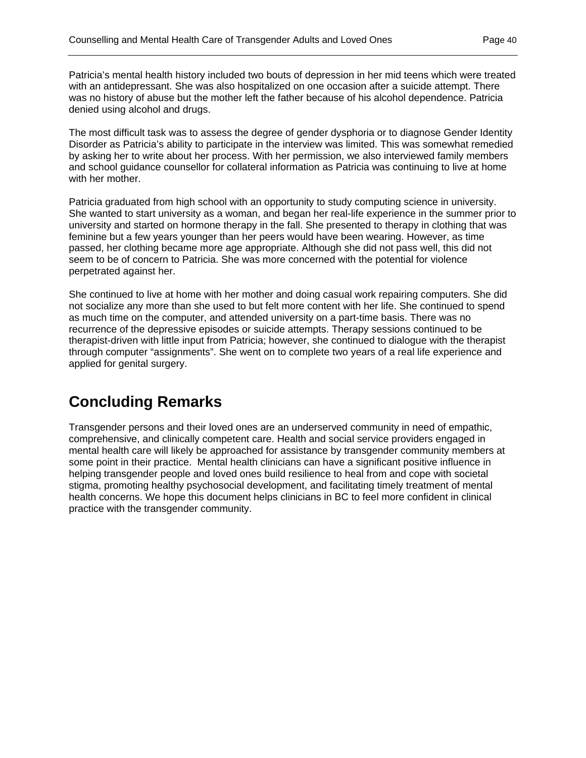<span id="page-42-0"></span>Patricia's mental health history included two bouts of depression in her mid teens which were treated with an antidepressant. She was also hospitalized on one occasion after a suicide attempt. There was no history of abuse but the mother left the father because of his alcohol dependence. Patricia denied using alcohol and drugs.

The most difficult task was to assess the degree of gender dysphoria or to diagnose Gender Identity Disorder as Patricia's ability to participate in the interview was limited. This was somewhat remedied by asking her to write about her process. With her permission, we also interviewed family members and school guidance counsellor for collateral information as Patricia was continuing to live at home with her mother.

Patricia graduated from high school with an opportunity to study computing science in university. She wanted to start university as a woman, and began her real-life experience in the summer prior to university and started on hormone therapy in the fall. She presented to therapy in clothing that was feminine but a few years younger than her peers would have been wearing. However, as time passed, her clothing became more age appropriate. Although she did not pass well, this did not seem to be of concern to Patricia. She was more concerned with the potential for violence perpetrated against her.

She continued to live at home with her mother and doing casual work repairing computers. She did not socialize any more than she used to but felt more content with her life. She continued to spend as much time on the computer, and attended university on a part-time basis. There was no recurrence of the depressive episodes or suicide attempts. Therapy sessions continued to be therapist-driven with little input from Patricia; however, she continued to dialogue with the therapist through computer "assignments". She went on to complete two years of a real life experience and applied for genital surgery.

### **Concluding Remarks**

Transgender persons and their loved ones are an underserved community in need of empathic, comprehensive, and clinically competent care. Health and social service providers engaged in mental health care will likely be approached for assistance by transgender community members at some point in their practice. Mental health clinicians can have a significant positive influence in helping transgender people and loved ones build resilience to heal from and cope with societal stigma, promoting healthy psychosocial development, and facilitating timely treatment of mental health concerns. We hope this document helps clinicians in BC to feel more confident in clinical practice with the transgender community.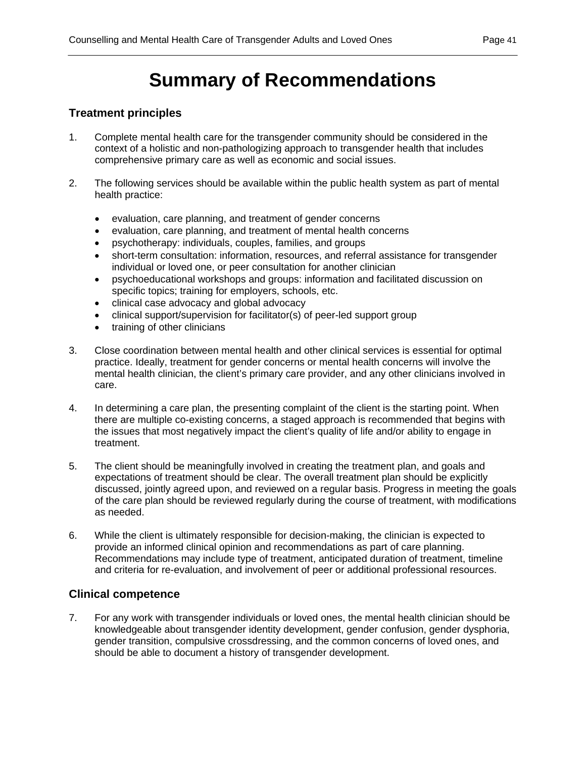# **Summary of Recommendations**

#### <span id="page-43-0"></span>**Treatment principles**

- 1. Complete mental health care for the transgender community should be considered in the context of a holistic and non-pathologizing approach to transgender health that includes comprehensive primary care as well as economic and social issues.
- 2. The following services should be available within the public health system as part of mental health practice:
	- evaluation, care planning, and treatment of gender concerns
	- evaluation, care planning, and treatment of mental health concerns
	- psychotherapy: individuals, couples, families, and groups
	- short-term consultation: information, resources, and referral assistance for transgender individual or loved one, or peer consultation for another clinician
	- psychoeducational workshops and groups: information and facilitated discussion on specific topics; training for employers, schools, etc.
	- clinical case advocacy and global advocacy
	- clinical support/supervision for facilitator(s) of peer-led support group
	- training of other clinicians
- 3. Close coordination between mental health and other clinical services is essential for optimal practice. Ideally, treatment for gender concerns or mental health concerns will involve the mental health clinician, the client's primary care provider, and any other clinicians involved in care.
- 4. In determining a care plan, the presenting complaint of the client is the starting point. When there are multiple co-existing concerns, a staged approach is recommended that begins with the issues that most negatively impact the client's quality of life and/or ability to engage in treatment.
- 5. The client should be meaningfully involved in creating the treatment plan, and goals and expectations of treatment should be clear. The overall treatment plan should be explicitly discussed, jointly agreed upon, and reviewed on a regular basis. Progress in meeting the goals of the care plan should be reviewed regularly during the course of treatment, with modifications as needed.
- 6. While the client is ultimately responsible for decision-making, the clinician is expected to provide an informed clinical opinion and recommendations as part of care planning. Recommendations may include type of treatment, anticipated duration of treatment, timeline and criteria for re-evaluation, and involvement of peer or additional professional resources.

#### **Clinical competence**

7. For any work with transgender individuals or loved ones, the mental health clinician should be knowledgeable about transgender identity development, gender confusion, gender dysphoria, gender transition, compulsive crossdressing, and the common concerns of loved ones, and should be able to document a history of transgender development.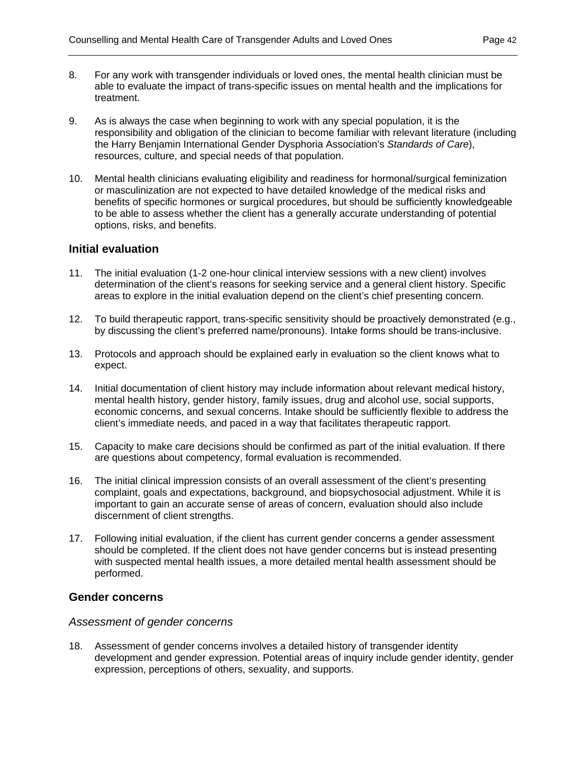- 8. For any work with transgender individuals or loved ones, the mental health clinician must be able to evaluate the impact of trans-specific issues on mental health and the implications for treatment.
- 9. As is always the case when beginning to work with any special population, it is the responsibility and obligation of the clinician to become familiar with relevant literature (including the Harry Benjamin International Gender Dysphoria Association's *Standards of Care*), resources, culture, and special needs of that population.
- 10. Mental health clinicians evaluating eligibility and readiness for hormonal/surgical feminization or masculinization are not expected to have detailed knowledge of the medical risks and benefits of specific hormones or surgical procedures, but should be sufficiently knowledgeable to be able to assess whether the client has a generally accurate understanding of potential options, risks, and benefits.

#### **Initial evaluation**

- 11. The initial evaluation (1-2 one-hour clinical interview sessions with a new client) involves determination of the client's reasons for seeking service and a general client history. Specific areas to explore in the initial evaluation depend on the client's chief presenting concern.
- 12. To build therapeutic rapport, trans-specific sensitivity should be proactively demonstrated (e.g., by discussing the client's preferred name/pronouns). Intake forms should be trans-inclusive.
- 13. Protocols and approach should be explained early in evaluation so the client knows what to expect.
- 14. Initial documentation of client history may include information about relevant medical history, mental health history, gender history, family issues, drug and alcohol use, social supports, economic concerns, and sexual concerns. Intake should be sufficiently flexible to address the client's immediate needs, and paced in a way that facilitates therapeutic rapport.
- 15. Capacity to make care decisions should be confirmed as part of the initial evaluation. If there are questions about competency, formal evaluation is recommended.
- 16. The initial clinical impression consists of an overall assessment of the client's presenting complaint, goals and expectations, background, and biopsychosocial adjustment. While it is important to gain an accurate sense of areas of concern, evaluation should also include discernment of client strengths.
- 17. Following initial evaluation, if the client has current gender concerns a gender assessment should be completed. If the client does not have gender concerns but is instead presenting with suspected mental health issues, a more detailed mental health assessment should be performed.

#### **Gender concerns**

#### *Assessment of gender concerns*

18. Assessment of gender concerns involves a detailed history of transgender identity development and gender expression. Potential areas of inquiry include gender identity, gender expression, perceptions of others, sexuality, and supports.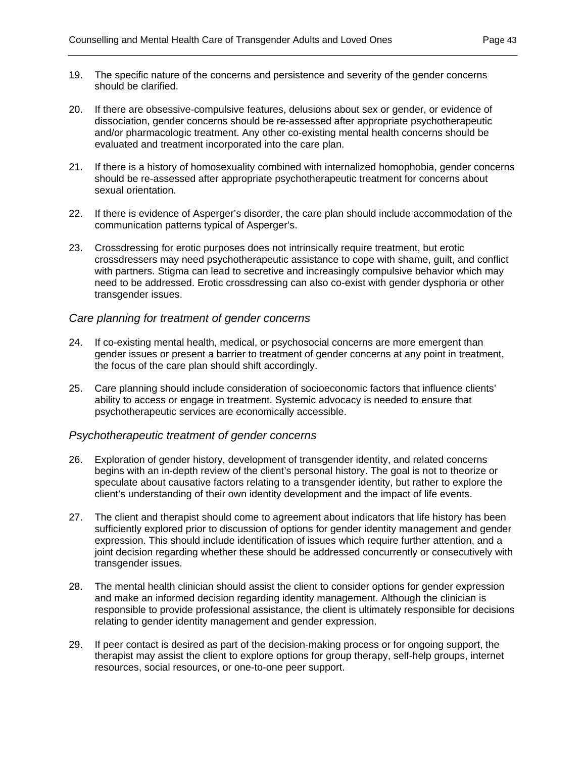- 19. The specific nature of the concerns and persistence and severity of the gender concerns should be clarified.
- 20. If there are obsessive-compulsive features, delusions about sex or gender, or evidence of dissociation, gender concerns should be re-assessed after appropriate psychotherapeutic and/or pharmacologic treatment. Any other co-existing mental health concerns should be evaluated and treatment incorporated into the care plan.
- 21. If there is a history of homosexuality combined with internalized homophobia, gender concerns should be re-assessed after appropriate psychotherapeutic treatment for concerns about sexual orientation.
- 22. If there is evidence of Asperger's disorder, the care plan should include accommodation of the communication patterns typical of Asperger's.
- 23. Crossdressing for erotic purposes does not intrinsically require treatment, but erotic crossdressers may need psychotherapeutic assistance to cope with shame, guilt, and conflict with partners. Stigma can lead to secretive and increasingly compulsive behavior which may need to be addressed. Erotic crossdressing can also co-exist with gender dysphoria or other transgender issues.

#### *Care planning for treatment of gender concerns*

- 24. If co-existing mental health, medical, or psychosocial concerns are more emergent than gender issues or present a barrier to treatment of gender concerns at any point in treatment, the focus of the care plan should shift accordingly.
- 25. Care planning should include consideration of socioeconomic factors that influence clients' ability to access or engage in treatment. Systemic advocacy is needed to ensure that psychotherapeutic services are economically accessible.

#### *Psychotherapeutic treatment of gender concerns*

- 26. Exploration of gender history, development of transgender identity, and related concerns begins with an in-depth review of the client's personal history. The goal is not to theorize or speculate about causative factors relating to a transgender identity, but rather to explore the client's understanding of their own identity development and the impact of life events.
- 27. The client and therapist should come to agreement about indicators that life history has been sufficiently explored prior to discussion of options for gender identity management and gender expression. This should include identification of issues which require further attention, and a joint decision regarding whether these should be addressed concurrently or consecutively with transgender issues.
- 28. The mental health clinician should assist the client to consider options for gender expression and make an informed decision regarding identity management. Although the clinician is responsible to provide professional assistance, the client is ultimately responsible for decisions relating to gender identity management and gender expression.
- 29. If peer contact is desired as part of the decision-making process or for ongoing support, the therapist may assist the client to explore options for group therapy, self-help groups, internet resources, social resources, or one-to-one peer support.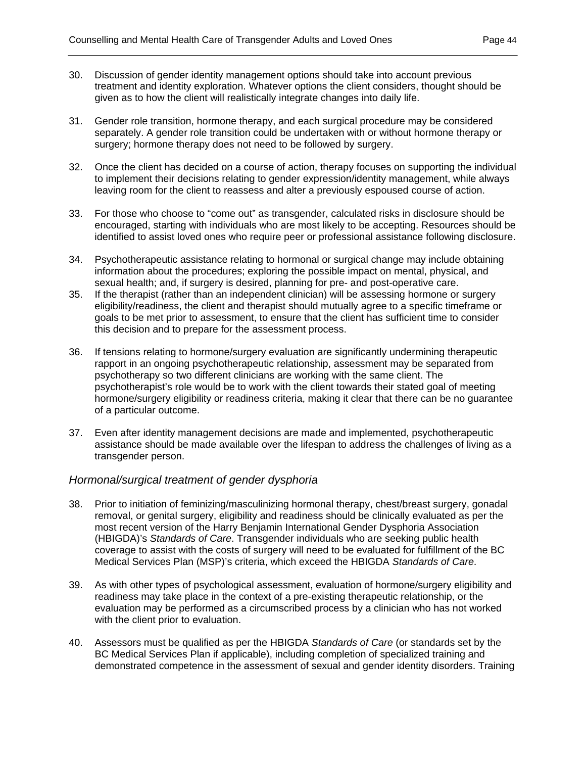- 30. Discussion of gender identity management options should take into account previous treatment and identity exploration. Whatever options the client considers, thought should be given as to how the client will realistically integrate changes into daily life.
- 31. Gender role transition, hormone therapy, and each surgical procedure may be considered separately. A gender role transition could be undertaken with or without hormone therapy or surgery; hormone therapy does not need to be followed by surgery.
- 32. Once the client has decided on a course of action, therapy focuses on supporting the individual to implement their decisions relating to gender expression/identity management, while always leaving room for the client to reassess and alter a previously espoused course of action.
- 33. For those who choose to "come out" as transgender, calculated risks in disclosure should be encouraged, starting with individuals who are most likely to be accepting. Resources should be identified to assist loved ones who require peer or professional assistance following disclosure.
- 34. Psychotherapeutic assistance relating to hormonal or surgical change may include obtaining information about the procedures; exploring the possible impact on mental, physical, and sexual health; and, if surgery is desired, planning for pre- and post-operative care.
- 35. If the therapist (rather than an independent clinician) will be assessing hormone or surgery eligibility/readiness, the client and therapist should mutually agree to a specific timeframe or goals to be met prior to assessment, to ensure that the client has sufficient time to consider this decision and to prepare for the assessment process.
- 36. If tensions relating to hormone/surgery evaluation are significantly undermining therapeutic rapport in an ongoing psychotherapeutic relationship, assessment may be separated from psychotherapy so two different clinicians are working with the same client. The psychotherapist's role would be to work with the client towards their stated goal of meeting hormone/surgery eligibility or readiness criteria, making it clear that there can be no guarantee of a particular outcome.
- 37. Even after identity management decisions are made and implemented, psychotherapeutic assistance should be made available over the lifespan to address the challenges of living as a transgender person.

#### *Hormonal/surgical treatment of gender dysphoria*

- 38. Prior to initiation of feminizing/masculinizing hormonal therapy, chest/breast surgery, gonadal removal, or genital surgery, eligibility and readiness should be clinically evaluated as per the most recent version of the Harry Benjamin International Gender Dysphoria Association (HBIGDA)'s *Standards of Care*. Transgender individuals who are seeking public health coverage to assist with the costs of surgery will need to be evaluated for fulfillment of the BC Medical Services Plan (MSP)'s criteria, which exceed the HBIGDA *Standards of Care*.
- 39. As with other types of psychological assessment, evaluation of hormone/surgery eligibility and readiness may take place in the context of a pre-existing therapeutic relationship, or the evaluation may be performed as a circumscribed process by a clinician who has not worked with the client prior to evaluation.
- 40. Assessors must be qualified as per the HBIGDA *Standards of Care* (or standards set by the BC Medical Services Plan if applicable), including completion of specialized training and demonstrated competence in the assessment of sexual and gender identity disorders. Training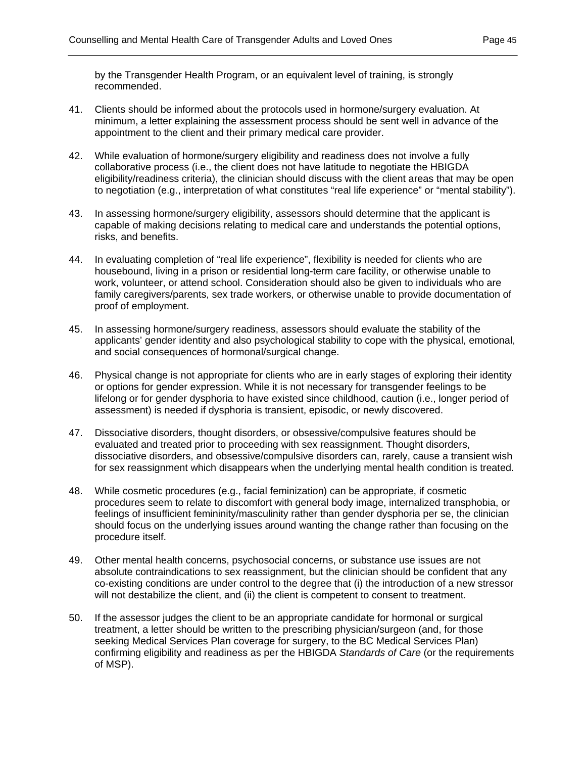by the Transgender Health Program, or an equivalent level of training, is strongly recommended.

- 41. Clients should be informed about the protocols used in hormone/surgery evaluation. At minimum, a letter explaining the assessment process should be sent well in advance of the appointment to the client and their primary medical care provider.
- 42. While evaluation of hormone/surgery eligibility and readiness does not involve a fully collaborative process (i.e., the client does not have latitude to negotiate the HBIGDA eligibility/readiness criteria), the clinician should discuss with the client areas that may be open to negotiation (e.g., interpretation of what constitutes "real life experience" or "mental stability").
- 43. In assessing hormone/surgery eligibility, assessors should determine that the applicant is capable of making decisions relating to medical care and understands the potential options, risks, and benefits.
- 44. In evaluating completion of "real life experience", flexibility is needed for clients who are housebound, living in a prison or residential long-term care facility, or otherwise unable to work, volunteer, or attend school. Consideration should also be given to individuals who are family caregivers/parents, sex trade workers, or otherwise unable to provide documentation of proof of employment.
- 45. In assessing hormone/surgery readiness, assessors should evaluate the stability of the applicants' gender identity and also psychological stability to cope with the physical, emotional, and social consequences of hormonal/surgical change.
- 46. Physical change is not appropriate for clients who are in early stages of exploring their identity or options for gender expression. While it is not necessary for transgender feelings to be lifelong or for gender dysphoria to have existed since childhood, caution (i.e., longer period of assessment) is needed if dysphoria is transient, episodic, or newly discovered.
- 47. Dissociative disorders, thought disorders, or obsessive/compulsive features should be evaluated and treated prior to proceeding with sex reassignment. Thought disorders, dissociative disorders, and obsessive/compulsive disorders can, rarely, cause a transient wish for sex reassignment which disappears when the underlying mental health condition is treated.
- 48. While cosmetic procedures (e.g., facial feminization) can be appropriate, if cosmetic procedures seem to relate to discomfort with general body image, internalized transphobia, or feelings of insufficient femininity/masculinity rather than gender dysphoria per se, the clinician should focus on the underlying issues around wanting the change rather than focusing on the procedure itself.
- 49. Other mental health concerns, psychosocial concerns, or substance use issues are not absolute contraindications to sex reassignment, but the clinician should be confident that any co-existing conditions are under control to the degree that (i) the introduction of a new stressor will not destabilize the client, and (ii) the client is competent to consent to treatment.
- 50. If the assessor judges the client to be an appropriate candidate for hormonal or surgical treatment, a letter should be written to the prescribing physician/surgeon (and, for those seeking Medical Services Plan coverage for surgery, to the BC Medical Services Plan) confirming eligibility and readiness as per the HBIGDA *Standards of Care* (or the requirements of MSP).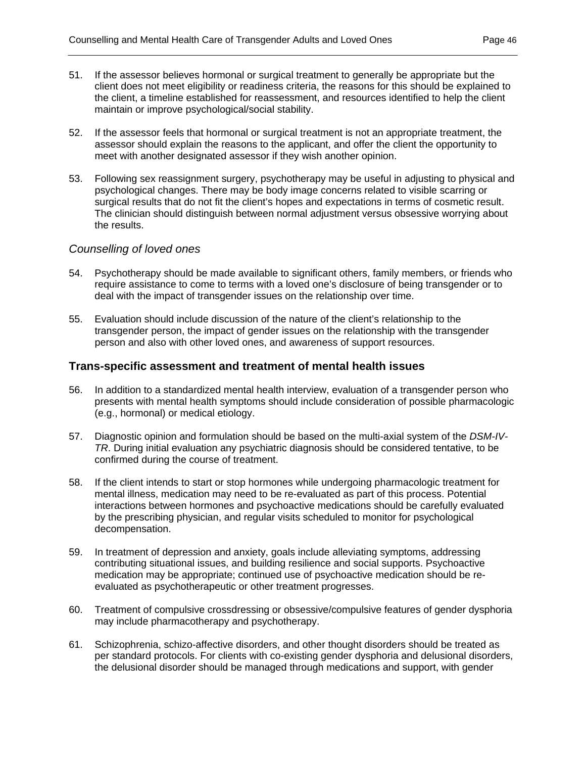- 51. If the assessor believes hormonal or surgical treatment to generally be appropriate but the client does not meet eligibility or readiness criteria, the reasons for this should be explained to the client, a timeline established for reassessment, and resources identified to help the client maintain or improve psychological/social stability.
- 52. If the assessor feels that hormonal or surgical treatment is not an appropriate treatment, the assessor should explain the reasons to the applicant, and offer the client the opportunity to meet with another designated assessor if they wish another opinion.
- 53. Following sex reassignment surgery, psychotherapy may be useful in adjusting to physical and psychological changes. There may be body image concerns related to visible scarring or surgical results that do not fit the client's hopes and expectations in terms of cosmetic result. The clinician should distinguish between normal adjustment versus obsessive worrying about the results.

#### *Counselling of loved ones*

- 54. Psychotherapy should be made available to significant others, family members, or friends who require assistance to come to terms with a loved one's disclosure of being transgender or to deal with the impact of transgender issues on the relationship over time.
- 55. Evaluation should include discussion of the nature of the client's relationship to the transgender person, the impact of gender issues on the relationship with the transgender person and also with other loved ones, and awareness of support resources.

#### **Trans-specific assessment and treatment of mental health issues**

- 56. In addition to a standardized mental health interview, evaluation of a transgender person who presents with mental health symptoms should include consideration of possible pharmacologic (e.g., hormonal) or medical etiology.
- 57. Diagnostic opinion and formulation should be based on the multi-axial system of the *DSM-IV-TR*. During initial evaluation any psychiatric diagnosis should be considered tentative, to be confirmed during the course of treatment.
- 58. If the client intends to start or stop hormones while undergoing pharmacologic treatment for mental illness, medication may need to be re-evaluated as part of this process. Potential interactions between hormones and psychoactive medications should be carefully evaluated by the prescribing physician, and regular visits scheduled to monitor for psychological decompensation.
- 59. In treatment of depression and anxiety, goals include alleviating symptoms, addressing contributing situational issues, and building resilience and social supports. Psychoactive medication may be appropriate; continued use of psychoactive medication should be reevaluated as psychotherapeutic or other treatment progresses.
- 60. Treatment of compulsive crossdressing or obsessive/compulsive features of gender dysphoria may include pharmacotherapy and psychotherapy.
- 61. Schizophrenia, schizo-affective disorders, and other thought disorders should be treated as per standard protocols. For clients with co-existing gender dysphoria and delusional disorders, the delusional disorder should be managed through medications and support, with gender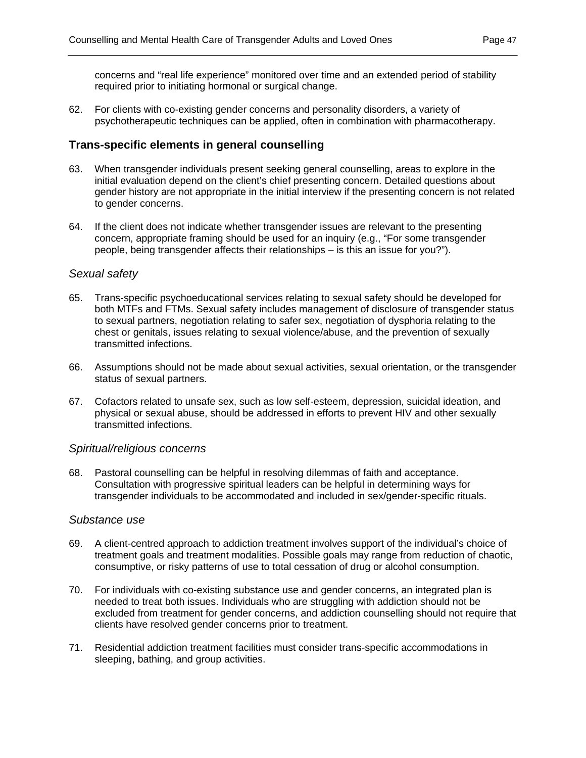concerns and "real life experience" monitored over time and an extended period of stability required prior to initiating hormonal or surgical change.

62. For clients with co-existing gender concerns and personality disorders, a variety of psychotherapeutic techniques can be applied, often in combination with pharmacotherapy.

#### **Trans-specific elements in general counselling**

- 63. When transgender individuals present seeking general counselling, areas to explore in the initial evaluation depend on the client's chief presenting concern. Detailed questions about gender history are not appropriate in the initial interview if the presenting concern is not related to gender concerns.
- 64. If the client does not indicate whether transgender issues are relevant to the presenting concern, appropriate framing should be used for an inquiry (e.g., "For some transgender people, being transgender affects their relationships – is this an issue for you?").

#### *Sexual safety*

- 65. Trans-specific psychoeducational services relating to sexual safety should be developed for both MTFs and FTMs. Sexual safety includes management of disclosure of transgender status to sexual partners, negotiation relating to safer sex, negotiation of dysphoria relating to the chest or genitals, issues relating to sexual violence/abuse, and the prevention of sexually transmitted infections.
- 66. Assumptions should not be made about sexual activities, sexual orientation, or the transgender status of sexual partners.
- 67. Cofactors related to unsafe sex, such as low self-esteem, depression, suicidal ideation, and physical or sexual abuse, should be addressed in efforts to prevent HIV and other sexually transmitted infections.

#### *Spiritual/religious concerns*

68. Pastoral counselling can be helpful in resolving dilemmas of faith and acceptance. Consultation with progressive spiritual leaders can be helpful in determining ways for transgender individuals to be accommodated and included in sex/gender-specific rituals.

#### *Substance use*

- 69. A client-centred approach to addiction treatment involves support of the individual's choice of treatment goals and treatment modalities. Possible goals may range from reduction of chaotic, consumptive, or risky patterns of use to total cessation of drug or alcohol consumption.
- 70. For individuals with co-existing substance use and gender concerns, an integrated plan is needed to treat both issues. Individuals who are struggling with addiction should not be excluded from treatment for gender concerns, and addiction counselling should not require that clients have resolved gender concerns prior to treatment.
- 71. Residential addiction treatment facilities must consider trans-specific accommodations in sleeping, bathing, and group activities.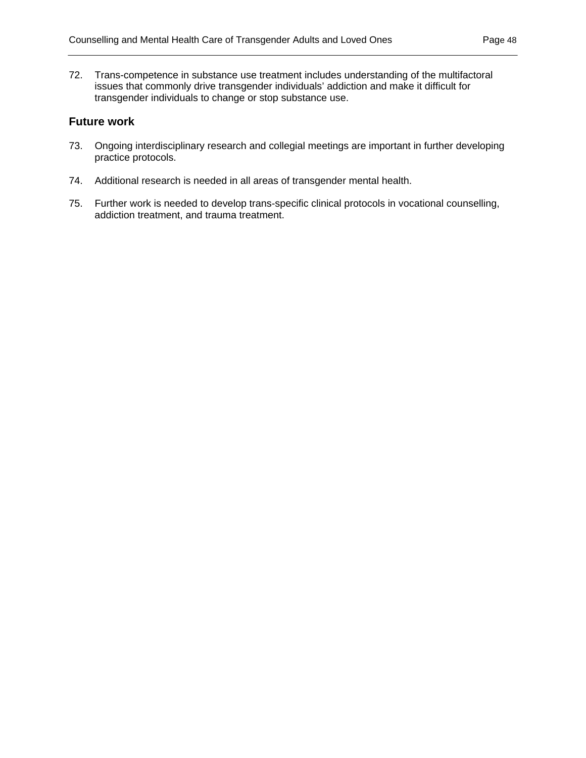72. Trans-competence in substance use treatment includes understanding of the multifactoral issues that commonly drive transgender individuals' addiction and make it difficult for transgender individuals to change or stop substance use.

#### **Future work**

- 73. Ongoing interdisciplinary research and collegial meetings are important in further developing practice protocols.
- 74. Additional research is needed in all areas of transgender mental health.
- 75. Further work is needed to develop trans-specific clinical protocols in vocational counselling, addiction treatment, and trauma treatment.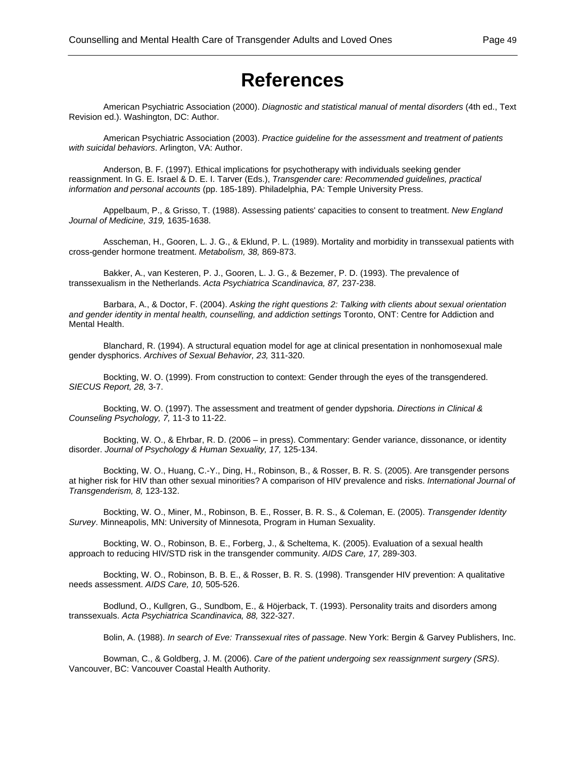### **References**

<span id="page-51-0"></span>American Psychiatric Association (2000). *Diagnostic and statistical manual of mental disorders* (4th ed., Text Revision ed.). Washington, DC: Author.

American Psychiatric Association (2003). *Practice guideline for the assessment and treatment of patients with suicidal behaviors*. Arlington, VA: Author.

Anderson, B. F. (1997). Ethical implications for psychotherapy with individuals seeking gender reassignment. In G. E. Israel & D. E. I. Tarver (Eds.), *Transgender care: Recommended guidelines, practical information and personal accounts* (pp. 185-189). Philadelphia, PA: Temple University Press.

Appelbaum, P., & Grisso, T. (1988). Assessing patients' capacities to consent to treatment. *New England Journal of Medicine, 319,* 1635-1638.

Asscheman, H., Gooren, L. J. G., & Eklund, P. L. (1989). Mortality and morbidity in transsexual patients with cross-gender hormone treatment. *Metabolism, 38,* 869-873.

Bakker, A., van Kesteren, P. J., Gooren, L. J. G., & Bezemer, P. D. (1993). The prevalence of transsexualism in the Netherlands. *Acta Psychiatrica Scandinavica, 87,* 237-238.

Barbara, A., & Doctor, F. (2004). *Asking the right questions 2: Talking with clients about sexual orientation and gender identity in mental health, counselling, and addiction settings* Toronto, ONT: Centre for Addiction and Mental Health.

Blanchard, R. (1994). A structural equation model for age at clinical presentation in nonhomosexual male gender dysphorics. *Archives of Sexual Behavior, 23,* 311-320.

Bockting, W. O. (1999). From construction to context: Gender through the eyes of the transgendered. *SIECUS Report, 28,* 3-7.

Bockting, W. O. (1997). The assessment and treatment of gender dypshoria. *Directions in Clinical & Counseling Psychology, 7,* 11-3 to 11-22.

Bockting, W. O., & Ehrbar, R. D. (2006 – in press). Commentary: Gender variance, dissonance, or identity disorder. *Journal of Psychology & Human Sexuality, 17,* 125-134.

Bockting, W. O., Huang, C.-Y., Ding, H., Robinson, B., & Rosser, B. R. S. (2005). Are transgender persons at higher risk for HIV than other sexual minorities? A comparison of HIV prevalence and risks. *International Journal of Transgenderism, 8,* 123-132.

Bockting, W. O., Miner, M., Robinson, B. E., Rosser, B. R. S., & Coleman, E. (2005). *Transgender Identity Survey*. Minneapolis, MN: University of Minnesota, Program in Human Sexuality.

Bockting, W. O., Robinson, B. E., Forberg, J., & Scheltema, K. (2005). Evaluation of a sexual health approach to reducing HIV/STD risk in the transgender community. *AIDS Care, 17,* 289-303.

Bockting, W. O., Robinson, B. B. E., & Rosser, B. R. S. (1998). Transgender HIV prevention: A qualitative needs assessment. *AIDS Care, 10,* 505-526.

Bodlund, O., Kullgren, G., Sundbom, E., & Höjerback, T. (1993). Personality traits and disorders among transsexuals. *Acta Psychiatrica Scandinavica, 88,* 322-327.

Bolin, A. (1988). *In search of Eve: Transsexual rites of passage*. New York: Bergin & Garvey Publishers, Inc.

Bowman, C., & Goldberg, J. M. (2006). *Care of the patient undergoing sex reassignment surgery (SRS)*. Vancouver, BC: Vancouver Coastal Health Authority.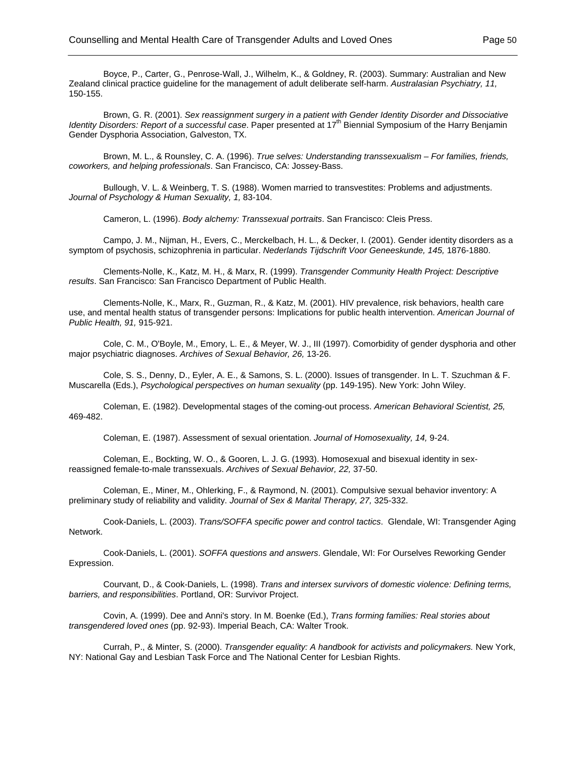Boyce, P., Carter, G., Penrose-Wall, J., Wilhelm, K., & Goldney, R. (2003). Summary: Australian and New Zealand clinical practice guideline for the management of adult deliberate self-harm. *Australasian Psychiatry, 11,* 150-155.

Brown, G. R. (2001). *Sex reassignment surgery in a patient with Gender Identity Disorder and Dissociative Identity Disorders: Report of a successful case.* Paper presented at 17<sup>th</sup> Biennial Symposium of the Harry Benjamin Gender Dysphoria Association, Galveston, TX.

Brown, M. L., & Rounsley, C. A. (1996). *True selves: Understanding transsexualism – For families, friends, coworkers, and helping professionals*. San Francisco, CA: Jossey-Bass.

Bullough, V. L. & Weinberg, T. S. (1988). Women married to transvestites: Problems and adjustments. *Journal of Psychology & Human Sexuality, 1,* 83-104.

Cameron, L. (1996). *Body alchemy: Transsexual portraits*. San Francisco: Cleis Press.

Campo, J. M., Nijman, H., Evers, C., Merckelbach, H. L., & Decker, I. (2001). Gender identity disorders as a symptom of psychosis, schizophrenia in particular. *Nederlands Tijdschrift Voor Geneeskunde, 145,* 1876-1880.

Clements-Nolle, K., Katz, M. H., & Marx, R. (1999). *Transgender Community Health Project: Descriptive results*. San Francisco: San Francisco Department of Public Health.

Clements-Nolle, K., Marx, R., Guzman, R., & Katz, M. (2001). HIV prevalence, risk behaviors, health care use, and mental health status of transgender persons: Implications for public health intervention. *American Journal of Public Health, 91,* 915-921.

Cole, C. M., O'Boyle, M., Emory, L. E., & Meyer, W. J., III (1997). Comorbidity of gender dysphoria and other major psychiatric diagnoses. *Archives of Sexual Behavior, 26,* 13-26.

Cole, S. S., Denny, D., Eyler, A. E., & Samons, S. L. (2000). Issues of transgender. In L. T. Szuchman & F. Muscarella (Eds.), *Psychological perspectives on human sexuality* (pp. 149-195). New York: John Wiley.

Coleman, E. (1982). Developmental stages of the coming-out process. *American Behavioral Scientist, 25,* 469-482.

Coleman, E. (1987). Assessment of sexual orientation. *Journal of Homosexuality, 14,* 9-24.

Coleman, E., Bockting, W. O., & Gooren, L. J. G. (1993). Homosexual and bisexual identity in sexreassigned female-to-male transsexuals. *Archives of Sexual Behavior, 22,* 37-50.

Coleman, E., Miner, M., Ohlerking, F., & Raymond, N. (2001). Compulsive sexual behavior inventory: A preliminary study of reliability and validity. *Journal of Sex & Marital Therapy, 27,* 325-332.

Cook-Daniels, L. (2003). *Trans/SOFFA specific power and control tactics*. Glendale, WI: Transgender Aging Network.

Cook-Daniels, L. (2001). *SOFFA questions and answers*. Glendale, WI: For Ourselves Reworking Gender Expression.

Courvant, D., & Cook-Daniels, L. (1998). *Trans and intersex survivors of domestic violence: Defining terms, barriers, and responsibilities*. Portland, OR: Survivor Project.

Covin, A. (1999). Dee and Anni's story. In M. Boenke (Ed.), *Trans forming families: Real stories about transgendered loved ones* (pp. 92-93). Imperial Beach, CA: Walter Trook.

Currah, P., & Minter, S. (2000). *Transgender equality: A handbook for activists and policymakers.* New York, NY: National Gay and Lesbian Task Force and The National Center for Lesbian Rights.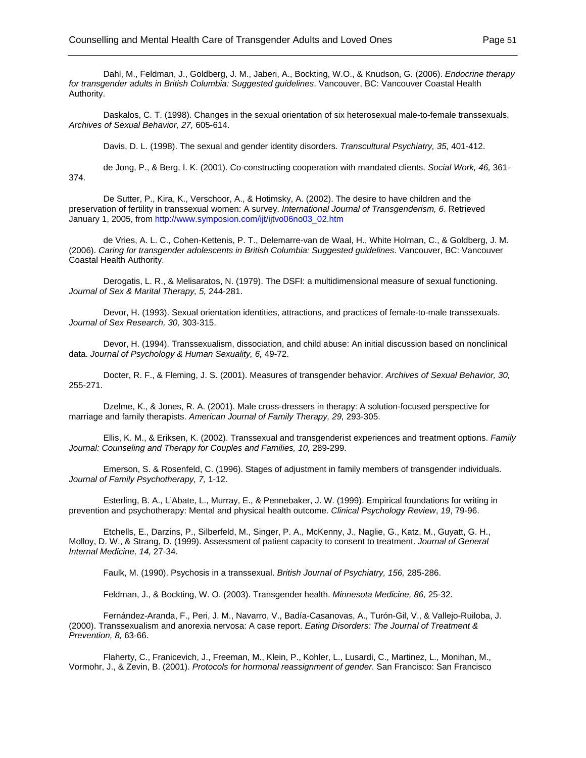Dahl, M., Feldman, J., Goldberg, J. M., Jaberi, A., Bockting, W.O., & Knudson, G. (2006). *Endocrine therapy for transgender adults in British Columbia: Suggested guidelines*. Vancouver, BC: Vancouver Coastal Health Authority.

Daskalos, C. T. (1998). Changes in the sexual orientation of six heterosexual male-to-female transsexuals. *Archives of Sexual Behavior, 27,* 605-614.

Davis, D. L. (1998). The sexual and gender identity disorders. *Transcultural Psychiatry, 35,* 401-412.

de Jong, P., & Berg, I. K. (2001). Co-constructing cooperation with mandated clients. *Social Work, 46,* 361- 374.

De Sutter, P., Kira, K., Verschoor, A., & Hotimsky, A. (2002). The desire to have children and the preservation of fertility in transsexual women: A survey. *International Journal of Transgenderism, 6*. Retrieved January 1, 2005, from [http://www.symposion.com/ijt/ijtvo06no03\\_02.htm](http://www.symposion.com/ijt/ijtvo06no03_02.htm)

de Vries, A. L. C., Cohen-Kettenis, P. T., Delemarre-van de Waal, H., White Holman, C., & Goldberg, J. M. (2006). *Caring for transgender adolescents in British Columbia: Suggested guidelines*. Vancouver, BC: Vancouver Coastal Health Authority.

Derogatis, L. R., & Melisaratos, N. (1979). The DSFI: a multidimensional measure of sexual functioning. *Journal of Sex & Marital Therapy, 5,* 244-281.

Devor, H. (1993). Sexual orientation identities, attractions, and practices of female-to-male transsexuals. *Journal of Sex Research, 30,* 303-315.

Devor, H. (1994). Transsexualism, dissociation, and child abuse: An initial discussion based on nonclinical data. *Journal of Psychology & Human Sexuality, 6,* 49-72.

Docter, R. F., & Fleming, J. S. (2001). Measures of transgender behavior. *Archives of Sexual Behavior, 30,* 255-271.

Dzelme, K., & Jones, R. A. (2001). Male cross-dressers in therapy: A solution-focused perspective for marriage and family therapists. *American Journal of Family Therapy, 29,* 293-305.

Ellis, K. M., & Eriksen, K. (2002). Transsexual and transgenderist experiences and treatment options. *Family Journal: Counseling and Therapy for Couples and Families, 10,* 289-299.

Emerson, S. & Rosenfeld, C. (1996). Stages of adjustment in family members of transgender individuals. *Journal of Family Psychotherapy, 7,* 1-12.

Esterling, B. A., L'Abate, L., Murray, E., & Pennebaker, J. W. (1999). Empirical foundations for writing in prevention and psychotherapy: Mental and physical health outcome. *Clinical Psychology Review*, *19*, 79-96.

Etchells, E., Darzins, P., Silberfeld, M., Singer, P. A., McKenny, J., Naglie, G., Katz, M., Guyatt, G. H., Molloy, D. W., & Strang, D. (1999). Assessment of patient capacity to consent to treatment. *Journal of General Internal Medicine, 14,* 27-34.

Faulk, M. (1990). Psychosis in a transsexual. *British Journal of Psychiatry, 156,* 285-286.

Feldman, J., & Bockting, W. O. (2003). Transgender health. *Minnesota Medicine, 86,* 25-32.

Fernández-Aranda, F., Peri, J. M., Navarro, V., Badía-Casanovas, A., Turón-Gil, V., & Vallejo-Ruiloba, J. (2000). Transsexualism and anorexia nervosa: A case report. *Eating Disorders: The Journal of Treatment & Prevention, 8,* 63-66.

Flaherty, C., Franicevich, J., Freeman, M., Klein, P., Kohler, L., Lusardi, C., Martinez, L., Monihan, M., Vormohr, J., & Zevin, B. (2001). *Protocols for hormonal reassignment of gender*. San Francisco: San Francisco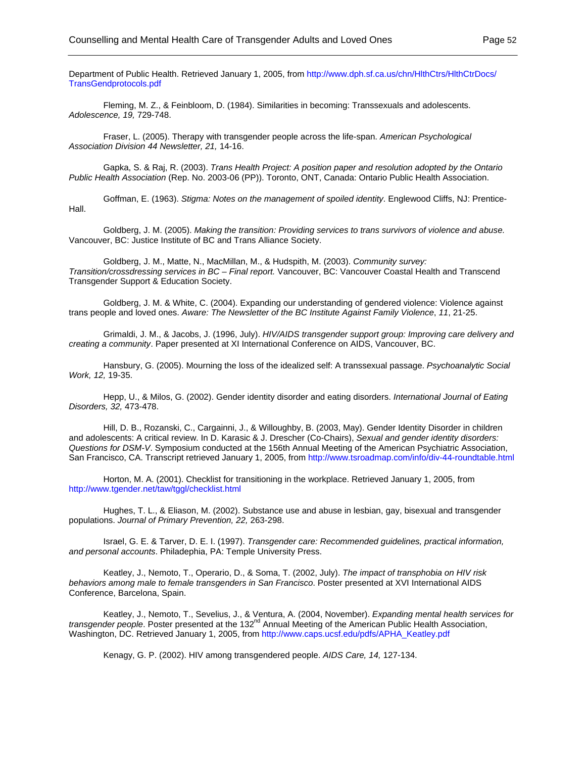Department of Public Health. Retrieved January 1, 2005, from [http://www.dph.sf.ca.us/chn/HlthCtrs/HlthCtrDocs/](http://www.dph.sf.ca.us/chn/HlthCtrs/HlthCtrDocs/%20TransGendprotocols.pdf)  [TransGendprotocols.pdf](http://www.dph.sf.ca.us/chn/HlthCtrs/HlthCtrDocs/%20TransGendprotocols.pdf)

Fleming, M. Z., & Feinbloom, D. (1984). Similarities in becoming: Transsexuals and adolescents. *Adolescence, 19,* 729-748.

Fraser, L. (2005). Therapy with transgender people across the life-span. *American Psychological Association Division 44 Newsletter, 21,* 14-16.

Gapka, S. & Raj, R. (2003). *Trans Health Project: A position paper and resolution adopted by the Ontario Public Health Association* (Rep. No. 2003-06 (PP)). Toronto, ONT, Canada: Ontario Public Health Association.

Goffman, E. (1963). *Stigma: Notes on the management of spoiled identity*. Englewood Cliffs, NJ: Prentice-Hall.

Goldberg, J. M. (2005). *Making the transition: Providing services to trans survivors of violence and abuse.* Vancouver, BC: Justice Institute of BC and Trans Alliance Society.

Goldberg, J. M., Matte, N., MacMillan, M., & Hudspith, M. (2003). *Community survey: Transition/crossdressing services in BC – Final report.* Vancouver, BC: Vancouver Coastal Health and Transcend Transgender Support & Education Society.

Goldberg, J. M. & White, C. (2004). Expanding our understanding of gendered violence: Violence against trans people and loved ones. *Aware: The Newsletter of the BC Institute Against Family Violence*, *11*, 21-25.

Grimaldi, J. M., & Jacobs, J. (1996, July). *HIV/AIDS transgender support group: Improving care delivery and creating a community*. Paper presented at XI International Conference on AIDS, Vancouver, BC.

Hansbury, G. (2005). Mourning the loss of the idealized self: A transsexual passage. *Psychoanalytic Social Work, 12,* 19-35.

Hepp, U., & Milos, G. (2002). Gender identity disorder and eating disorders. *International Journal of Eating Disorders, 32,* 473-478.

Hill, D. B., Rozanski, C., Cargainni, J., & Willoughby, B. (2003, May). Gender Identity Disorder in children and adolescents: A critical review. In D. Karasic & J. Drescher (Co-Chairs), *Sexual and gender identity disorders: Questions for DSM-V*. Symposium conducted at the 156th Annual Meeting of the American Psychiatric Association, San Francisco, CA. Transcript retrieved January 1, 2005, from<http://www.tsroadmap.com/info/div-44-roundtable.html>

Horton, M. A. (2001). Checklist for transitioning in the workplace. Retrieved January 1, 2005, from <http://www.tgender.net/taw/tggl/checklist.html>

Hughes, T. L., & Eliason, M. (2002). Substance use and abuse in lesbian, gay, bisexual and transgender populations. *Journal of Primary Prevention, 22,* 263-298.

Israel, G. E. & Tarver, D. E. I. (1997). *Transgender care: Recommended guidelines, practical information, and personal accounts*. Philadephia, PA: Temple University Press.

Keatley, J., Nemoto, T., Operario, D., & Soma, T. (2002, July). *The impact of transphobia on HIV risk behaviors among male to female transgenders in San Francisco*. Poster presented at XVI International AIDS Conference, Barcelona, Spain.

Keatley, J., Nemoto, T., Sevelius, J., & Ventura, A. (2004, November). *Expanding mental health services for transgender people*. Poster presented at the 132<sup>nd</sup> Annual Meeting of the American Public Health Association, Washington, DC. Retrieved January 1, 2005, from [http://www.caps.ucsf.edu/pdfs/APHA\\_Keatley.pdf](http://www.caps.ucsf.edu/pdfs/APHA_Keatley.pdf)

Kenagy, G. P. (2002). HIV among transgendered people. *AIDS Care, 14,* 127-134.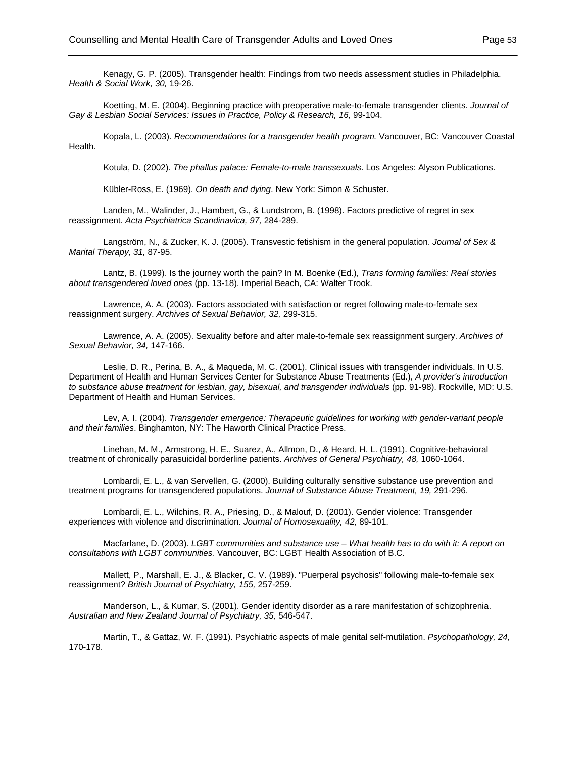Kenagy, G. P. (2005). Transgender health: Findings from two needs assessment studies in Philadelphia. *Health & Social Work, 30,* 19-26.

Koetting, M. E. (2004). Beginning practice with preoperative male-to-female transgender clients. *Journal of Gay & Lesbian Social Services: Issues in Practice, Policy & Research, 16,* 99-104.

Kopala, L. (2003). *Recommendations for a transgender health program.* Vancouver, BC: Vancouver Coastal Health.

Kotula, D. (2002). *The phallus palace: Female-to-male transsexuals*. Los Angeles: Alyson Publications.

Kübler-Ross, E. (1969). *On death and dying*. New York: Simon & Schuster.

Landen, M., Walinder, J., Hambert, G., & Lundstrom, B. (1998). Factors predictive of regret in sex reassignment. *Acta Psychiatrica Scandinavica, 97,* 284-289.

Langström, N., & Zucker, K. J. (2005). Transvestic fetishism in the general population. *Journal of Sex & Marital Therapy, 31,* 87-95.

Lantz, B. (1999). Is the journey worth the pain? In M. Boenke (Ed.), *Trans forming families: Real stories about transgendered loved ones* (pp. 13-18). Imperial Beach, CA: Walter Trook.

Lawrence, A. A. (2003). Factors associated with satisfaction or regret following male-to-female sex reassignment surgery. *Archives of Sexual Behavior, 32,* 299-315.

Lawrence, A. A. (2005). Sexuality before and after male-to-female sex reassignment surgery. *Archives of Sexual Behavior, 34,* 147-166.

Leslie, D. R., Perina, B. A., & Maqueda, M. C. (2001). Clinical issues with transgender individuals. In U.S. Department of Health and Human Services Center for Substance Abuse Treatments (Ed.), *A provider's introduction to substance abuse treatment for lesbian, gay, bisexual, and transgender individuals* (pp. 91-98). Rockville, MD: U.S. Department of Health and Human Services.

Lev, A. I. (2004). *Transgender emergence: Therapeutic guidelines for working with gender-variant people and their families*. Binghamton, NY: The Haworth Clinical Practice Press.

Linehan, M. M., Armstrong, H. E., Suarez, A., Allmon, D., & Heard, H. L. (1991). Cognitive-behavioral treatment of chronically parasuicidal borderline patients. *Archives of General Psychiatry, 48,* 1060-1064.

Lombardi, E. L., & van Servellen, G. (2000). Building culturally sensitive substance use prevention and treatment programs for transgendered populations. *Journal of Substance Abuse Treatment, 19,* 291-296.

Lombardi, E. L., Wilchins, R. A., Priesing, D., & Malouf, D. (2001). Gender violence: Transgender experiences with violence and discrimination. *Journal of Homosexuality, 42,* 89-101.

Macfarlane, D. (2003). *LGBT communities and substance use – What health has to do with it: A report on consultations with LGBT communities.* Vancouver, BC: LGBT Health Association of B.C.

Mallett, P., Marshall, E. J., & Blacker, C. V. (1989). "Puerperal psychosis" following male-to-female sex reassignment? *British Journal of Psychiatry, 155,* 257-259.

Manderson, L., & Kumar, S. (2001). Gender identity disorder as a rare manifestation of schizophrenia. *Australian and New Zealand Journal of Psychiatry, 35,* 546-547.

Martin, T., & Gattaz, W. F. (1991). Psychiatric aspects of male genital self-mutilation. *Psychopathology, 24,* 170-178.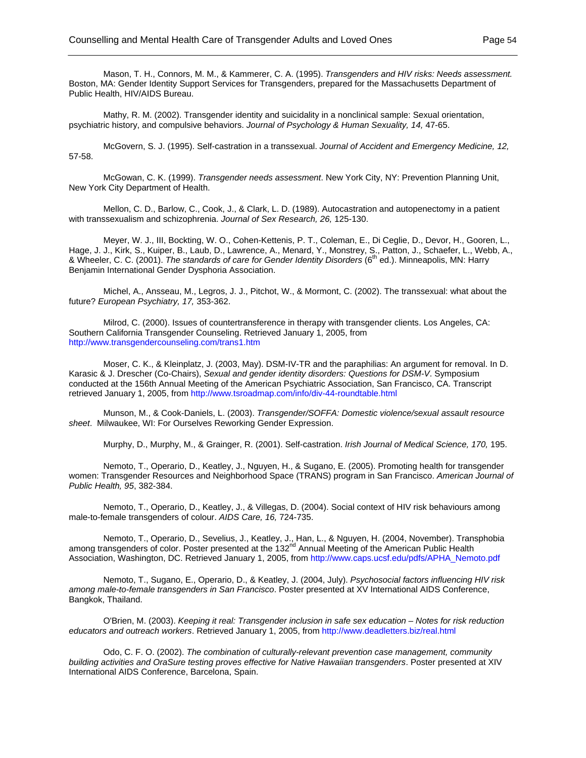Mason, T. H., Connors, M. M., & Kammerer, C. A. (1995). *Transgenders and HIV risks: Needs assessment.* Boston, MA: Gender Identity Support Services for Transgenders, prepared for the Massachusetts Department of Public Health, HIV/AIDS Bureau.

Mathy, R. M. (2002). Transgender identity and suicidality in a nonclinical sample: Sexual orientation, psychiatric history, and compulsive behaviors. *Journal of Psychology & Human Sexuality, 14,* 47-65.

McGovern, S. J. (1995). Self-castration in a transsexual. *Journal of Accident and Emergency Medicine, 12,* 57-58.

McGowan, C. K. (1999). *Transgender needs assessment*. New York City, NY: Prevention Planning Unit, New York City Department of Health.

Mellon, C. D., Barlow, C., Cook, J., & Clark, L. D. (1989). Autocastration and autopenectomy in a patient with transsexualism and schizophrenia. *Journal of Sex Research, 26,* 125-130.

Meyer, W. J., III, Bockting, W. O., Cohen-Kettenis, P. T., Coleman, E., Di Ceglie, D., Devor, H., Gooren, L., Hage, J. J., Kirk, S., Kuiper, B., Laub, D., Lawrence, A., Menard, Y., Monstrey, S., Patton, J., Schaefer, L., Webb, A., & Wheeler, C. C. (2001). *The standards of care for Gender Identity Disorders* (6th ed.). Minneapolis, MN: Harry Benjamin International Gender Dysphoria Association.

Michel, A., Ansseau, M., Legros, J. J., Pitchot, W., & Mormont, C. (2002). The transsexual: what about the future? *European Psychiatry, 17,* 353-362.

Milrod, C. (2000). Issues of countertransference in therapy with transgender clients. Los Angeles, CA: Southern California Transgender Counseling. Retrieved January 1, 2005, from <http://www.transgendercounseling.com/trans1.htm>

Moser, C. K., & Kleinplatz, J. (2003, May). DSM-IV-TR and the paraphilias: An argument for removal. In D. Karasic & J. Drescher (Co-Chairs), *Sexual and gender identity disorders: Questions for DSM-V*. Symposium conducted at the 156th Annual Meeting of the American Psychiatric Association, San Francisco, CA. Transcript retrieved January 1, 2005, from <http://www.tsroadmap.com/info/div-44-roundtable.html>

Munson, M., & Cook-Daniels, L. (2003). *Transgender/SOFFA: Domestic violence/sexual assault resource sheet*. Milwaukee, WI: For Ourselves Reworking Gender Expression.

Murphy, D., Murphy, M., & Grainger, R. (2001). Self-castration. *Irish Journal of Medical Science, 170,* 195.

Nemoto, T., Operario, D., Keatley, J., Nguyen, H., & Sugano, E. (2005). Promoting health for transgender women: Transgender Resources and Neighborhood Space (TRANS) program in San Francisco. *American Journal of Public Health, 95*, 382-384.

Nemoto, T., Operario, D., Keatley, J., & Villegas, D. (2004). Social context of HIV risk behaviours among male-to-female transgenders of colour. *AIDS Care, 16,* 724-735.

Nemoto, T., Operario, D., Sevelius, J., Keatley, J., Han, L., & Nguyen, H. (2004, November). Transphobia among transgenders of color. Poster presented at the 132nd Annual Meeting of the American Public Health Association, Washington, DC. Retrieved January 1, 2005, from [http://www.caps.ucsf.edu/pdfs/APHA\\_Nemoto.pdf](http://www.caps.ucsf.edu/pdfs/APHA_Nemoto.pdf) 

Nemoto, T., Sugano, E., Operario, D., & Keatley, J. (2004, July). *Psychosocial factors influencing HIV risk among male-to-female transgenders in San Francisco*. Poster presented at XV International AIDS Conference, Bangkok, Thailand.

O'Brien, M. (2003). *Keeping it real: Transgender inclusion in safe sex education – Notes for risk reduction educators and outreach workers*. Retrieved January 1, 2005, from <http://www.deadletters.biz/real.html>

Odo, C. F. O. (2002). *The combination of culturally-relevant prevention case management, community building activities and OraSure testing proves effective for Native Hawaiian transgenders*. Poster presented at XIV International AIDS Conference, Barcelona, Spain.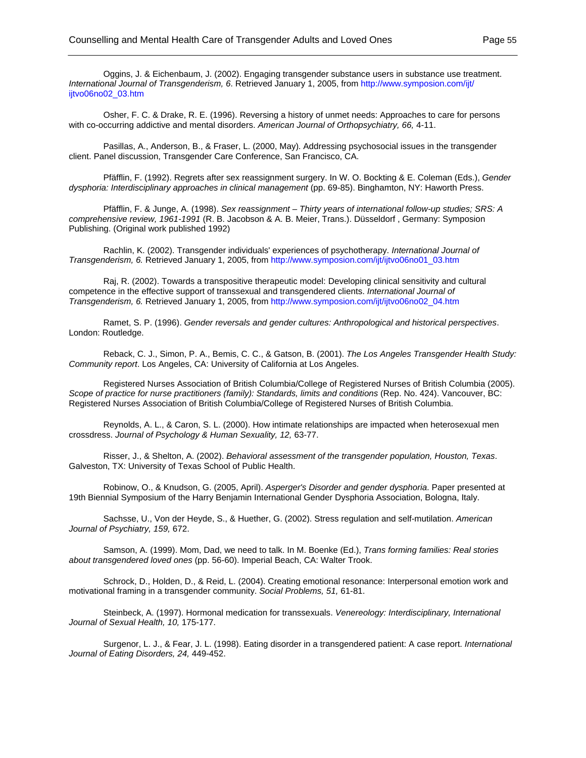Oggins, J. & Eichenbaum, J. (2002). Engaging transgender substance users in substance use treatment. *International Journal of Transgenderism, 6*. Retrieved January 1, 2005, from [http://www.symposion.com/ijt/](http://www.symposion.com/ijt/%20ijtvo06no02_03.htm)  [ijtvo06no02\\_03.htm](http://www.symposion.com/ijt/%20ijtvo06no02_03.htm) 

Osher, F. C. & Drake, R. E. (1996). Reversing a history of unmet needs: Approaches to care for persons with co-occurring addictive and mental disorders. *American Journal of Orthopsychiatry, 66,* 4-11.

Pasillas, A., Anderson, B., & Fraser, L. (2000, May). Addressing psychosocial issues in the transgender client. Panel discussion, Transgender Care Conference, San Francisco, CA.

Pfäfflin, F. (1992). Regrets after sex reassignment surgery. In W. O. Bockting & E. Coleman (Eds.), *Gender dysphoria: Interdisciplinary approaches in clinical management* (pp. 69-85). Binghamton, NY: Haworth Press.

Pfäfflin, F. & Junge, A. (1998). *Sex reassignment – Thirty years of international follow-up studies; SRS: A comprehensive review, 1961-1991* (R. B. Jacobson & A. B. Meier, Trans.). Düsseldorf , Germany: Symposion Publishing. (Original work published 1992)

Rachlin, K. (2002). Transgender individuals' experiences of psychotherapy. *International Journal of Transgenderism, 6.* Retrieved January 1, 2005, from [http://www.symposion.com/ijt/ijtvo06no01\\_03.htm](http://www.symposion.com/ijt/ijtvo06no01_03.htm)

Raj, R. (2002). Towards a transpositive therapeutic model: Developing clinical sensitivity and cultural competence in the effective support of transsexual and transgendered clients. *International Journal of Transgenderism, 6.* Retrieved January 1, 2005, from [http://www.symposion.com/ijt/ijtvo06no02\\_04.htm](http://www.symposion.com/ijt/ijtvo06no02_04.htm)

Ramet, S. P. (1996). *Gender reversals and gender cultures: Anthropological and historical perspectives*. London: Routledge.

Reback, C. J., Simon, P. A., Bemis, C. C., & Gatson, B. (2001). *The Los Angeles Transgender Health Study: Community report*. Los Angeles, CA: University of California at Los Angeles.

Registered Nurses Association of British Columbia/College of Registered Nurses of British Columbia (2005). *Scope of practice for nurse practitioners (family): Standards, limits and conditions (Rep. No. 424). Vancouver, BC:* Registered Nurses Association of British Columbia/College of Registered Nurses of British Columbia.

Reynolds, A. L., & Caron, S. L. (2000). How intimate relationships are impacted when heterosexual men crossdress. *Journal of Psychology & Human Sexuality, 12,* 63-77.

Risser, J., & Shelton, A. (2002). *Behavioral assessment of the transgender population, Houston, Texas*. Galveston, TX: University of Texas School of Public Health.

Robinow, O., & Knudson, G. (2005, April). *Asperger's Disorder and gender dysphoria*. Paper presented at 19th Biennial Symposium of the Harry Benjamin International Gender Dysphoria Association, Bologna, Italy.

Sachsse, U., Von der Heyde, S., & Huether, G. (2002). Stress regulation and self-mutilation. *American Journal of Psychiatry, 159,* 672.

Samson, A. (1999). Mom, Dad, we need to talk. In M. Boenke (Ed.), *Trans forming families: Real stories about transgendered loved ones* (pp. 56-60). Imperial Beach, CA: Walter Trook.

Schrock, D., Holden, D., & Reid, L. (2004). Creating emotional resonance: Interpersonal emotion work and motivational framing in a transgender community. *Social Problems, 51,* 61-81.

Steinbeck, A. (1997). Hormonal medication for transsexuals. *Venereology: Interdisciplinary, International Journal of Sexual Health, 10,* 175-177.

Surgenor, L. J., & Fear, J. L. (1998). Eating disorder in a transgendered patient: A case report. *International Journal of Eating Disorders, 24,* 449-452.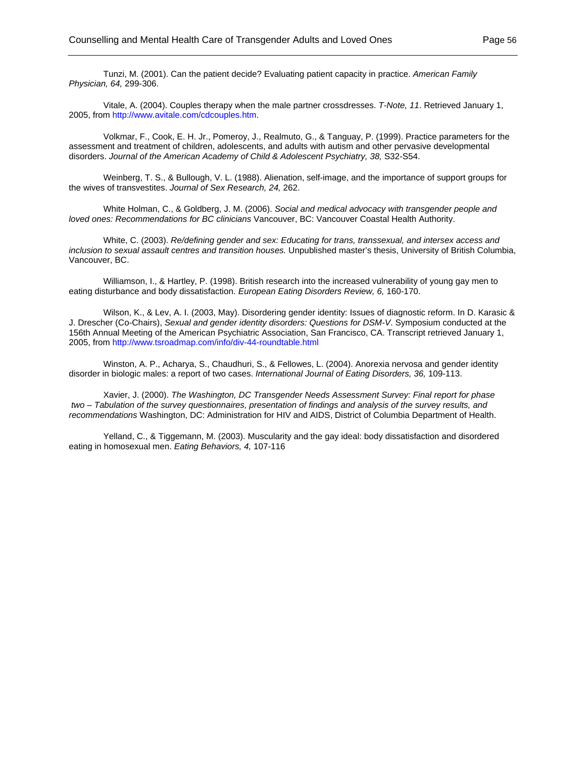Tunzi, M. (2001). Can the patient decide? Evaluating patient capacity in practice. *American Family Physician, 64,* 299-306.

Vitale, A. (2004). Couples therapy when the male partner crossdresses. *T-Note, 11*. Retrieved January 1, 2005, from <http://www.avitale.com/cdcouples.htm>.

Volkmar, F., Cook, E. H. Jr., Pomeroy, J., Realmuto, G., & Tanguay, P. (1999). Practice parameters for the assessment and treatment of children, adolescents, and adults with autism and other pervasive developmental disorders. *Journal of the American Academy of Child & Adolescent Psychiatry, 38,* S32-S54.

Weinberg, T. S., & Bullough, V. L. (1988). Alienation, self-image, and the importance of support groups for the wives of transvestites. *Journal of Sex Research, 24,* 262.

White Holman, C., & Goldberg, J. M. (2006). *Social and medical advocacy with transgender people and loved ones: Recommendations for BC clinicians* Vancouver, BC: Vancouver Coastal Health Authority.

White, C. (2003). *Re/defining gender and sex: Educating for trans, transsexual, and intersex access and inclusion to sexual assault centres and transition houses.* Unpublished master's thesis, University of British Columbia, Vancouver, BC.

Williamson, I., & Hartley, P. (1998). British research into the increased vulnerability of young gay men to eating disturbance and body dissatisfaction. *European Eating Disorders Review, 6,* 160-170.

Wilson, K., & Lev, A. I. (2003, May). Disordering gender identity: Issues of diagnostic reform. In D. Karasic & J. Drescher (Co-Chairs), *Sexual and gender identity disorders: Questions for DSM-V*. Symposium conducted at the 156th Annual Meeting of the American Psychiatric Association, San Francisco, CA. Transcript retrieved January 1, 2005, from <http://www.tsroadmap.com/info/div-44-roundtable.html>

Winston, A. P., Acharya, S., Chaudhuri, S., & Fellowes, L. (2004). Anorexia nervosa and gender identity disorder in biologic males: a report of two cases. *International Journal of Eating Disorders, 36,* 109-113.

Xavier, J. (2000). *The Washington, DC Transgender Needs Assessment Survey: Final report for phase two – Tabulation of the survey questionnaires, presentation of findings and analysis of the survey results, and recommendations* Washington, DC: Administration for HIV and AIDS, District of Columbia Department of Health.

Yelland, C., & Tiggemann, M. (2003). Muscularity and the gay ideal: body dissatisfaction and disordered eating in homosexual men. *Eating Behaviors, 4,* 107-116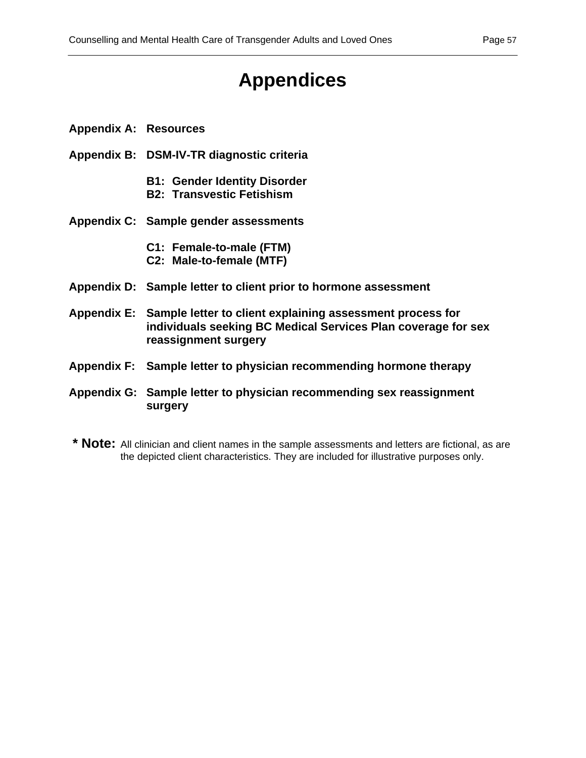# **Appendices**

- <span id="page-59-0"></span>**Appendix A: Resources**
- **Appendix B: DSM-IV-TR diagnostic criteria** 
	- **B1: Gender Identity Disorder**
	- **B2: Transvestic Fetishism**
- **Appendix C: Sample gender assessments** 
	- **C1: Female-to-male (FTM)**
	- **C2: Male-to-female (MTF)**
- **Appendix D: Sample letter to client prior to hormone assessment**
- **Appendix E: Sample letter to client explaining assessment process for individuals seeking BC Medical Services Plan coverage for sex reassignment surgery**
- **Appendix F: Sample letter to physician recommending hormone therapy**
- **Appendix G: Sample letter to physician recommending sex reassignment surgery**
- **\* Note:** All clinician and client names in the sample assessments and letters are fictional, as are the depicted client characteristics. They are included for illustrative purposes only.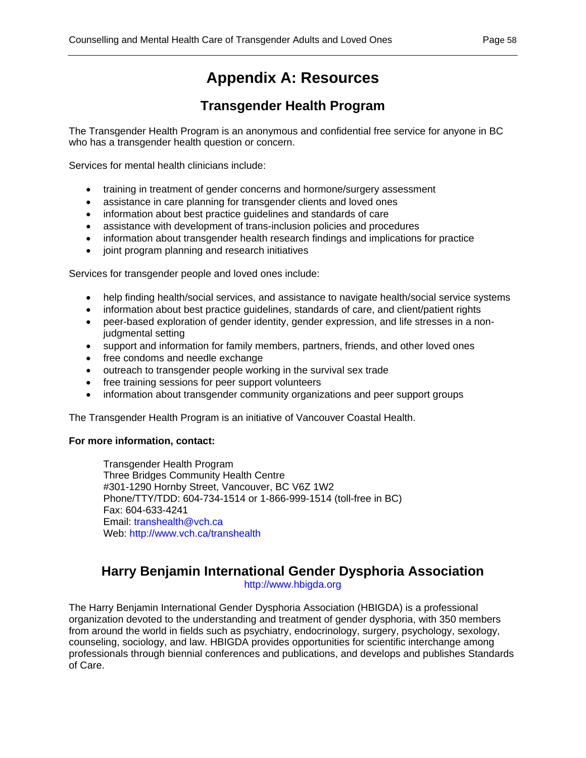## **Appendix A: Resources**

### **Transgender Health Program**

The Transgender Health Program is an anonymous and confidential free service for anyone in BC who has a transgender health question or concern.

Services for mental health clinicians include:

- training in treatment of gender concerns and hormone/surgery assessment
- assistance in care planning for transgender clients and loved ones
- information about best practice guidelines and standards of care
- assistance with development of trans-inclusion policies and procedures
- information about transgender health research findings and implications for practice
- joint program planning and research initiatives

Services for transgender people and loved ones include:

- help finding health/social services, and assistance to navigate health/social service systems
- information about best practice guidelines, standards of care, and client/patient rights
- peer-based exploration of gender identity, gender expression, and life stresses in a nonjudgmental setting
- support and information for family members, partners, friends, and other loved ones
- free condoms and needle exchange
- outreach to transgender people working in the survival sex trade
- free training sessions for peer support volunteers
- information about transgender community organizations and peer support groups

The Transgender Health Program is an initiative of Vancouver Coastal Health.

#### **For more information, contact:**

Transgender Health Program Three Bridges Community Health Centre #301-1290 Hornby Street, Vancouver, BC V6Z 1W2 Phone/TTY/TDD: 604-734-1514 or 1-866-999-1514 (toll-free in BC) Fax: 604-633-4241 Email: [transhealth@vch.ca](mailto:transhealth@vch.ca) Web:<http://www.vch.ca/transhealth>

### **Harry Benjamin International Gender Dysphoria Association**

[http://www.hbigda.org](http://www.hbigda.org/) 

The Harry Benjamin International Gender Dysphoria Association (HBIGDA) is a professional organization devoted to the understanding and treatment of gender dysphoria, with 350 members from around the world in fields such as psychiatry, endocrinology, surgery, psychology, sexology, counseling, sociology, and law. HBIGDA provides opportunities for scientific interchange among professionals through biennial conferences and publications, and develops and publishes Standards of Care.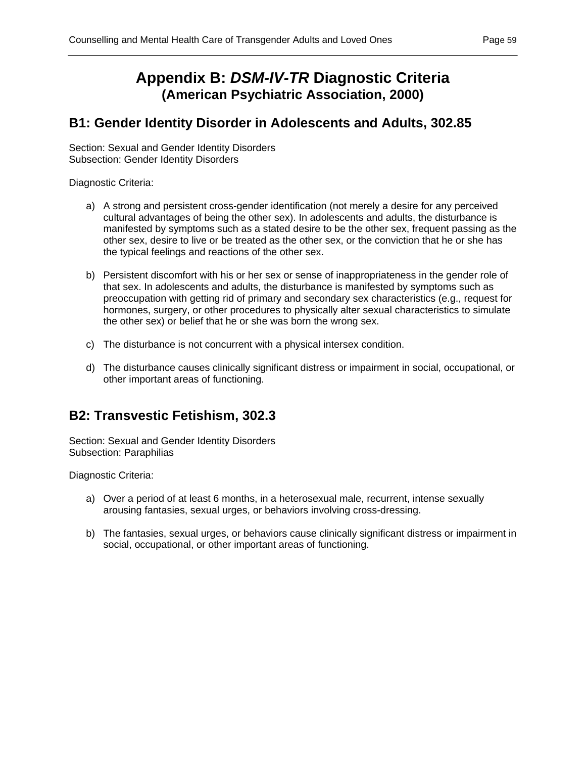### **Appendix B:** *DSM-IV-TR* **Diagnostic Criteria (American Psychiatric Association, 2000)**

### **B1: Gender Identity Disorder in Adolescents and Adults, 302.85**

Section: Sexual and Gender Identity Disorders Subsection: Gender Identity Disorders

Diagnostic Criteria:

- a) A strong and persistent cross-gender identification (not merely a desire for any perceived cultural advantages of being the other sex). In adolescents and adults, the disturbance is manifested by symptoms such as a stated desire to be the other sex, frequent passing as the other sex, desire to live or be treated as the other sex, or the conviction that he or she has the typical feelings and reactions of the other sex.
- b) Persistent discomfort with his or her sex or sense of inappropriateness in the gender role of that sex. In adolescents and adults, the disturbance is manifested by symptoms such as preoccupation with getting rid of primary and secondary sex characteristics (e.g., request for hormones, surgery, or other procedures to physically alter sexual characteristics to simulate the other sex) or belief that he or she was born the wrong sex.
- c) The disturbance is not concurrent with a physical intersex condition.
- d) The disturbance causes clinically significant distress or impairment in social, occupational, or other important areas of functioning.

### **B2: Transvestic Fetishism, 302.3**

Section: Sexual and Gender Identity Disorders Subsection: Paraphilias

Diagnostic Criteria:

- a) Over a period of at least 6 months, in a heterosexual male, recurrent, intense sexually arousing fantasies, sexual urges, or behaviors involving cross-dressing.
- b) The fantasies, sexual urges, or behaviors cause clinically significant distress or impairment in social, occupational, or other important areas of functioning.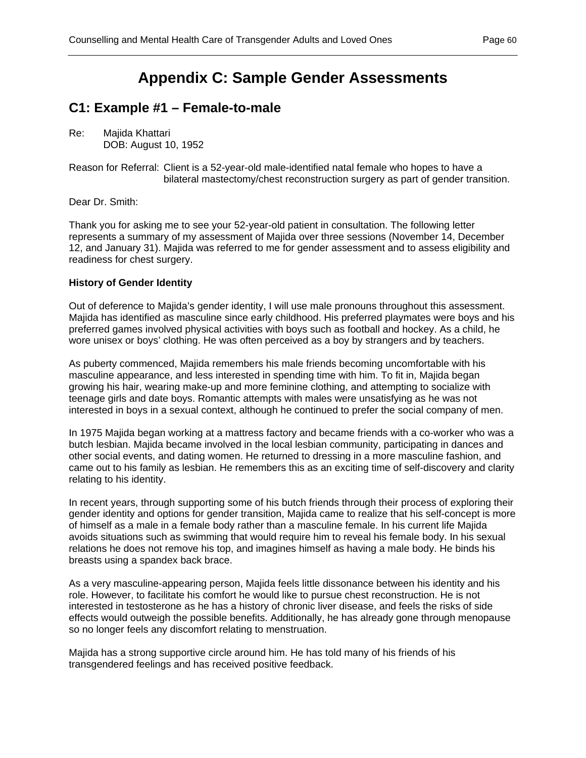### **Appendix C: Sample Gender Assessments**

### **C1: Example #1 – Female-to-male**

Re: Majida Khattari DOB: August 10, 1952

Reason for Referral: Client is a 52-year-old male-identified natal female who hopes to have a bilateral mastectomy/chest reconstruction surgery as part of gender transition.

Dear Dr. Smith:

Thank you for asking me to see your 52-year-old patient in consultation. The following letter represents a summary of my assessment of Majida over three sessions (November 14, December 12, and January 31). Majida was referred to me for gender assessment and to assess eligibility and readiness for chest surgery.

#### **History of Gender Identity**

Out of deference to Majida's gender identity, I will use male pronouns throughout this assessment. Majida has identified as masculine since early childhood. His preferred playmates were boys and his preferred games involved physical activities with boys such as football and hockey. As a child, he wore unisex or boys' clothing. He was often perceived as a boy by strangers and by teachers.

As puberty commenced, Majida remembers his male friends becoming uncomfortable with his masculine appearance, and less interested in spending time with him. To fit in, Majida began growing his hair, wearing make-up and more feminine clothing, and attempting to socialize with teenage girls and date boys. Romantic attempts with males were unsatisfying as he was not interested in boys in a sexual context, although he continued to prefer the social company of men.

In 1975 Majida began working at a mattress factory and became friends with a co-worker who was a butch lesbian. Majida became involved in the local lesbian community, participating in dances and other social events, and dating women. He returned to dressing in a more masculine fashion, and came out to his family as lesbian. He remembers this as an exciting time of self-discovery and clarity relating to his identity.

In recent years, through supporting some of his butch friends through their process of exploring their gender identity and options for gender transition, Majida came to realize that his self-concept is more of himself as a male in a female body rather than a masculine female. In his current life Majida avoids situations such as swimming that would require him to reveal his female body. In his sexual relations he does not remove his top, and imagines himself as having a male body. He binds his breasts using a spandex back brace.

As a very masculine-appearing person, Majida feels little dissonance between his identity and his role. However, to facilitate his comfort he would like to pursue chest reconstruction. He is not interested in testosterone as he has a history of chronic liver disease, and feels the risks of side effects would outweigh the possible benefits. Additionally, he has already gone through menopause so no longer feels any discomfort relating to menstruation.

Majida has a strong supportive circle around him. He has told many of his friends of his transgendered feelings and has received positive feedback.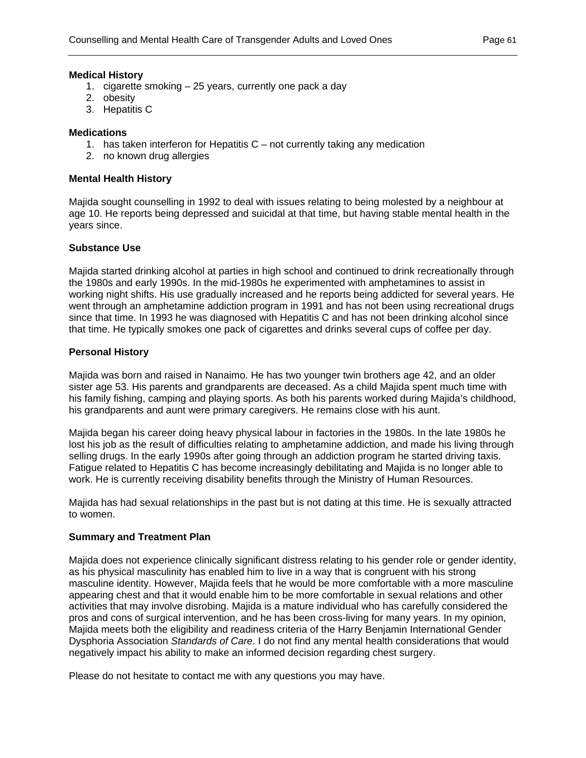#### **Medical History**

- 1. cigarette smoking 25 years, currently one pack a day
- 2. obesity
- 3. Hepatitis C

#### **Medications**

- 1. has taken interferon for Hepatitis C not currently taking any medication
- 2. no known drug allergies

#### **Mental Health History**

Majida sought counselling in 1992 to deal with issues relating to being molested by a neighbour at age 10. He reports being depressed and suicidal at that time, but having stable mental health in the years since.

#### **Substance Use**

Majida started drinking alcohol at parties in high school and continued to drink recreationally through the 1980s and early 1990s. In the mid-1980s he experimented with amphetamines to assist in working night shifts. His use gradually increased and he reports being addicted for several years. He went through an amphetamine addiction program in 1991 and has not been using recreational drugs since that time. In 1993 he was diagnosed with Hepatitis C and has not been drinking alcohol since that time. He typically smokes one pack of cigarettes and drinks several cups of coffee per day.

#### **Personal History**

Majida was born and raised in Nanaimo. He has two younger twin brothers age 42, and an older sister age 53. His parents and grandparents are deceased. As a child Majida spent much time with his family fishing, camping and playing sports. As both his parents worked during Majida's childhood, his grandparents and aunt were primary caregivers. He remains close with his aunt.

Majida began his career doing heavy physical labour in factories in the 1980s. In the late 1980s he lost his job as the result of difficulties relating to amphetamine addiction, and made his living through selling drugs. In the early 1990s after going through an addiction program he started driving taxis. Fatigue related to Hepatitis C has become increasingly debilitating and Majida is no longer able to work. He is currently receiving disability benefits through the Ministry of Human Resources.

Majida has had sexual relationships in the past but is not dating at this time. He is sexually attracted to women.

#### **Summary and Treatment Plan**

Majida does not experience clinically significant distress relating to his gender role or gender identity, as his physical masculinity has enabled him to live in a way that is congruent with his strong masculine identity. However, Majida feels that he would be more comfortable with a more masculine appearing chest and that it would enable him to be more comfortable in sexual relations and other activities that may involve disrobing. Majida is a mature individual who has carefully considered the pros and cons of surgical intervention, and he has been cross-living for many years. In my opinion, Majida meets both the eligibility and readiness criteria of the Harry Benjamin International Gender Dysphoria Association *Standards of Care*. I do not find any mental health considerations that would negatively impact his ability to make an informed decision regarding chest surgery.

Please do not hesitate to contact me with any questions you may have.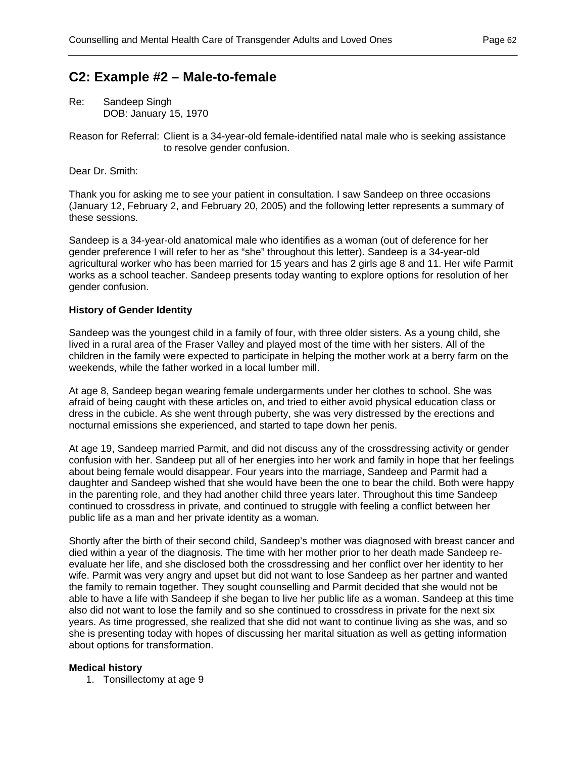#### **C2: Example #2 – Male-to-female**

Re: Sandeep Singh DOB: January 15, 1970

Reason for Referral: Client is a 34-year-old female-identified natal male who is seeking assistance to resolve gender confusion.

Dear Dr. Smith:

Thank you for asking me to see your patient in consultation. I saw Sandeep on three occasions (January 12, February 2, and February 20, 2005) and the following letter represents a summary of these sessions.

Sandeep is a 34-year-old anatomical male who identifies as a woman (out of deference for her gender preference I will refer to her as "she" throughout this letter). Sandeep is a 34-year-old agricultural worker who has been married for 15 years and has 2 girls age 8 and 11. Her wife Parmit works as a school teacher. Sandeep presents today wanting to explore options for resolution of her gender confusion.

#### **History of Gender Identity**

Sandeep was the youngest child in a family of four, with three older sisters. As a young child, she lived in a rural area of the Fraser Valley and played most of the time with her sisters. All of the children in the family were expected to participate in helping the mother work at a berry farm on the weekends, while the father worked in a local lumber mill.

At age 8, Sandeep began wearing female undergarments under her clothes to school. She was afraid of being caught with these articles on, and tried to either avoid physical education class or dress in the cubicle. As she went through puberty, she was very distressed by the erections and nocturnal emissions she experienced, and started to tape down her penis.

At age 19, Sandeep married Parmit, and did not discuss any of the crossdressing activity or gender confusion with her. Sandeep put all of her energies into her work and family in hope that her feelings about being female would disappear. Four years into the marriage, Sandeep and Parmit had a daughter and Sandeep wished that she would have been the one to bear the child. Both were happy in the parenting role, and they had another child three years later. Throughout this time Sandeep continued to crossdress in private, and continued to struggle with feeling a conflict between her public life as a man and her private identity as a woman.

Shortly after the birth of their second child, Sandeep's mother was diagnosed with breast cancer and died within a year of the diagnosis. The time with her mother prior to her death made Sandeep reevaluate her life, and she disclosed both the crossdressing and her conflict over her identity to her wife. Parmit was very angry and upset but did not want to lose Sandeep as her partner and wanted the family to remain together. They sought counselling and Parmit decided that she would not be able to have a life with Sandeep if she began to live her public life as a woman. Sandeep at this time also did not want to lose the family and so she continued to crossdress in private for the next six years. As time progressed, she realized that she did not want to continue living as she was, and so she is presenting today with hopes of discussing her marital situation as well as getting information about options for transformation.

#### **Medical history**

1. Tonsillectomy at age 9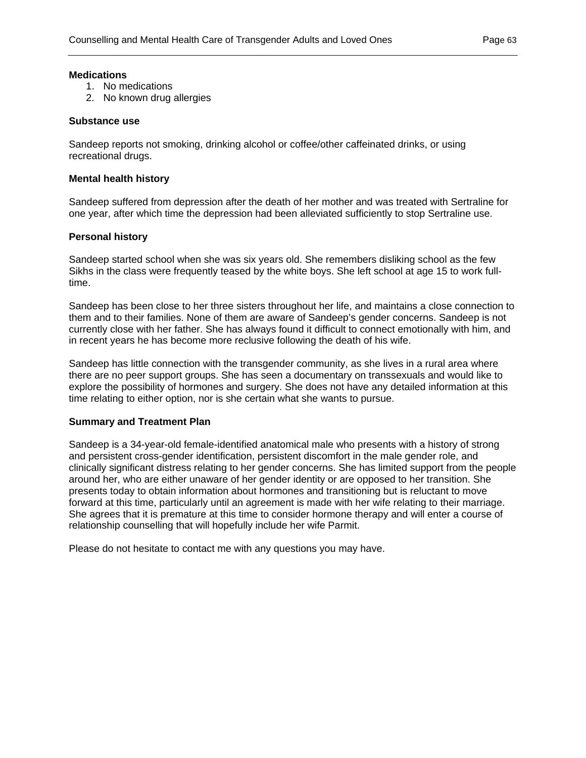#### **Medications**

- 1. No medications
- 2. No known drug allergies

#### **Substance use**

Sandeep reports not smoking, drinking alcohol or coffee/other caffeinated drinks, or using recreational drugs.

#### **Mental health history**

Sandeep suffered from depression after the death of her mother and was treated with Sertraline for one year, after which time the depression had been alleviated sufficiently to stop Sertraline use.

#### **Personal history**

Sandeep started school when she was six years old. She remembers disliking school as the few Sikhs in the class were frequently teased by the white boys. She left school at age 15 to work fulltime.

Sandeep has been close to her three sisters throughout her life, and maintains a close connection to them and to their families. None of them are aware of Sandeep's gender concerns. Sandeep is not currently close with her father. She has always found it difficult to connect emotionally with him, and in recent years he has become more reclusive following the death of his wife.

Sandeep has little connection with the transgender community, as she lives in a rural area where there are no peer support groups. She has seen a documentary on transsexuals and would like to explore the possibility of hormones and surgery. She does not have any detailed information at this time relating to either option, nor is she certain what she wants to pursue.

#### **Summary and Treatment Plan**

Sandeep is a 34-year-old female-identified anatomical male who presents with a history of strong and persistent cross-gender identification, persistent discomfort in the male gender role, and clinically significant distress relating to her gender concerns. She has limited support from the people around her, who are either unaware of her gender identity or are opposed to her transition. She presents today to obtain information about hormones and transitioning but is reluctant to move forward at this time, particularly until an agreement is made with her wife relating to their marriage. She agrees that it is premature at this time to consider hormone therapy and will enter a course of relationship counselling that will hopefully include her wife Parmit.

Please do not hesitate to contact me with any questions you may have.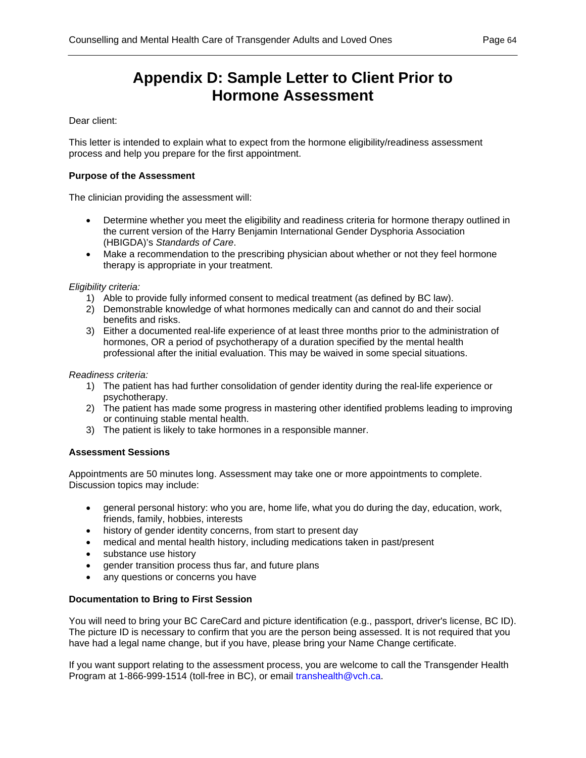### **Appendix D: Sample Letter to Client Prior to Hormone Assessment**

Dear client:

This letter is intended to explain what to expect from the hormone eligibility/readiness assessment process and help you prepare for the first appointment.

#### **Purpose of the Assessment**

The clinician providing the assessment will:

- Determine whether you meet the eligibility and readiness criteria for hormone therapy outlined in the current version of the Harry Benjamin International Gender Dysphoria Association (HBIGDA)'s *Standards of Care*.
- Make a recommendation to the prescribing physician about whether or not they feel hormone therapy is appropriate in your treatment.

#### *Eligibility criteria:*

- 1) Able to provide fully informed consent to medical treatment (as defined by BC law).
- 2) Demonstrable knowledge of what hormones medically can and cannot do and their social benefits and risks.
- 3) Either a documented real-life experience of at least three months prior to the administration of hormones, OR a period of psychotherapy of a duration specified by the mental health professional after the initial evaluation. This may be waived in some special situations.

*Readiness criteria:* 

- 1) The patient has had further consolidation of gender identity during the real-life experience or psychotherapy.
- 2) The patient has made some progress in mastering other identified problems leading to improving or continuing stable mental health.
- 3) The patient is likely to take hormones in a responsible manner.

#### **Assessment Sessions**

Appointments are 50 minutes long. Assessment may take one or more appointments to complete. Discussion topics may include:

- general personal history: who you are, home life, what you do during the day, education, work, friends, family, hobbies, interests
- history of gender identity concerns, from start to present day
- medical and mental health history, including medications taken in past/present
- substance use history
- gender transition process thus far, and future plans
- any questions or concerns you have

#### **Documentation to Bring to First Session**

You will need to bring your BC CareCard and picture identification (e.g., passport, driver's license, BC ID). The picture ID is necessary to confirm that you are the person being assessed. It is not required that you have had a legal name change, but if you have, please bring your Name Change certificate.

If you want support relating to the assessment process, you are welcome to call the Transgender Health Program at 1-866-999-1514 (toll-free in BC), or email [transhealth@vch.ca.](mailto:transhealth@vch.ca)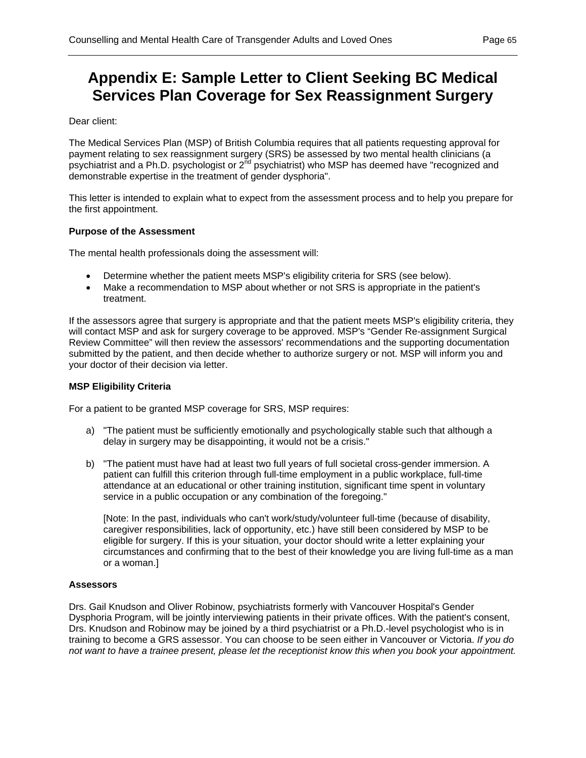### **Appendix E: Sample Letter to Client Seeking BC Medical Services Plan Coverage for Sex Reassignment Surgery**

Dear client:

The Medical Services Plan (MSP) of British Columbia requires that all patients requesting approval for payment relating to sex reassignment surgery (SRS) be assessed by two mental health clinicians (a psychiatrist and a Ph.D. psychologist or 2<sup>nd</sup> psychiatrist) who MSP has deemed have "recognized and demonstrable expertise in the treatment of gender dysphoria".

This letter is intended to explain what to expect from the assessment process and to help you prepare for the first appointment.

#### **Purpose of the Assessment**

The mental health professionals doing the assessment will:

- Determine whether the patient meets MSP's eligibility criteria for SRS (see below).
- Make a recommendation to MSP about whether or not SRS is appropriate in the patient's treatment.

If the assessors agree that surgery is appropriate and that the patient meets MSP's eligibility criteria, they will contact MSP and ask for surgery coverage to be approved. MSP's "Gender Re-assignment Surgical Review Committee" will then review the assessors' recommendations and the supporting documentation submitted by the patient, and then decide whether to authorize surgery or not. MSP will inform you and your doctor of their decision via letter.

#### **MSP Eligibility Criteria**

For a patient to be granted MSP coverage for SRS, MSP requires:

- a) "The patient must be sufficiently emotionally and psychologically stable such that although a delay in surgery may be disappointing, it would not be a crisis."
- b) "The patient must have had at least two full years of full societal cross-gender immersion. A patient can fulfill this criterion through full-time employment in a public workplace, full-time attendance at an educational or other training institution, significant time spent in voluntary service in a public occupation or any combination of the foregoing."

[Note: In the past, individuals who can't work/study/volunteer full-time (because of disability, caregiver responsibilities, lack of opportunity, etc.) have still been considered by MSP to be eligible for surgery. If this is your situation, your doctor should write a letter explaining your circumstances and confirming that to the best of their knowledge you are living full-time as a man or a woman.]

#### **Assessors**

Drs. Gail Knudson and Oliver Robinow, psychiatrists formerly with Vancouver Hospital's Gender Dysphoria Program, will be jointly interviewing patients in their private offices. With the patient's consent, Drs. Knudson and Robinow may be joined by a third psychiatrist or a Ph.D.-level psychologist who is in training to become a GRS assessor. You can choose to be seen either in Vancouver or Victoria. *If you do not want to have a trainee present, please let the receptionist know this when you book your appointment.*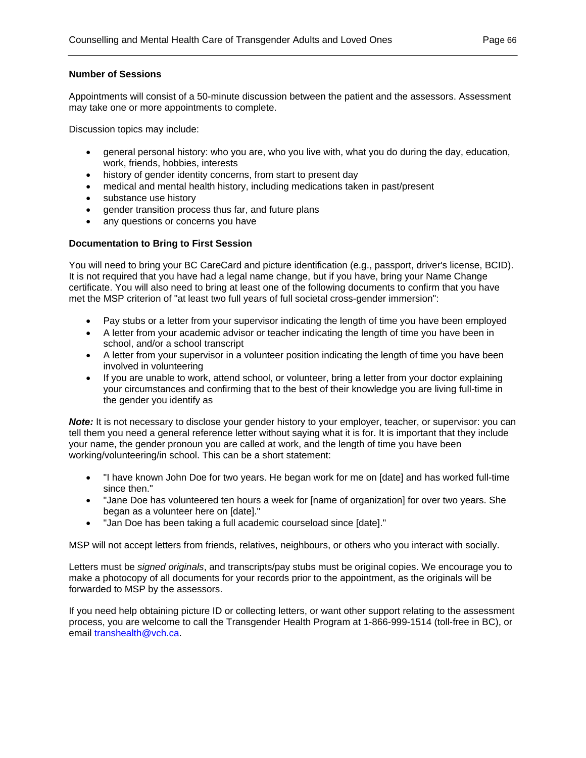#### **Number of Sessions**

Appointments will consist of a 50-minute discussion between the patient and the assessors. Assessment may take one or more appointments to complete.

Discussion topics may include:

- general personal history: who you are, who you live with, what you do during the day, education, work, friends, hobbies, interests
- history of gender identity concerns, from start to present day
- medical and mental health history, including medications taken in past/present
- substance use history
- gender transition process thus far, and future plans
- any questions or concerns you have

#### **Documentation to Bring to First Session**

You will need to bring your BC CareCard and picture identification (e.g., passport, driver's license, BCID). It is not required that you have had a legal name change, but if you have, bring your Name Change certificate. You will also need to bring at least one of the following documents to confirm that you have met the MSP criterion of "at least two full years of full societal cross-gender immersion":

- Pay stubs or a letter from your supervisor indicating the length of time you have been employed
- A letter from your academic advisor or teacher indicating the length of time you have been in school, and/or a school transcript
- A letter from your supervisor in a volunteer position indicating the length of time you have been involved in volunteering
- If you are unable to work, attend school, or volunteer, bring a letter from your doctor explaining your circumstances and confirming that to the best of their knowledge you are living full-time in the gender you identify as

*Note:* It is not necessary to disclose your gender history to your employer, teacher, or supervisor: you can tell them you need a general reference letter without saying what it is for. It is important that they include your name, the gender pronoun you are called at work, and the length of time you have been working/volunteering/in school. This can be a short statement:

- "I have known John Doe for two years. He began work for me on [date] and has worked full-time since then."
- "Jane Doe has volunteered ten hours a week for [name of organization] for over two years. She began as a volunteer here on [date]."
- "Jan Doe has been taking a full academic courseload since [date]."

MSP will not accept letters from friends, relatives, neighbours, or others who you interact with socially.

Letters must be *signed originals*, and transcripts/pay stubs must be original copies. We encourage you to make a photocopy of all documents for your records prior to the appointment, as the originals will be forwarded to MSP by the assessors.

If you need help obtaining picture ID or collecting letters, or want other support relating to the assessment process, you are welcome to call the Transgender Health Program at 1-866-999-1514 (toll-free in BC), or email [transhealth@vch.ca](mailto:transhealth@vch.ca).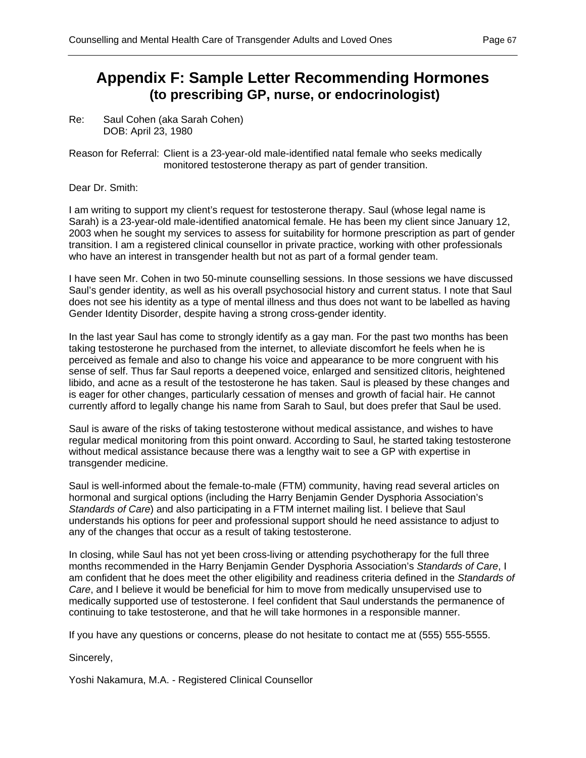### **Appendix F: Sample Letter Recommending Hormones (to prescribing GP, nurse, or endocrinologist)**

Re: Saul Cohen (aka Sarah Cohen) DOB: April 23, 1980

Reason for Referral: Client is a 23-year-old male-identified natal female who seeks medically monitored testosterone therapy as part of gender transition.

#### Dear Dr. Smith:

I am writing to support my client's request for testosterone therapy. Saul (whose legal name is Sarah) is a 23-year-old male-identified anatomical female. He has been my client since January 12, 2003 when he sought my services to assess for suitability for hormone prescription as part of gender transition. I am a registered clinical counsellor in private practice, working with other professionals who have an interest in transgender health but not as part of a formal gender team.

I have seen Mr. Cohen in two 50-minute counselling sessions. In those sessions we have discussed Saul's gender identity, as well as his overall psychosocial history and current status. I note that Saul does not see his identity as a type of mental illness and thus does not want to be labelled as having Gender Identity Disorder, despite having a strong cross-gender identity.

In the last year Saul has come to strongly identify as a gay man. For the past two months has been taking testosterone he purchased from the internet, to alleviate discomfort he feels when he is perceived as female and also to change his voice and appearance to be more congruent with his sense of self. Thus far Saul reports a deepened voice, enlarged and sensitized clitoris, heightened libido, and acne as a result of the testosterone he has taken. Saul is pleased by these changes and is eager for other changes, particularly cessation of menses and growth of facial hair. He cannot currently afford to legally change his name from Sarah to Saul, but does prefer that Saul be used.

Saul is aware of the risks of taking testosterone without medical assistance, and wishes to have regular medical monitoring from this point onward. According to Saul, he started taking testosterone without medical assistance because there was a lengthy wait to see a GP with expertise in transgender medicine.

Saul is well-informed about the female-to-male (FTM) community, having read several articles on hormonal and surgical options (including the Harry Benjamin Gender Dysphoria Association's *Standards of Care*) and also participating in a FTM internet mailing list. I believe that Saul understands his options for peer and professional support should he need assistance to adjust to any of the changes that occur as a result of taking testosterone.

In closing, while Saul has not yet been cross-living or attending psychotherapy for the full three months recommended in the Harry Benjamin Gender Dysphoria Association's *Standards of Care*, I am confident that he does meet the other eligibility and readiness criteria defined in the *Standards of Care*, and I believe it would be beneficial for him to move from medically unsupervised use to medically supported use of testosterone. I feel confident that Saul understands the permanence of continuing to take testosterone, and that he will take hormones in a responsible manner.

If you have any questions or concerns, please do not hesitate to contact me at (555) 555-5555.

#### Sincerely,

Yoshi Nakamura, M.A. - Registered Clinical Counsellor